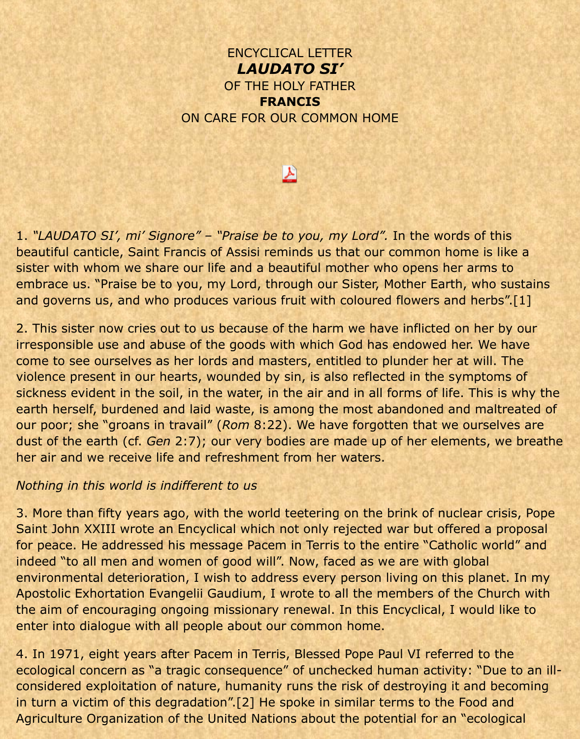#### **FRANCIS** ON CARE FOR OUR COMMON HOME

1. "LAUDATO SI', mi' Signore" - "Praise be to you, my Lord". In the words of t beautiful canticle, Saint Francis of Assisi reminds us that our common home is sister with whom we share our life and a b[eaut](http://w2.vatican.va/content/dam/francesco/pdf/encyclicals/documents/papa-francesco_20150524_enciclica-laudato-si_en.pdf)iful mother who opens her arms embrace us. "Praise be to you, my Lord, through our Sister, Mother Earth, who and governs us, and who produces various fruit with coloured flowers and her

2. This sister now cries out to us because of the harm we have inflicted on her irresponsible use and abuse of the goods with which God has endowed her. We come to see ourselves as her lords and masters, entitled to plunder her at will violence present in our hearts, wounded by sin, is also reflected in the sympto sickness evident in the soil, in the water, in the air and in all forms of life. This earth herself, burdened and laid waste, is among the most abandoned and ma our poor; she "groans in travail" (*Rom* 8:22). We have forgotten that we ourse dust of the earth (cf. *Gen* 2:7); our very bodies are made up of her elements, her air and we receive life and refreshment from her waters.

#### *Nothing in this world is indifferent to us*

3. More than fifty years ago, with the world teetering on the brink of nuclear c Saint John XXIII wrote an Encyclical which not only rejected war but offered a for peace. He addressed his message Pacem in Terris to the entire "Catholic world" indeed "to all men and women of good will". Now, faced as we are with global environmental deterioration, I wish to address every person living on this plan Apostolic Exhortation Evangelii Gaudium, I wrote to all the members of the Ch the aim of encouraging ongoing missionary renewal. In this Encyclical, I would enter into dialogue with al[l people ab](http://w2.vatican.va/content/john-xxiii/en/encyclicals/documents/hf_j-xxiii_enc_11041963_pacem.html)out our common home.

4. In 1971, eight years after Pacem i[n Terris, Blessed](http://w2.vatican.va/content/john-xxiii/en/encyclicals/documents/hf_j-xxiii_enc_11041963_pacem.html) Pope Paul VI referred to ecological concern as "a tragic consequence" of unchecked human activity: "D considered exploitati[on of nature, human](http://w2.vatican.va/content/francesco/en/apost_exhortations/documents/papa-francesco_esortazione-ap_20131124_evangelii-gaudium.html)ity runs the risk of destroying it and I in turn a victim of this degradation". [2] He spoke in similar terms to the Food Agriculture Organization of the United Nations about the potential for an "ecological"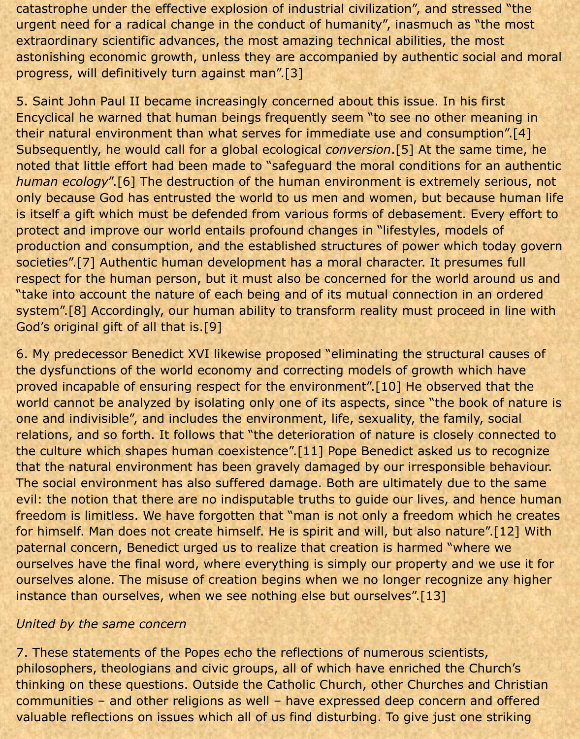5. Saint John Paul II became increasingly concerned about this issue. In his first Encyclical he warned that human beings frequently seem "to see no other meaning their natural environment than what serves for immediate use and consumption Subsequently, he would call for a global ecological *conversion*.[5] At the same noted that little effort had been made to "s[afeg](http://w2.vatican.va/content/francesco/en/encyclicals/documents/papa-francesco_20150524_enciclica-laudato-si.html#_ftn3)uard the moral conditions for a *human ecology*".[6] The destruction of the human environment is extremely serious, on[ly because God ha](http://w2.vatican.va/content/john-paul-ii/en.html)s entrusted the world to us men and women, but because is itself a gift which must be defended from various forms of debasement. Eve protect and improve our world entails profound changes in "lifestyles, models production and consumption, and the established structures o[f po](http://w2.vatican.va/content/francesco/en/encyclicals/documents/papa-francesco_20150524_enciclica-laudato-si.html#_ftn5)wer which to societies".[7] Authentic human development has a moral character. It presume respect for the [hum](http://w2.vatican.va/content/francesco/en/encyclicals/documents/papa-francesco_20150524_enciclica-laudato-si.html#_ftn6)an person, but it must also be concerned for the world aro "take into account the nature of each being and of its mutual connection in an system".[8] Accordingly, our human ability to transform reality must proceed in God's original gift of all that is.[9]

6. My pre[dece](http://w2.vatican.va/content/francesco/en/encyclicals/documents/papa-francesco_20150524_enciclica-laudato-si.html#_ftn7)ssor Benedict XVI likewise proposed "eliminating the structural cause the dysfunctions of the world economy and correcting models of growth which proved incapable of ensuring respect for the environment".[10] He observed that world ca[nno](http://w2.vatican.va/content/francesco/en/encyclicals/documents/papa-francesco_20150524_enciclica-laudato-si.html#_ftn8)t be analyzed by isolating only one of its aspects, since "the book one and indivisible", and inclu[des t](http://w2.vatican.va/content/francesco/en/encyclicals/documents/papa-francesco_20150524_enciclica-laudato-si.html#_ftn9)he environment, life, sexuality, the family, social relations, and so forth. It follows that "the deterioration of nature is closely co the culture which [shapes human](http://w2.vatican.va/content/benedict-xvi/en.html) coexistence". $[11]$  Pope Benedict asked us to that the natural environment has been gravely damaged by our irresponsible b The social environment has also suffered damage. Both ar[e ultim](http://w2.vatican.va/content/francesco/en/encyclicals/documents/papa-francesco_20150524_enciclica-laudato-si.html#_ftn10)ately due to the same same same same. evil: the notion that there are no indisputable truths to guide our lives, and he freedom is limitless. We have forgotten that "man is not only a freedom which for himself. Man does not create himself. He is spirit and will, but also nature". paternal concern, Benedict urged us to realize [that](http://w2.vatican.va/content/francesco/en/encyclicals/documents/papa-francesco_20150524_enciclica-laudato-si.html#_ftn11) creation is harmed "where ourselves have the final word, where everything is simply our property and we ourselves alone. The misuse of creation begins when we no longer recognize a instance than ourselves, when we see nothing else but ourselves".[13]

#### *United by the same concern*

7. These statements of the Popes echo the reflections of numerous scientists, philosophers, theologians and civic groups, all of which have enriched the Church thinking on these questions. Outside the Catholic Church, other Churches and communities – and other religions as well – have expressed deep [conce](http://w2.vatican.va/content/francesco/en/encyclicals/documents/papa-francesco_20150524_enciclica-laudato-si.html#_ftn13)rn and valuable reflections on issues which all of us find disturbing. To give just one strain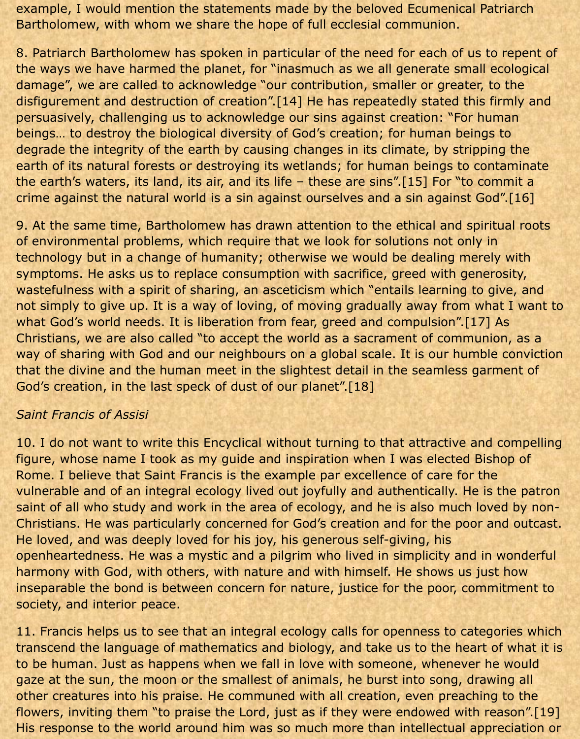disfigurement and destruction of creation".[14] He has repeatedly stated this firmly and persuasively, challenging us to acknowledge our sins against creation: "For human beings... to destroy the biological diversity of God's creation; for human beings degrade the integrity of the earth by causing changes in its climate, by stripping earth of its natural forests or destroying its wetlands; for human beings to con the earth's waters, its land, its air, and its life  $-$  these are sins". [15] For "to com crime ag[ainst](http://w2.vatican.va/content/francesco/en/encyclicals/documents/papa-francesco_20150524_enciclica-laudato-si.html#_ftn14) the natural world is a sin against ourselves and a sin against Go

9. At the same time, Bartholomew has drawn attention to the ethical and spirit of environmental problems, which require that we look for solutions not only in technology but in a change of humanity; otherwise we would be dealing merel symptoms. He asks us to replace consumption with sacrifice, g[reed](http://w2.vatican.va/content/francesco/en/encyclicals/documents/papa-francesco_20150524_enciclica-laudato-si.html#_ftn15) with gener wastefulness with a spirit of sharing, an asceticism which "entails learning to d not simply to give up. It is a way of loving, of moving gradually away from wh what God's world needs. It is liberation from fear, greed and compulsion".[17] Christians, we are also called "to accept the world as a sacrament of communi way of sharing with God and our neighbours on a global scale. It is our humble that the divine and the human meet in the slightest detail in the seamless gar God's creation, in the last speck of dust of our planet".[18]

### *Saint Francis of Assisi*

10. I do not want to write this Encyclical without turning to that attractive and figure, whose name I took as my guide and inspiration when I was elected Bis Rome. I believe that Saint Francis is the example par excellence of care for the vulnerable [and](http://w2.vatican.va/content/francesco/en/encyclicals/documents/papa-francesco_20150524_enciclica-laudato-si.html#_ftn18) of an integral ecology lived out joyfully and authentically. He is saint of all who study and work in the area of ecology, and he is also much lov Christians. He was particularly concerned for God's creation and for the poor a He loved, and was deeply loved for his joy, his generous self-giving, his openheartedness. He was a mystic and a pilgrim who lived in simplicity and in harmony with God, with others, with nature and with himself. He shows us just inseparable the bond is between concern for nature, justice for the poor, commitment to society, and interior peace.

11. Francis helps us to see that an integral ecology calls for openness to categories transcend the language of mathematics and biology, and take us to the heart to be human. Just as happens when we fall in love with someone, whenever h gaze at the sun, the moon or the smallest of animals, he burst into song, draw other creatures into his praise. He communed with all creation, even preaching flowers, inviting them "to praise the Lord, just as if they were endowed with re His response to the world around him was so much more than intellectual app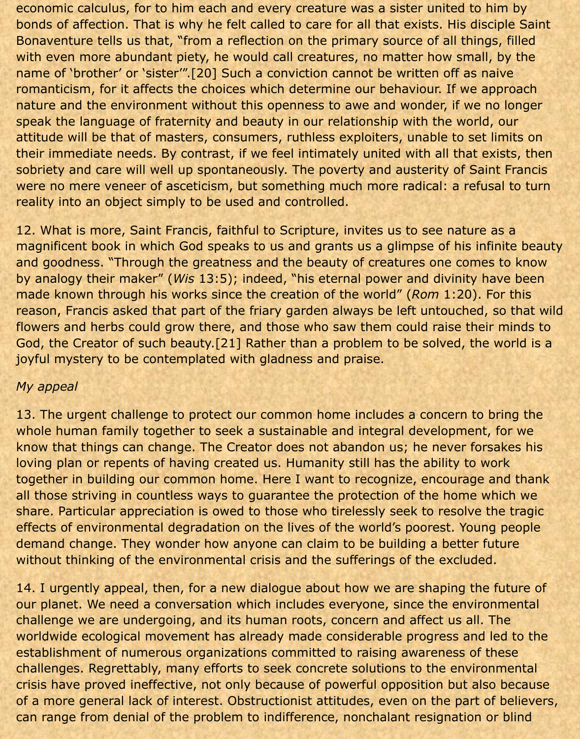nature and the environment without this openness to awe and wonder, if we n speak the language of fraternity and beauty in our relationship with the world, attitude will be that of masters, consumers, ruthless exploiters, unable to set their immediate needs. By contrast, if we feel intimately united with all that exsobriety and care will well u[p spo](http://w2.vatican.va/content/francesco/en/encyclicals/documents/papa-francesco_20150524_enciclica-laudato-si.html#_ftn20)ntaneously. The poverty and austerity of Sair were no mere veneer of asceticism, but something much more radical: a refus reality into an object simply to be used and controlled.

12. What is more, Saint Francis, faithful to Scripture, invites us to see nature a magnificent book in which God speaks to us and grants us a glimpse of his infinite beauty. and goodness. "Through the greatness and the beauty of creatures one comes by analogy their maker" (*Wis* 13:5); indeed, "his eternal power and divinity ha made known through his works since the creation of the world" (*Rom* 1:20). For reason, Francis asked that part of the friary garden always be left untouched, flowers and herbs could grow there, and those who saw them could raise their God, the Creator of such beauty.[21] Rather than a problem to be solved, the joyful mystery to be contemplated with gladness and praise.

#### *My appeal*

13. The urgent challenge to protect our common home includes a concern to b whole human family together to seek a sustainable and integral development, know that things can change. T[he Cre](http://w2.vatican.va/content/francesco/en/encyclicals/documents/papa-francesco_20150524_enciclica-laudato-si.html#_ftn21)ator does not abandon us; he never fors loving plan or repents of having created us. Humanity still has the ability to we together in building our common home. Here I want to recognize, encourage and thanks all those striving in countless ways to quarantee the protection of the home w share. Particular appreciation is owed to those who tirelessly seek to resolve the effects of environmental degradation on the lives of the world's poorest. Young demand change. They wonder how anyone can claim to be building a better fu without thinking of the environmental crisis and the sufferings of the excluded

14. I urgently appeal, then, for a new dialogue about how we are shaping the our planet. We need a conversation which includes everyone, since the enviror challenge we are undergoing, and its human roots, concern and affect us all. The worldwide ecological movement has already made considerable progress and I establishment of numerous organizations committed to raising awareness of the challenges. Regrettably, many efforts to seek concrete solutions to the enviror crisis have proved ineffective, not only because of powerful opposition but also of a more general lack of interest. Obstructionist attitudes, even on the part of can range from denial of the problem to indifference, nonchalant resignation o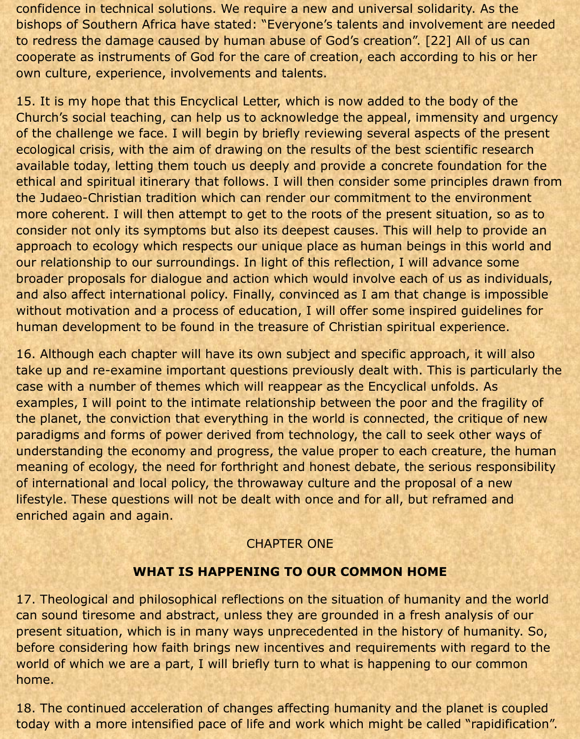15. It is my hope that this Encyclical Letter, which is now added to the body of the Church's social teaching, can help us to acknowledge the appeal, immensity and of the challenge we face. I will begin by briefly reviewing several a[spect](http://w2.vatican.va/content/francesco/en/encyclicals/documents/papa-francesco_20150524_enciclica-laudato-si.html#_ftn22)s of th ecological crisis, with the aim of drawing on the results of the best scientific re available today, letting them touch us deeply and provide a concrete foundation ethical and spiritual itinerary that follows. I will then consider some principles the Judaeo-Christian tradition which can render our commitment to the environ more coherent. I will then attempt to get to the roots of the present situation, consider not only its symptoms but also its deepest causes. This will help to provide a approach to ecology which respects our unique place as human beings in this our relationship to our surroundings. In light of this reflection, I will advance s broader proposals for dialogue and action which would involve each of us as in and also affect international policy. Finally, convinced as I am that change is in without motivation and a process of education, I will offer some inspired guide human development to be found in the treasure of Christian spiritual experien

16. Although each chapter will have its own subject and specific approach, it w take up and re-examine important questions previously dealt with. This is part case with a number of themes which will reappear as the Encyclical unfolds. A examples, I will point to the intimate relationship between the poor and the fragility the planet, the conviction that everything in the world is connected, the critique paradigms and forms of power derived from technology, the call to seek other understanding the economy and progress, the value proper to each creature, the humannism meaning of ecology, the need for forthright and honest debate, the serious res of international and local policy, the throwaway culture and the proposal of a new lifestyle. These questions will not be dealt with once and for all, but reframed enriched again and again.

#### CHAPTER ONE

# **WHAT IS HAPPENING TO OUR COMMON HOME**

17. Theological and philosophical reflections on the situation of humanity and can sound tiresome and abstract, unless they are grounded in a fresh analysis present situation, which is in many ways unprecedented in the history of humanity. before considering how faith brings new incentives and requirements with regard to the to the to the to the to world of which we are a part, I will briefly turn to what is happening to our com home.

18. The continued acceleration of changes affecting humanity and the planet is today with a more intensified pace of life and work which might be called "rapidition".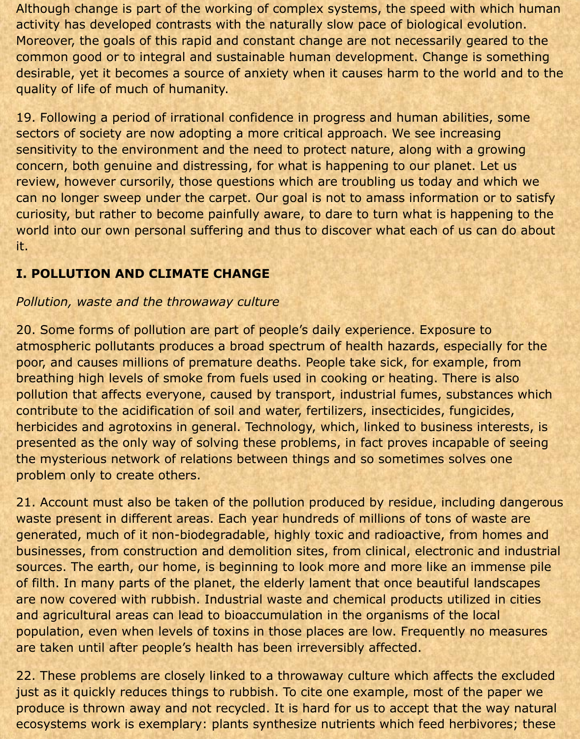Although change is part of the working of complex systems, the speed with which human activity has developed contrasts with the naturally slow pace of biological evolution. Moreover, the goals of this rapid and constant change are not necessarily geared to the common good or to integral and sustainable human development. Change is something desirable, yet it becomes a source of anxiety when it causes harm to the world and to the quality of life of much of humanity.

19. Following a period of irrational confidence in progress and human abilities, some sectors of society are now adopting a more critical approach. We see increasing sensitivity to the environment and the need to protect nature, along with a growing concern, both genuine and distressing, for what is happening to our planet. Let us review, however cursorily, those questions which are troubling us today and which we can no longer sweep under the carpet. Our goal is not to amass information or to satisfy curiosity, but rather to become painfully aware, to dare to turn what is happening to the world into our own personal suffering and thus to discover what each of us can do about it.

# **I. POLLUTION AND CLIMATE CHANGE**

### *Pollution, waste and the throwaway culture*

20. Some forms of pollution are part of people's daily experience. Exposure to atmospheric pollutants produces a broad spectrum of health hazards, especially for the poor, and causes millions of premature deaths. People take sick, for example, from breathing high levels of smoke from fuels used in cooking or heating. There is also pollution that affects everyone, caused by transport, industrial fumes, substances which contribute to the acidification of soil and water, fertilizers, insecticides, fungicides, herbicides and agrotoxins in general. Technology, which, linked to business interests, is presented as the only way of solving these problems, in fact proves incapable of seeing the mysterious network of relations between things and so sometimes solves one problem only to create others.

21. Account must also be taken of the pollution produced by residue, including dangerous waste present in different areas. Each year hundreds of millions of tons of waste are generated, much of it non-biodegradable, highly toxic and radioactive, from homes and businesses, from construction and demolition sites, from clinical, electronic and industrial sources. The earth, our home, is beginning to look more and more like an immense pile of filth. In many parts of the planet, the elderly lament that once beautiful landscapes are now covered with rubbish. Industrial waste and chemical products utilized in cities and agricultural areas can lead to bioaccumulation in the organisms of the local population, even when levels of toxins in those places are low. Frequently no measures are taken until after people's health has been irreversibly affected.

22. These problems are closely linked to a throwaway culture which affects the excluded just as it quickly reduces things to rubbish. To cite one example, most of the paper we produce is thrown away and not recycled. It is hard for us to accept that the way natural ecosystems work is exemplary: plants synthesize nutrients which feed herbivores; these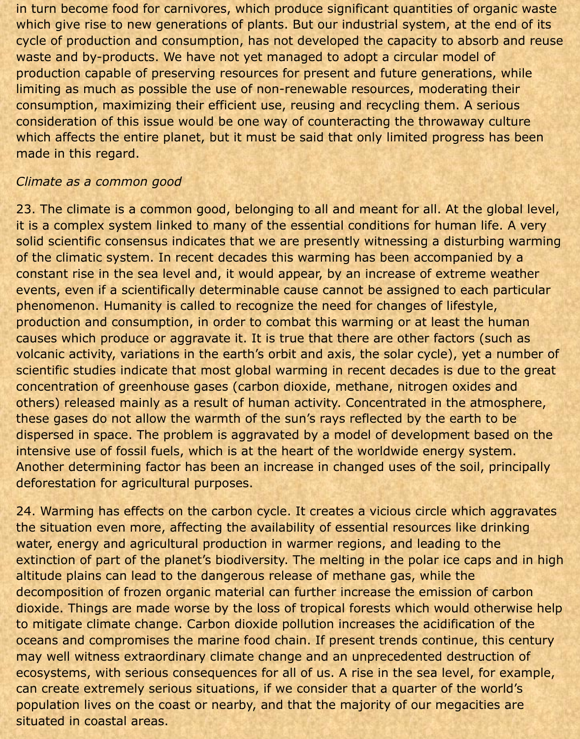in turn become food for carnivores, which produce significant quantities of organic waste which give rise to new generations of plants. But our industrial system, at the end of its cycle of production and consumption, has not developed the capacity to absorb and reuse waste and by-products. We have not yet managed to adopt a circular model of production capable of preserving resources for present and future generations, while limiting as much as possible the use of non-renewable resources, moderating their consumption, maximizing their efficient use, reusing and recycling them. A serious consideration of this issue would be one way of counteracting the throwaway culture which affects the entire planet, but it must be said that only limited progress has been made in this regard.

#### *Climate as a common good*

23. The climate is a common good, belonging to all and meant for all. At the global level, it is a complex system linked to many of the essential conditions for human life. A very solid scientific consensus indicates that we are presently witnessing a disturbing warming of the climatic system. In recent decades this warming has been accompanied by a constant rise in the sea level and, it would appear, by an increase of extreme weather events, even if a scientifically determinable cause cannot be assigned to each particular phenomenon. Humanity is called to recognize the need for changes of lifestyle, production and consumption, in order to combat this warming or at least the human causes which produce or aggravate it. It is true that there are other factors (such as volcanic activity, variations in the earth's orbit and axis, the solar cycle), yet a number of scientific studies indicate that most global warming in recent decades is due to the great concentration of greenhouse gases (carbon dioxide, methane, nitrogen oxides and others) released mainly as a result of human activity. Concentrated in the atmosphere, these gases do not allow the warmth of the sun's rays reflected by the earth to be dispersed in space. The problem is aggravated by a model of development based on the intensive use of fossil fuels, which is at the heart of the worldwide energy system. Another determining factor has been an increase in changed uses of the soil, principally deforestation for agricultural purposes.

24. Warming has effects on the carbon cycle. It creates a vicious circle which aggravates the situation even more, affecting the availability of essential resources like drinking water, energy and agricultural production in warmer regions, and leading to the extinction of part of the planet's biodiversity. The melting in the polar ice caps and in high altitude plains can lead to the dangerous release of methane gas, while the decomposition of frozen organic material can further increase the emission of carbon dioxide. Things are made worse by the loss of tropical forests which would otherwise help to mitigate climate change. Carbon dioxide pollution increases the acidification of the oceans and compromises the marine food chain. If present trends continue, this century may well witness extraordinary climate change and an unprecedented destruction of ecosystems, with serious consequences for all of us. A rise in the sea level, for example, can create extremely serious situations, if we consider that a quarter of the world's population lives on the coast or nearby, and that the majority of our megacities are situated in coastal areas.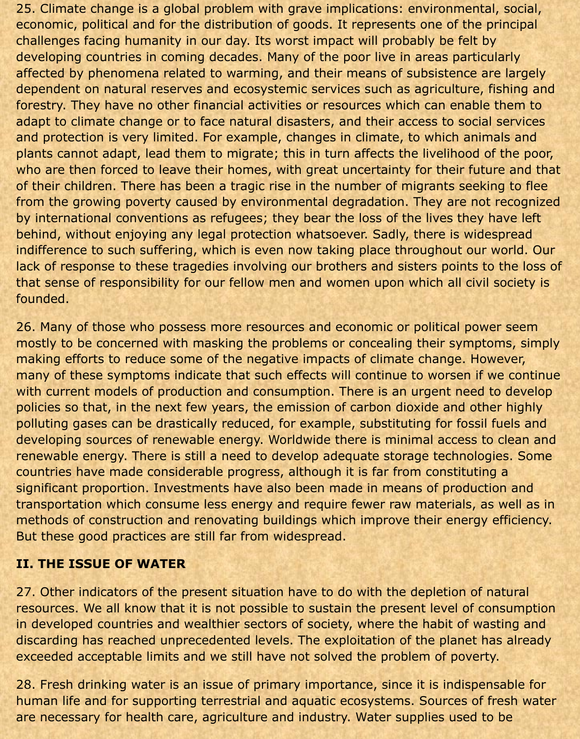25. Climate change is a global problem with grave implications: environmental, social, economic, political and for the distribution of goods. It represents one of the principal challenges facing humanity in our day. Its worst impact will probably be felt by developing countries in coming decades. Many of the poor live in areas particularly affected by phenomena related to warming, and their means of subsistence are largely dependent on natural reserves and ecosystemic services such as agriculture, fishing and forestry. They have no other financial activities or resources which can enable them to adapt to climate change or to face natural disasters, and their access to social services and protection is very limited. For example, changes in climate, to which animals and plants cannot adapt, lead them to migrate; this in turn affects the livelihood of the poor, who are then forced to leave their homes, with great uncertainty for their future and that of their children. There has been a tragic rise in the number of migrants seeking to flee from the growing poverty caused by environmental degradation. They are not recognized by international conventions as refugees; they bear the loss of the lives they have left behind, without enjoying any legal protection whatsoever. Sadly, there is widespread indifference to such suffering, which is even now taking place throughout our world. Our lack of response to these tragedies involving our brothers and sisters points to the loss of that sense of responsibility for our fellow men and women upon which all civil society is founded.

26. Many of those who possess more resources and economic or political power seem mostly to be concerned with masking the problems or concealing their symptoms, simply making efforts to reduce some of the negative impacts of climate change. However, many of these symptoms indicate that such effects will continue to worsen if we continue with current models of production and consumption. There is an urgent need to develop policies so that, in the next few years, the emission of carbon dioxide and other highly polluting gases can be drastically reduced, for example, substituting for fossil fuels and developing sources of renewable energy. Worldwide there is minimal access to clean and renewable energy. There is still a need to develop adequate storage technologies. Some countries have made considerable progress, although it is far from constituting a significant proportion. Investments have also been made in means of production and transportation which consume less energy and require fewer raw materials, as well as in methods of construction and renovating buildings which improve their energy efficiency. But these good practices are still far from widespread.

# **II. THE ISSUE OF WATER**

27. Other indicators of the present situation have to do with the depletion of natural resources. We all know that it is not possible to sustain the present level of consumption in developed countries and wealthier sectors of society, where the habit of wasting and discarding has reached unprecedented levels. The exploitation of the planet has already exceeded acceptable limits and we still have not solved the problem of poverty.

28. Fresh drinking water is an issue of primary importance, since it is indispensable for human life and for supporting terrestrial and aquatic ecosystems. Sources of fresh water are necessary for health care, agriculture and industry. Water supplies used to be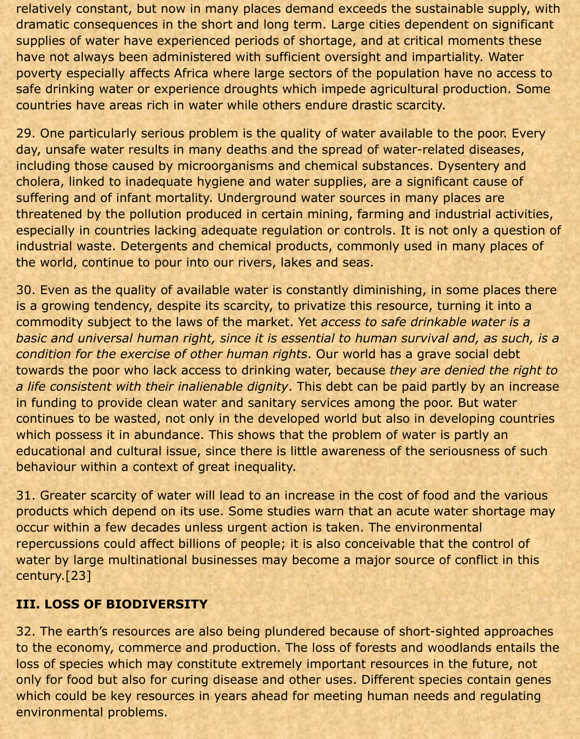countries have areas rich in water while others endure drastic scarcity.

29. One particularly serious problem is the quality of water available to the po day, unsafe water results in many deaths and the spread of water-related dise including those caused by microorganisms and chemical substances. Dysenter cholera, linked to inadequate hygiene and water supplies, are a significant cau suffering and of infant mortality. Underground water sources in many places a threatened by the pollution produced in certain mining, farming and industrial especially in countries lacking adequate regulation or controls. It is not only a industrial waste. Detergents and chemical products, commonly used in many places of the world, continue to pour into our rivers, lakes and seas.

30. Even as the quality of available water is constantly diminishing, in some places the is a growing tendency, despite its scarcity, to privatize this resource, turning it commodity subject to the laws of the market. Yet *access to safe drinkable wat* basic and universal human right, since it is essential to human survival and, as *condition for the exercise of other human rights. Our world has a grave social* towards the poor who lack access to drinking water, because *they are denied toowards* a life consistent with their inalienable dignity. This debt can be paid partly by a in funding to provide clean water and sanitary services among the poor. But w continues to be wasted, not only in the developed world but also in developing which possess it in abundance. This shows that the problem of water is partly educational and cultural issue, since there is little awareness of the seriousnes behaviour within a context of great inequality.

31. Greater scarcity of water will lead to an increase in the cost of food and th products which depend on its use. Some studies warn that an acute water sho occur within a few decades unless urgent action is taken. The environmental repercussions could affect billions of people; it is also conceivable that the con water by large multinational businesses may become a major source of conflict century.[23]

### **III. LOSS OF BIODIVERSITY**

32. The earth's resources are also being plundered because of short-sighted a to the economy, commerce and production. The loss of forests and woodlands loss of species which may constitute extremely important resources in the future only for [food](http://w2.vatican.va/content/francesco/en/encyclicals/documents/papa-francesco_20150524_enciclica-laudato-si.html#_ftn23) but also for curing disease and other uses. Different species cont which could be key resources in years ahead for meeting human needs and regulation environmental problems.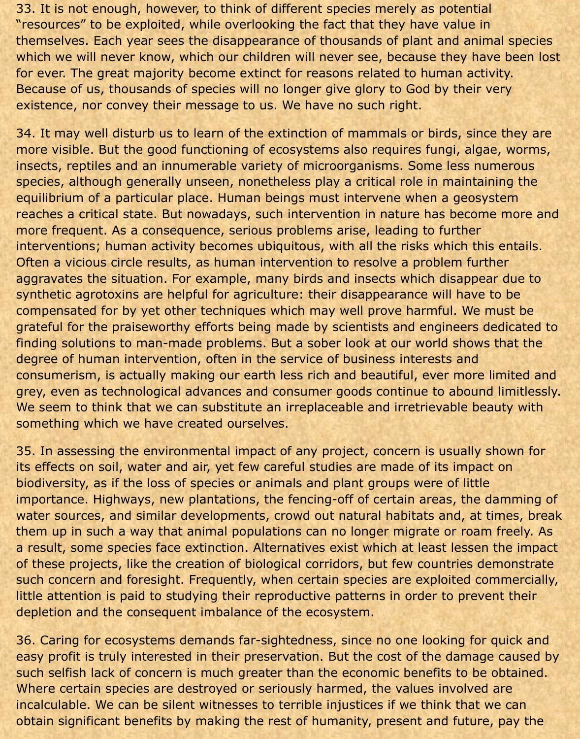33. It is not enough, however, to think of different species merely as potential "resources" to be exploited, while overlooking the fact that they have value in themselves. Each year sees the disappearance of thousands of plant and animal species which we will never know, which our children will never see, because they have been lost for ever. The great majority become extinct for reasons related to human activity. Because of us, thousands of species will no longer give glory to God by their very existence, nor convey their message to us. We have no such right.

34. It may well disturb us to learn of the extinction of mammals or birds, since they are more visible. But the good functioning of ecosystems also requires fungi, algae, worms, insects, reptiles and an innumerable variety of microorganisms. Some less numerous species, although generally unseen, nonetheless play a critical role in maintaining the equilibrium of a particular place. Human beings must intervene when a geosystem reaches a critical state. But nowadays, such intervention in nature has become more and more frequent. As a consequence, serious problems arise, leading to further interventions; human activity becomes ubiquitous, with all the risks which this entails. Often a vicious circle results, as human intervention to resolve a problem further aggravates the situation. For example, many birds and insects which disappear due to synthetic agrotoxins are helpful for agriculture: their disappearance will have to be compensated for by yet other techniques which may well prove harmful. We must be grateful for the praiseworthy efforts being made by scientists and engineers dedicated to finding solutions to man-made problems. But a sober look at our world shows that the degree of human intervention, often in the service of business interests and consumerism, is actually making our earth less rich and beautiful, ever more limited and grey, even as technological advances and consumer goods continue to abound limitlessly. We seem to think that we can substitute an irreplaceable and irretrievable beauty with something which we have created ourselves.

35. In assessing the environmental impact of any project, concern is usually shown for its effects on soil, water and air, yet few careful studies are made of its impact on biodiversity, as if the loss of species or animals and plant groups were of little importance. Highways, new plantations, the fencing-off of certain areas, the damming of water sources, and similar developments, crowd out natural habitats and, at times, break them up in such a way that animal populations can no longer migrate or roam freely. As a result, some species face extinction. Alternatives exist which at least lessen the impact of these projects, like the creation of biological corridors, but few countries demonstrate such concern and foresight. Frequently, when certain species are exploited commercially, little attention is paid to studying their reproductive patterns in order to prevent their depletion and the consequent imbalance of the ecosystem.

36. Caring for ecosystems demands far-sightedness, since no one looking for quick and easy profit is truly interested in their preservation. But the cost of the damage caused by such selfish lack of concern is much greater than the economic benefits to be obtained. Where certain species are destroyed or seriously harmed, the values involved are incalculable. We can be silent witnesses to terrible injustices if we think that we can obtain significant benefits by making the rest of humanity, present and future, pay the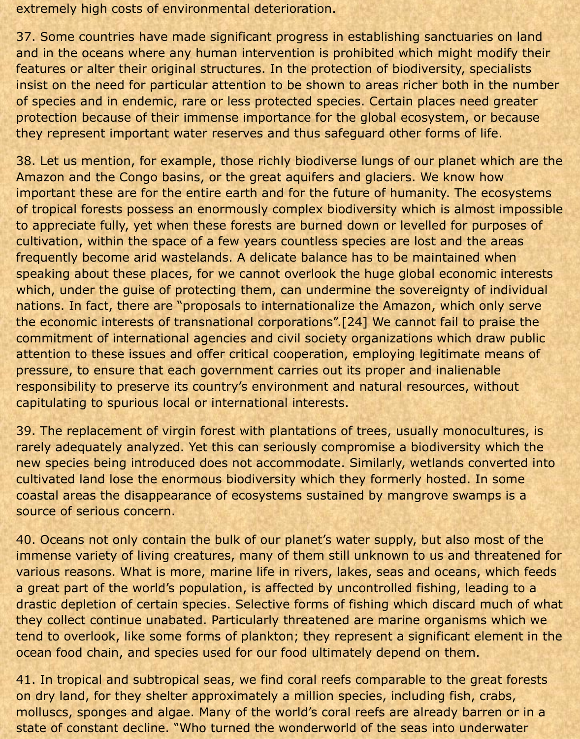of species and in endemic, rare or less protected species. Certain places need greater protection because of their immense importance for the global ecosystem, or  $b$ they represent important water reserves and thus safeguard other forms of life

38. Let us mention, for example, those richly biodiverse lungs of our planet wh Amazon and the Congo basins, or the great aquifers and glaciers. We know ho important these are for the entire earth and for the future of humanity. The ed of tropical forests possess an enormously complex biodiversity which is almost to appreciate fully, yet when these forests are burned down or levelled for pur cultivation, within the space of a few years countless species are lost and the frequently become arid wastelands. A delicate balance has to be maintained w speaking about these places, for we cannot overlook the huge global economic which, under the guise of protecting them, can undermine the sovereignty of individual nations. In fact, there are "proposals to internationalize the Amazon, which on the economic interests of transnational corporations".[24] We cannot fail to procommitment of international agencies and civil society organizations which draw attention to these issues and offer critical cooperation, employing legitimate m pressure, to ensure that each government carries out its proper and inalienable responsibility to preserve its country's environment and natural resources, with capitulating to spurious local or international interests.

39. The replacement of virgin forest with plantations [of tre](http://w2.vatican.va/content/francesco/en/encyclicals/documents/papa-francesco_20150524_enciclica-laudato-si.html#_ftn24)es, usually monoculturally rarely adequately analyzed. Yet this can seriously compromise a biodiversity w new species being introduced does not accommodate. Similarly, wetlands conv cultivated land lose the enormous biodiversity which they formerly hosted. In coastal areas the disappearance of ecosystems sustained by mangrove swamp source of serious concern.

40. Oceans not only contain the bulk of our planet's water supply, but also mo immense variety of living creatures, many of them still unknown to us and thr various reasons. What is more, marine life in rivers, lakes, seas and oceans, w a great part of the world's population, is affected by uncontrolled fishing, leading drastic depletion of certain species. Selective forms of fishing which discard m they collect continue unabated. Particularly threatened are marine organisms which we tend to overlook, like some forms of plankton; they represent a significant element ocean food chain, and species used for our food ultimately depend on them.

41. In tropical and subtropical seas, we find coral reefs comparable to the great on dry land, for they shelter approximately a million species, including fish, cra molluscs, sponges and algae. Many of the world's coral reefs are already barre state of constant decline. "Who turned the wonderworld of the seas into under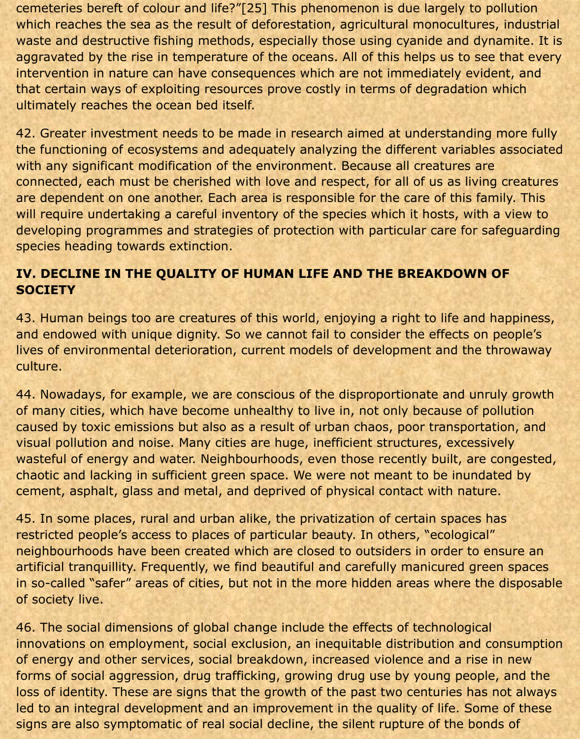ultimately reaches the ocean bed its[elf.](http://w2.vatican.va/content/francesco/en/encyclicals/documents/papa-francesco_20150524_enciclica-laudato-si.html#_ftn25)

42. Greater investment needs to be made in research aimed at understanding the functioning of ecosystems and adequately analyzing the different variables with any significant modification of the environment. Because all creatures are connected, each must be cherished with love and respect, for all of us as living are dependent on one another. Each area is responsible for the care of this far will require undertaking a careful inventory of the species which it hosts, with developing programmes and strategies of protection with particular care for sa species heading towards extinction.

# **IV. DECLINE IN THE OUALITY OF HUMAN LIFE AND THE BREAKDOWN SOCIETY**

43. Human beings too are creatures of this world, enjoying a right to life and happiness, and endowed with unique dignity. So we cannot fail to consider the effects on lives of environmental deterioration, current models of development and the th culture.

44. Nowadays, for example, we are conscious of the disproportionate and unrul of many cities, which have become unhealthy to live in, not only because of po caused by toxic emissions but also as a result of urban chaos, poor transporta visual pollution and noise. Many cities are huge, inefficient structures, excessively wasteful of energy and water. Neighbourhoods, even those recently built, are only chaotic and lacking in sufficient green space. We were not meant to be inunda cement, asphalt, glass and metal, and deprived of physical contact with nature.

45. In some places, rural and urban alike, the privatization of certain spaces h restricted people's access to places of particular beauty. In others, "ecological" neighbourhoods have been created which are closed to outsiders in order to en artificial tranquillity. Frequently, we find beautiful and carefully manicured green in so-called "safer" areas of cities, but not in the more hidden areas where the of society live.

46. The social dimensions of global change include the effects of technological innovations on employment, social exclusion, an inequitable distribution and c of energy and other services, social breakdown, increased violence and a rise forms of social aggression, drug trafficking, growing drug use by young people loss of identity. These are signs that the growth of the past two centuries has led to an integral development and an improvement in the quality of life. Some signs are also symptomatic of real social decline, the silent rupture of the bond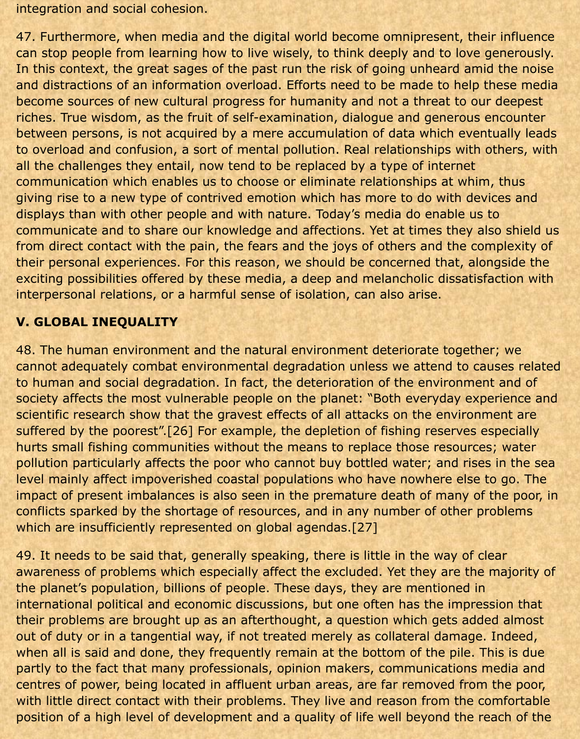become sources or new cultural progress for humanity and not a threat to our riches. True wisdom, as the fruit of self-examination, dialogue and generous en between persons, is not acquired by a mere accumulation of data which event to overload and confusion, a sort of mental pollution. Real relationships with o all the challenges they entail, now tend to be replaced by a type of internet communication which enables us to choose or eliminate relationships at whim, giving rise to a new type of contrived emotion which has more to do with device displays than with other people and with nature. Today's media do enable us to communicate and to share our knowledge and affections. Yet at times they also from direct contact with the pain, the fears and the joys of others and the com their personal experiences. For this reason, we should be concerned that, alon exciting possibilities offered by these media, a deep and melancholic dissatisfa interpersonal relations, or a harmful sense of isolation, can also arise.

# **V. GLOBAL INEQUALITY**

48. The human environment and the natural environment deteriorate together cannot adequately combat environmental degradation unless we attend to cau to human and social degradation. In fact, the deterioration of the environment society affects the most vulnerable people on the planet: "Both everyday experience and society scientific research show that the gravest effects of all attacks on the environm suffered by the poorest".[26] For example, the depletion of fishing reserves es hurts small fishing communities without the means to replace those resources pollution particularly affects the poor who cannot buy bottled water; and rises level mainly affect impoverished coastal populations who have nowhere else to impact of present imbalances is also seen in the premature death of many of the poor, in poor, in poor, in poor conflicts sparked by the shortage of resources, and in any number of other pro which are insufficiently r[epres](http://w2.vatican.va/content/francesco/en/encyclicals/documents/papa-francesco_20150524_enciclica-laudato-si.html#_ftn26)ented on global agendas.[27]

49. It needs to be said that, generally speaking, there is little in the way of cle awareness of problems which especially affect the excluded. Yet they are the r the planet's population, billions of people. These days, they are mentioned in international political and economic discussions, but one often has the impress their problems are brought up as an afterthought, a q[uestio](http://w2.vatican.va/content/francesco/en/encyclicals/documents/papa-francesco_20150524_enciclica-laudato-si.html#_ftn27)n which gets added out of duty or in a tangential way, if not treated merely as collateral damage. when all is said and done, they frequently remain at the bottom of the pile. The partly to the fact that many professionals, opinion makers, communications m centres of power, being located in affluent urban areas, are far removed from with little direct contact with their problems. They live and reason from the co position of a high level of development and a quality of life well beyond the rea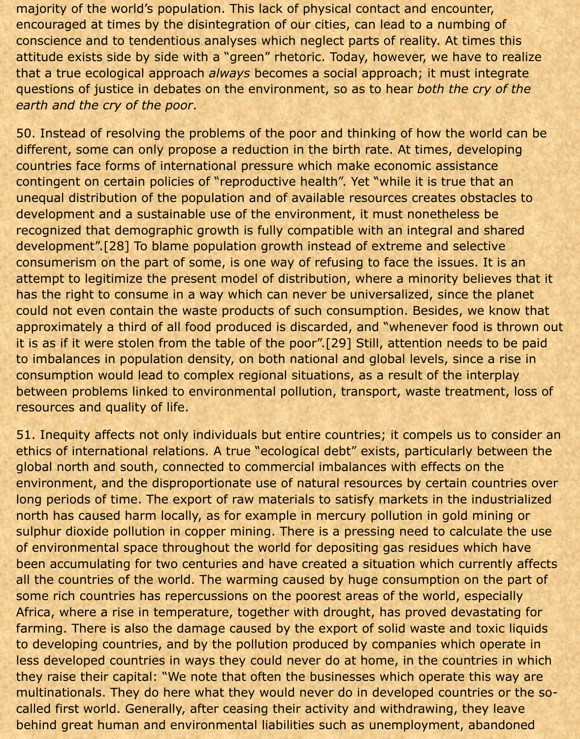#### *earth and the cry of the poor*.

50. Instead of resolving the problems of the poor and thinking of how the worl different, some can only propose a reduction in the birth rate. At times, develophed countries face forms of international pressure which make economic assistance contingent on certain policies of "reproductive health". Yet "while it is true that unequal distribution of the population and of available resources creates obsta development and a sustainable use of the environment, it must nonetheless be recognized that demographic growth is fully compatible with an integral and share development".[28] To blame population growth instead of extreme and selective consumerism on the part of some, is one way of refusing to face the issues. It attempt to legitimize the present model of distribution, where a minority belies has the right to consume in a way which can never be universalized, since the could not even contain the waste products of such consumption. Besides, we k approximately a third of all food produced is discarded, and "whenever food is it is as if it we[re sto](http://w2.vatican.va/content/francesco/en/encyclicals/documents/papa-francesco_20150524_enciclica-laudato-si.html#_ftn28)len from the table of the poor".[29] Still, attention needs to to imbalances in population density, on both national and global levels, since a consumption would lead to complex regional situations, as a result of the inter between problems linked to environmental pollution, transport, waste treatme resources and quality of life.

51. Inequity affects not only individuals but entire [coun](http://w2.vatican.va/content/francesco/en/encyclicals/documents/papa-francesco_20150524_enciclica-laudato-si.html#_ftn29)tries; it compels us to ethics of international relations. A true "ecological debt" exists, particularly between the global north and south, connected to commercial imbalances with effects on th environment, and the disproportionate use of natural resources by certain count long periods of time. The export of raw materials to satisfy markets in the indu north has caused harm locally, as for example in mercury pollution in gold min sulphur dioxide pollution in copper mining. There is a pressing need to calculat of environmental space throughout the world for depositing gas residues which been accumulating for two centuries and have created a situation which currently all the countries of the world. The warming caused by huge consumption on the some rich countries has repercussions on the poorest areas of the world, espe Africa, where a rise in temperature, together with drought, has proved devastating farming. There is also the damage caused by the export of solid waste and toxic liquids to developing countries, and by the pollution produced by companies which op less developed countries in ways they could never do at home, in the countries they raise their capital: "We note that often the businesses which operate this multinationals. They do here what they would never do in developed countries called first world. Generally, after ceasing their activity and withdrawing, they behind great human and environmental liabilities such as unemployment, abai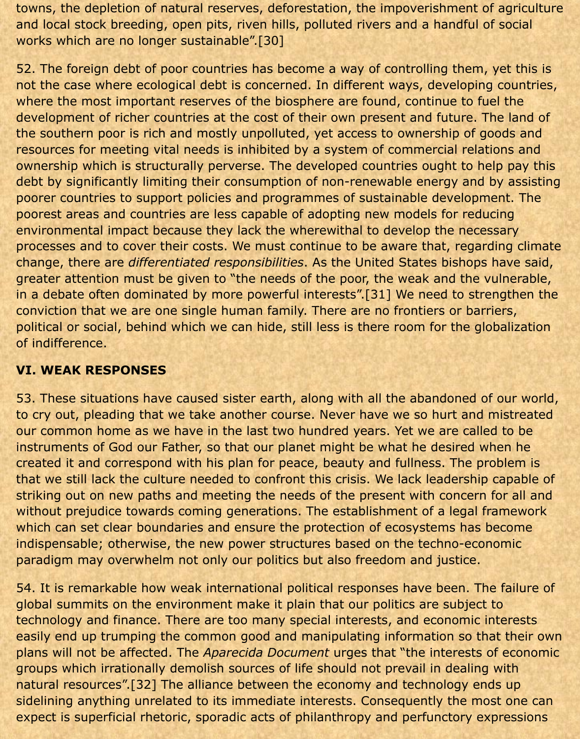where the most important reserves of the biosphere are found, continue to fuel the development of richer countries at the cost of their own present and future. The the southern poor is rich and mostly un[pollu](http://w2.vatican.va/content/francesco/en/encyclicals/documents/papa-francesco_20150524_enciclica-laudato-si.html#_ftn30)ted, yet access to ownership of good resources for meeting vital needs is inhibited by a system of commercial relati ownership which is structurally perverse. The developed countries ought to he debt by significantly limiting their consumption of non-renewable energy and b poorer countries to support policies and programmes of sustainable development poorest areas and countries are less capable of adopting new models for reduc environmental impact because they lack the wherewithal to develop the neces processes and to cover their costs. We must continue to be aware that, regard change, there are *differentiated responsibilities*. As the United States bishops greater attention must be given to "the needs of the poor, the weak and the v in a debate often dominated by more powerful interests".[31] We need to stre conviction that we are one single human family. There are no frontiers or barri political or social, behind which we can hide, still less is there room for the glo of indifference.

### **VI. WEAK RESPONSES**

53. These situations have caused sister earth, along with [all th](http://w2.vatican.va/content/francesco/en/encyclicals/documents/papa-francesco_20150524_enciclica-laudato-si.html#_ftn31)e abandoned of to cry out, pleading that we take another course. Never have we so hurt and r our common home as we have in the last two hundred years. Yet we are called instruments of God our Father, so that our planet might be what he desired when created it and correspond with his plan for peace, beauty and fullness. The pro that we still lack the culture needed to confront this crisis. We lack leadership striking out on new paths and meeting the needs of the present with concern i without prejudice towards coming generations. The establishment of a legal framework which can set clear boundaries and ensure the protection of ecosystems has be indispensable; otherwise, the new power structures based on the techno-econ paradigm may overwhelm not only our politics but also freedom and justice.

54. It is remarkable how weak international political responses have been. The global summits on the environment make it plain that our politics are subject technology and finance. There are too many special interests, and economic in easily end up trumping the common good and manipulating information so that plans will not be affected. The *Aparecida Document* urges that "the interests of groups which irrationally demolish sources of life should not prevail in dealing natural resources".[32] The alliance between the economy and technology end sidelining anything unrelated to its immediate interests. Consequently the most expect is superficial rhetoric, sporadic acts of philanthropy and perfunctory exp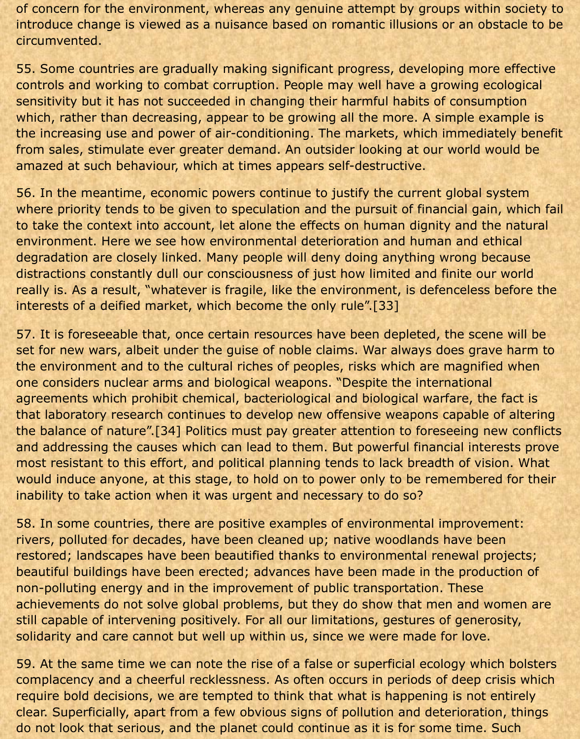sensitivity but it has not succeeded in changing their harmful habits of consumption which, rather than decreasing, appear to be growing all the more. A simple example the increasing use and power of air-conditioning. The markets, which immedia from sales, stimulate ever greater demand. An outsider looking at our world w amazed at such behaviour, which at times appears self-destructive.

56. In the meantime, economic powers continue to justify the current global s where priority tends to be given to speculation and the pursuit of financial gain to take the context into account, let alone the effects on human dignity and the environment. Here we see how environmental deterioration and human and eth degradation are closely linked. Many people will deny doing anything wrong be distractions constantly dull our consciousness of just how limited and finite our really is. As a result, "whatever is fragile, like the environment, is defenceless interests of a deified market, which become the only rule".[33]

57. It is foreseeable that, once certain resources have been depleted, the scer set for new wars, albeit under the guise of noble claims. War always does grave the environment and to the cultural riches of peoples, risks which are magnified one considers nuclear arms and biological weapons. "Despite the international agreements which prohibit chemical, bacter[iologi](http://w2.vatican.va/content/francesco/en/encyclicals/documents/papa-francesco_20150524_enciclica-laudato-si.html#_ftn33)cal and biological warfare, the that laboratory research continues to develop new offensive weapons capable the balance of nature".[34] Politics must pay greater attention to foreseeing new and addressing the causes which can lead to them. But powerful financial inter most resistant to this effort, and political planning tends to lack breadth of vision. would induce anyone, at this stage, to hold on to power only to be remembere inability to take action when it was urgent and necessary to do so?

58. In some countries, [ther](http://w2.vatican.va/content/francesco/en/encyclicals/documents/papa-francesco_20150524_enciclica-laudato-si.html#_ftn34)e are positive examples of environmental improver rivers, polluted for decades, have been cleaned up; native woodlands have been restored; landscapes have been beautified thanks to environmental renewal projects beautiful buildings have been erected; advances have been made in the produ non-polluting energy and in the improvement of public transportation. These achievements do not solve global problems, but they do show that men and w still capable of intervening positively. For all our limitations, gestures of generos solidarity and care cannot but well up within us, since we were made for love.

59. At the same time we can note the rise of a false or superficial ecology which complacency and a cheerful recklessness. As often occurs in periods of deep c require bold decisions, we are tempted to think that what is happening is not on clear. Superficially, apart from a few obvious signs of pollution and deterioration do not look that serious, and the planet could continue as it is for some time.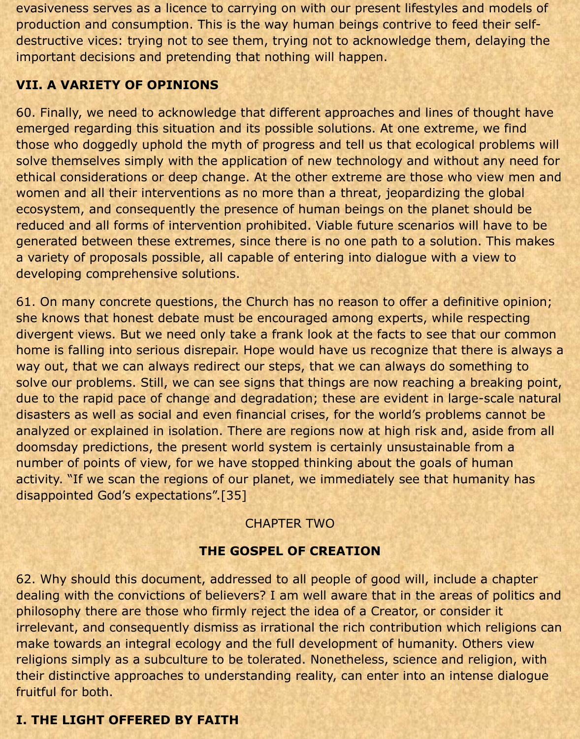60. Finally, we need to acknowledge that different approaches and lines of tho emerged regarding this situation and its possible solutions. At one extreme, w those who doggedly uphold the myth of progress and tell us that ecological problems solve themselves simply with the application of new technology and without an ethical considerations or deep change. At the other extreme are those who vie women and all their interventions as no more than a threat, jeopardizing the global ecosystem, and consequently the presence of human beings on the planet sho reduced and all forms of intervention prohibited. Viable future scenarios will have generated between these extremes, since there is no one path to a solution. This a variety of proposals possible, all capable of entering into dialogue with a view developing comprehensive solutions.

61. On many concrete questions, the Church has no reason to offer a definitive she knows that honest debate must be encouraged among experts, while resp divergent views. But we need only take a frank look at the facts to see that our home is falling into serious disrepair. Hope would have us recognize that there way out, that we can always redirect our steps, that we can always do someth solve our problems. Still, we can see signs that things are now reaching a break due to the rapid pace of change and degradation; these are evident in large-so disasters as well as social and even financial crises, for the world's problems c analyzed or explained in isolation. There are regions now at high risk and, aside from all doomsday predictions, the present world system is certainly unsustainable from number of points of view, for we have stopped thinking about the goals of hun activity. "If we scan the regions of our planet, we immediately see that human disappointed God's expectations".[35]

#### CHAPTER TWO

### **THE GOSPEL OF CREATION**

62. Why should this document, addressed to all people of good will, include a dealing with the convictions of b[elieve](http://w2.vatican.va/content/francesco/en/encyclicals/documents/papa-francesco_20150524_enciclica-laudato-si.html#_ftn35)rs? I am well aware that in the areas of philosophy there are those who firmly reject the idea of a Creator, or consider irrelevant, and consequently dismiss as irrational the rich contribution which re make towards an integral ecology and the full development of humanity. Other religions simply as a subculture to be tolerated. Nonetheless, science and relig their distinctive approaches to understanding reality, can enter into an intense fruitful for both.

# **I. THE LIGHT OFFERED BY FAITH**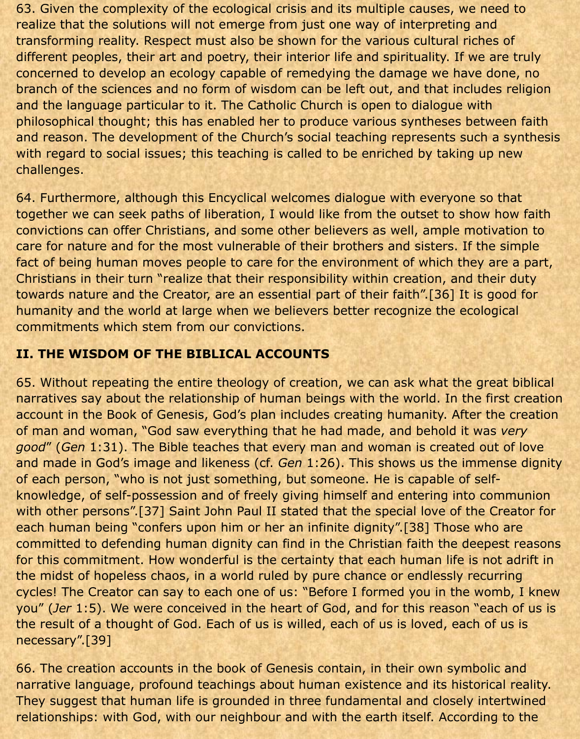and the language particular to it. The Catholic Church is open to dialogue with philosophical thought; this has enabled her to produce various syntheses betw and reason. The development of the Church's social teaching represents such with regard to social issues; this teaching is called to be enriched by taking up challenges.

64. Furthermore, although this Encyclical welcomes dialogue with everyone so together we can seek paths of liberation, I would like from the outset to show convictions can offer Christians, and some other believers as well, ample motit care for nature and for the most vulnerable of their brothers and sisters. If the fact of being human moves people to care for the environment of which they a Christians in their turn "realize that their responsibility within creation, and the towards nature and the Creator, are an essential part of their faith".[36] It is g humanity and the world at large when we believers better recognize the ecolog commitments which stem from our convictions.

# **II. THE WISDOM OF THE BIBLICAL ACCOUNTS**

65. Without repeating the entire theology of creation, we can ask what the great narratives say about the relationship of human beings with the wor[ld. In](http://w2.vatican.va/content/francesco/en/encyclicals/documents/papa-francesco_20150524_enciclica-laudato-si.html#_ftn36) the fi account in the Book of Genesis, God's plan includes creating humanity. After the of man and woman, "God saw everything that he had made, and behold it was *good"* (*Gen* 1:31). The Bible teaches that every man and woman is created ou and made in God's image and likeness (cf. *Gen* 1:26). This shows us the imme of each person, "who is not just something, but someone. He is capable of selfknowledge, of self-possession and of freely giving himself and entering into co with other persons".[37] Saint John Paul II stated that the special love of the C each human being "confers upon him or her an infinite dignity".[38] Those wh committed to defending human dignity can find in the Christian faith the deepen for this commitment. How wonderful is the certainty that each human life is no the midst of hopeless chaos, in a world ruled by pure chance or endlessly recurri cycles! The Creator can say to each one of us: "Before I formed you in the wo you" (*Jer* 1:5). We [were](http://w2.vatican.va/content/francesco/en/encyclicals/documents/papa-francesco_20150524_enciclica-laudato-si.html#_ftn37) conceived in the heart of God, and for this reason "ea the result of a thought of God. Each of us is willed, each of us i[s love](http://w2.vatican.va/content/francesco/en/encyclicals/documents/papa-francesco_20150524_enciclica-laudato-si.html#_ftn38)d, each of necessary".[39]

66. The creation accounts in the book of Genesis contain, in their own symboli narrative language, profound teachings about human existence and its historic They suggest that human life is grounded in three fundamental and closely int relationships: with God, with our neighbour and with the earth itself. According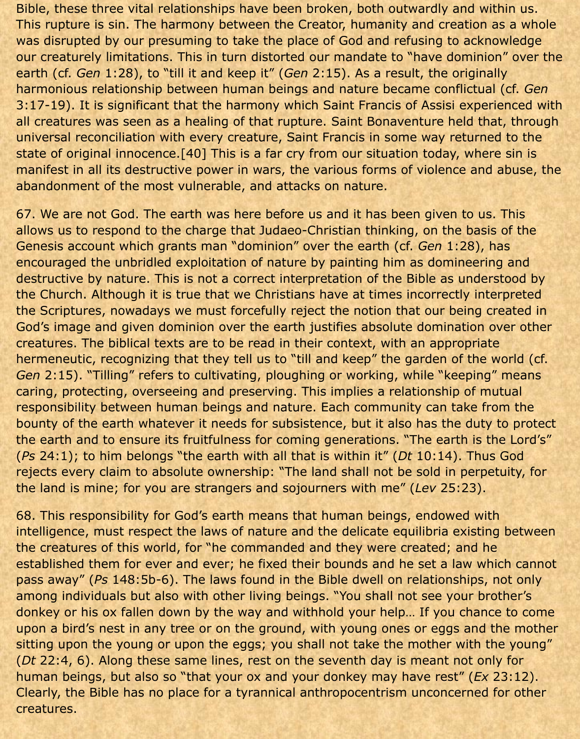3:17-19). It is significant that the harmony which Saint Francis of Assisi exper all creatures was seen as a healing of that rupture. Saint Bonaventure held that universal reconciliation with every creature, Saint Francis in some way returne state of original innocence.[40] This is a far cry from our situation today, wher manifest in all its destructive power in wars, the various forms of violence and abandonment of the most vulnerable, and attacks on nature.

67. We are not God. The earth was here before us and it has been given to us. allows us to respond to the charge that Judaeo-Christian thinking, on the basis Genesis account which gra[nts m](http://w2.vatican.va/content/francesco/en/encyclicals/documents/papa-francesco_20150524_enciclica-laudato-si.html#_ftn40)an "dominion" over the earth (cf. *Gen* 1:28), has encouraged the unbridled exploitation of nature by painting him as domineering destructive by nature. This is not a correct interpretation of the Bible as under the Church. Although it is true that we Christians have at times incorrectly interpreted the Scriptures, nowadays we must forcefully reject the notion that our being c God's image and given dominion over the earth justifies absolute domination of creatures. The biblical texts are to be read in their context, with an appropriat hermeneutic, recognizing that they tell us to "till and keep" the garden of the *Gen* 2:15). "Tilling" refers to cultivating, ploughing or working, while "keeping" caring, protecting, overseeing and preserving. This implies a relationship of m responsibility between human beings and nature. Each community can take from bounty of the earth whatever it needs for subsistence, but it also has the duty the earth and to ensure its fruitfulness for coming generations. "The earth is the (*Ps* 24:1); to him belongs "the earth with all that is within it" (*Dt* 10:14). Thus rejects every claim to absolute ownership: "The land shall not be sold in perpe the land is mine; for you are strangers and sojourners with me" (*Lev* 25:23).

68. This responsibility for God's earth means that human beings, endowed with intelligence, must respect the laws of nature and the delicate equilibria existin the creatures of this world, for "he commanded and they were created; and he established them for ever and ever; he fixed their bounds and he set a law wh pass away" (Ps 148:5b-6). The laws found in the Bible dwell on relationships, among individuals but also with other living beings. "You shall not see your brother donkey or his ox fallen down by the way and withhold your help... If you chand upon a bird's nest in any tree or on the ground, with young ones or eggs and the sitting upon the young or upon the eggs; you shall not take the mother with the (*Dt* 22:4, 6). Along these same lines, rest on the seventh day is meant not on human beings, but also so "that your ox and your donkey may have rest" (*Ex* 23:12). Clearly, the Bible has no place for a tyrannical anthropocentrism unconcerned creatures.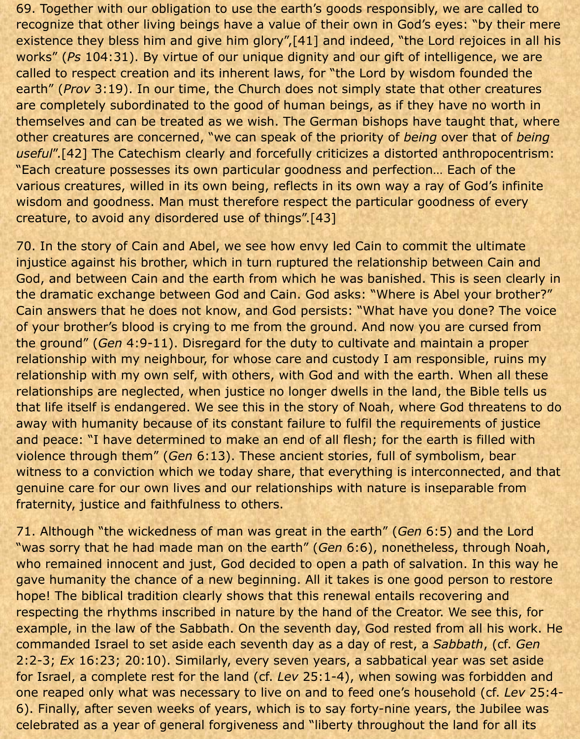are completely subordinated to the good of human beings, as if they have no word themselves and can be treated as we wish. The German bishops have taught t other creatures are concerned, "we can spea[k of t](http://w2.vatican.va/content/francesco/en/encyclicals/documents/papa-francesco_20150524_enciclica-laudato-si.html#_ftn41)he priority of *being* over that useful".<sup>[42]</sup> The Catechism clearly and forcefully criticizes a distorted anthropo "Each creature possesses its own particular goodness and perfection... Each of various creatures, willed in its own being, reflects in its own way a ray of God's wisdom and goodness. Man must therefore respect the particular goodness of creature, to avoid any disordered use of things".[43]

70. In [the st](http://w2.vatican.va/content/francesco/en/encyclicals/documents/papa-francesco_20150524_enciclica-laudato-si.html#_ftn42)ory of Cain and Abel, we see how envy led Cain to commit the ult injustice against his brother, which in turn ruptured the relationship between Cain and God, and between Cain and the earth from which he was banished. This is see the dramatic exchange between God and Cain. God asks: "Where is Abel your Cain answers that he does not know, and God p[ersist](http://w2.vatican.va/content/francesco/en/encyclicals/documents/papa-francesco_20150524_enciclica-laudato-si.html#_ftn43)s: "What have you done? of your brother's blood is crying to me from the ground. And now you are curs the ground" (*Gen* 4:9-11). Disregard for the duty to cultivate and maintain a proper relationship with my neighbour, for whose care and custody I am responsible, relationship with my own self, with others, with God and with the earth. When relationships are neglected, when justice no longer dwells in the land, the Bibl that life itself is endangered. We see this in the story of Noah, where God thre away with humanity because of its constant failure to fulfil the requirements of and peace: "I have determined to make an end of all flesh; for the earth is filled with an violence through them" (*Gen* 6:13). These ancient stories, full of symbolism, b witness to a conviction which we today share, that everything is interconnecte genuine care for our own lives and our relationships with nature is inseparable fraternity, justice and faithfulness to others.

71. Although "the wickedness of man was great in the earth" (*Gen* 6:5) and the "was sorry that he had made man on the earth" (*Gen* 6:6), nonetheless, throu who remained innocent and just, God decided to open a path of salvation. In this gave humanity the chance of a new beginning. All it takes is one good person hope! The biblical tradition clearly shows that this renewal entails recovering a respecting the rhythms inscribed in nature by the hand of the Creator. We see example, in the law of the Sabbath. On the seventh day, God rested from all h commanded Israel to set aside each seventh day as a day of rest, a *Sabbath*, 2:2-3; *Ex* 16:23; 20:10). Similarly, every seven years, a sabbatical year was s for Israel, a complete rest for the land (cf. *Lev* 25:1-4), when sowing was forb one reaped only what was necessary to live on and to feed one's household (c 6). Finally, after seven weeks of years, which is to say forty-nine years, the Ju celebrated as a year of general forgiveness and "liberty throughout the land for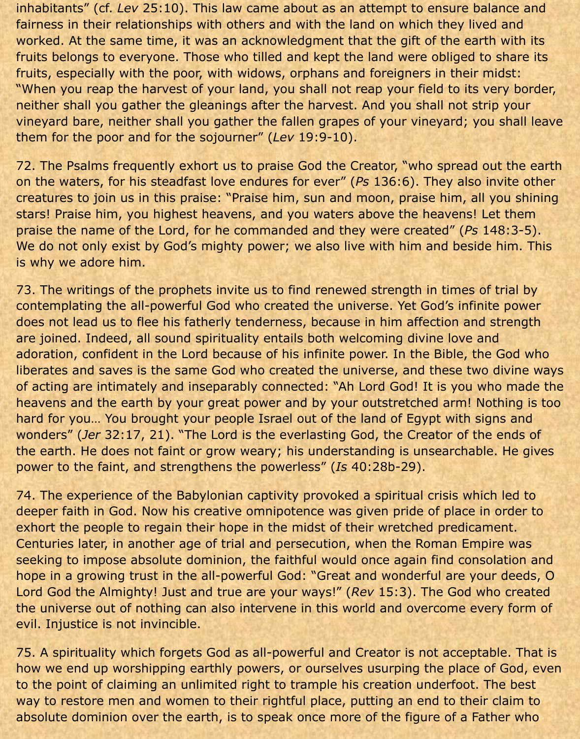inhabitants" (cf. *Lev* 25:10). This law came about as an attempt to ensure balance and fairness in their relationships with others and with the land on which they lived and worked. At the same time, it was an acknowledgment that the gift of the earth with its fruits belongs to everyone. Those who tilled and kept the land were obliged to share its fruits, especially with the poor, with widows, orphans and foreigners in their midst: "When you reap the harvest of your land, you shall not reap your field to its very border, neither shall you gather the gleanings after the harvest. And you shall not strip your vineyard bare, neither shall you gather the fallen grapes of your vineyard; you shall leave them for the poor and for the sojourner" (*Lev* 19:9-10).

72. The Psalms frequently exhort us to praise God the Creator, "who spread out the earth on the waters, for his steadfast love endures for ever" (*Ps* 136:6). They also invite other creatures to join us in this praise: "Praise him, sun and moon, praise him, all you shining stars! Praise him, you highest heavens, and you waters above the heavens! Let them praise the name of the Lord, for he commanded and they were created" (*Ps* 148:3-5). We do not only exist by God's mighty power; we also live with him and beside him. This is why we adore him.

73. The writings of the prophets invite us to find renewed strength in times of trial by contemplating the all-powerful God who created the universe. Yet God's infinite power does not lead us to flee his fatherly tenderness, because in him affection and strength are joined. Indeed, all sound spirituality entails both welcoming divine love and adoration, confident in the Lord because of his infinite power. In the Bible, the God who liberates and saves is the same God who created the universe, and these two divine ways of acting are intimately and inseparably connected: "Ah Lord God! It is you who made the heavens and the earth by your great power and by your outstretched arm! Nothing is too hard for you… You brought your people Israel out of the land of Egypt with signs and wonders" (*Jer* 32:17, 21). "The Lord is the everlasting God, the Creator of the ends of the earth. He does not faint or grow weary; his understanding is unsearchable. He gives power to the faint, and strengthens the powerless" (*Is* 40:28b-29).

74. The experience of the Babylonian captivity provoked a spiritual crisis which led to deeper faith in God. Now his creative omnipotence was given pride of place in order to exhort the people to regain their hope in the midst of their wretched predicament. Centuries later, in another age of trial and persecution, when the Roman Empire was seeking to impose absolute dominion, the faithful would once again find consolation and hope in a growing trust in the all-powerful God: "Great and wonderful are your deeds, O Lord God the Almighty! Just and true are your ways!" (*Rev* 15:3). The God who created the universe out of nothing can also intervene in this world and overcome every form of evil. Injustice is not invincible.

75. A spirituality which forgets God as all-powerful and Creator is not acceptable. That is how we end up worshipping earthly powers, or ourselves usurping the place of God, even to the point of claiming an unlimited right to trample his creation underfoot. The best way to restore men and women to their rightful place, putting an end to their claim to absolute dominion over the earth, is to speak once more of the figure of a Father who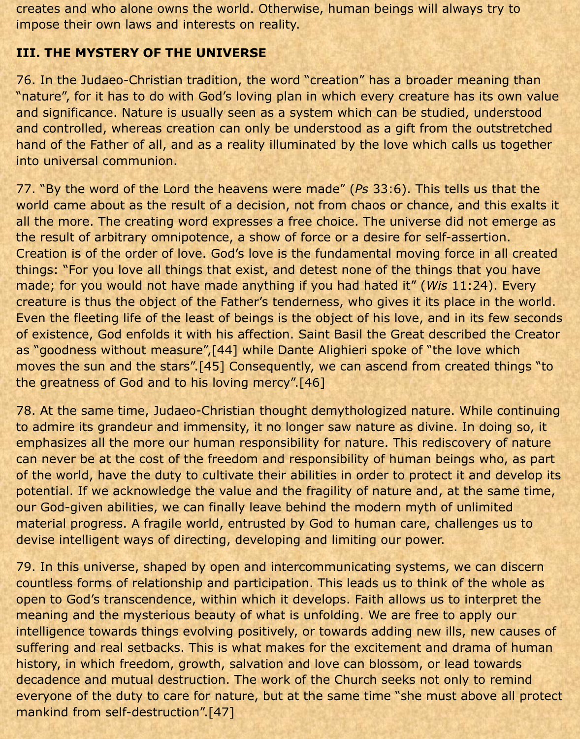"nature", for it has to do with God's loving plan in which every creature has its own value and significance. Nature is usually seen as a system which can be studied, und and controlled, whereas creation can only be understood as a gift from the out hand of the Father of all, and as a reality illuminated by the love which calls us into universal communion.

77. "By the word of the Lord the heavens were made" (Ps 33:6). This tells us that world came about as the result of a decision, not from chaos or chance, and th all the more. The creating word expresses a free choice. The universe did not the result of arbitrary omnipotence, a show of force or a desire for self-assertion. Creation is of the order of love. God's love is the fundamental moving force in things: "For you love all things that exist, and detest none of the things that y made; for you would not have made anything if you had hated it" (Wis 11:24). creature is thus the object of the Father's tenderness, who gives it its place in Even the fleeting life of the least of beings is the object of his love, and in its f of existence, God enfolds it with his affection. Saint Basil the Great described as "goodness without measure", [44] while Dante Alighieri spoke of "the love w moves the sun and the stars".[45] Consequently, we can ascend from created the greatness of God and to his loving mercy".[46]

78. At the same time, Judaeo-Christian thought demythologized nature. While to admire its grandeur and immensity, it no longer saw nature as divine. In do emphasizes all the more our hu[man](http://w2.vatican.va/content/francesco/en/encyclicals/documents/papa-francesco_20150524_enciclica-laudato-si.html#_ftn44) responsibility for nature. This rediscovery can never be at the cost of th[e free](http://w2.vatican.va/content/francesco/en/encyclicals/documents/papa-francesco_20150524_enciclica-laudato-si.html#_ftn45)dom and responsibility of human beings wh of the world, have the duty to cultivate their a[bilitie](http://w2.vatican.va/content/francesco/en/encyclicals/documents/papa-francesco_20150524_enciclica-laudato-si.html#_ftn46)s in order to protect it and potential. If we acknowledge the value and the fragility of nature and, at the s our God-given abilities, we can finally leave behind the modern myth of unlimit material progress. A fragile world, entrusted by God to human care, challenge devise intelligent ways of directing, developing and limiting our power.

79. In this universe, shaped by open and intercommunicating systems, we can countless forms of relationship and participation. This leads us to think of the open to God's transcendence, within which it develops. Faith allows us to inter meaning and the mysterious beauty of what is unfolding. We are free to apply intelligence towards things evolving positively, or towards adding new ills, new suffering and real setbacks. This is what makes for the excitement and drama history, in which freedom, growth, salvation and love can blossom, or lead tow decadence and mutual destruction. The work of the Church seeks not only to remind everyone of the duty to care for nature, but at the same time "she must above mankind from self-destruction".[47]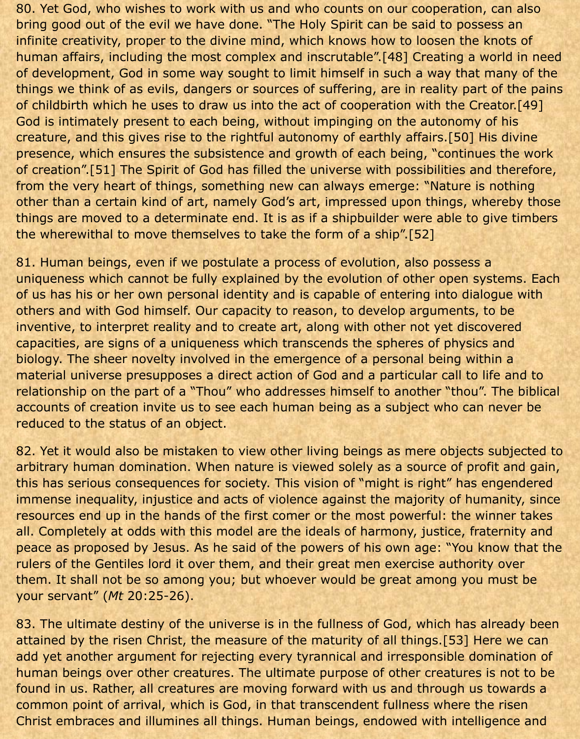of childbirth which he uses to draw us into the act of cooperation with the Crea God is intimately present to each being, without impinging on the autonomy of creature, and this gives rise to the rightful autonomy of earthly affairs.[50] His presence, which ensures the subsistence and growth of eac[h bein](http://w2.vatican.va/content/francesco/en/encyclicals/documents/papa-francesco_20150524_enciclica-laudato-si.html#_ftn48)g, "continues of creation".[51] The Spirit of God has filled the universe with possibilities and from the very heart of things, something new can always emerge: "Nature is no other than a certain kind of art, namely God's art, impressed upon things, when things are moved to a determinate end. It is as if a shipbuilder were able to gi the wherewithal to move themselves to take the form of a ship".[52]

81. Human [being](http://w2.vatican.va/content/francesco/en/encyclicals/documents/papa-francesco_20150524_enciclica-laudato-si.html#_ftn51)s, even if we postulate a process of evolution, also possess a uniqueness which cannot be fully explained by the evolution of other open sys of us has his or her own personal identity and is capable of entering into dialog others and with God himself. Our capacity to reason, to develop arguments, to inventive, to interpret reality and to create art, along with other [not y](http://w2.vatican.va/content/francesco/en/encyclicals/documents/papa-francesco_20150524_enciclica-laudato-si.html#_ftn52)et discov capacities, are signs of a uniqueness which transcends the spheres of physics biology. The sheer novelty involved in the emergence of a personal being with material universe presupposes a direct action of God and a particular call to lif relationship on the part of a "Thou" who addresses himself to another "thou". accounts of creation invite us to see each human being as a subject who can r reduced to the status of an object.

82. Yet it would also be mistaken to view other living beings as mere objects s arbitrary human domination. When nature is viewed solely as a source of profit this has serious consequences for society. This vision of "might is right" has eng immense inequality, injustice and acts of violence against the majority of hum resources end up in the hands of the first comer or the most powerful: the wir all. Completely at odds with this model are the ideals of harmony, justice, frate peace as proposed by Jesus. As he said of the powers of his own age: "You know rulers of the Gentiles lord it over them, and their great men exercise authority them. It shall not be so among you; but whoever would be great among you r your servant" (*Mt* 20:25-26).

83. The ultimate destiny of the universe is in the fullness of God, which has already attained by the risen Christ, the measure of the maturity of all things.[53] Her add yet another argument for rejecting every tyrannical and irresponsible dom human beings over other creatures. The ultimate purpose of other creatures is found in us. Rather, all creatures are moving forward with us and through us t common point of arrival, which is God, in that transcendent fullness where the Christ embraces and illumines all things. Human beings, endowed with intellig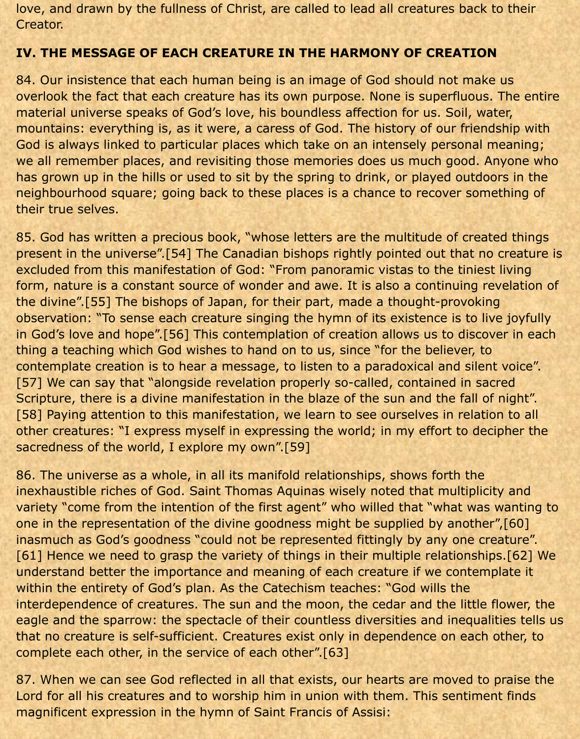overlook the fact that each creature has its own purpose. None is superfluous. The entire material universe speaks of God's love, his boundless affection for us. Soil, watermountains: everything is, as it were, a caress of God. The history of our friend God is always linked to particular places which take on an intensely personal nearwe all remember places, and revisiting those memories does us much good. A has grown up in the hills or used to sit by the spring to drink, or played outdoor neighbourhood square; going back to these places is a chance to recover some their true selves.

85. God has written a precious book, "whose letters are the multitude of creat present in the universe".[54] The Canadian bishops rightly pointed out that no excluded from this manifestation of God: "From panoramic vistas to the tiniest form, nature is a constant source of wonder and awe. It is also a continuing re the divine".[55] The bishops of Japan, for their part, made a thought-provoking observation: "To sense each creature singing the hymn of its existence is to live in God's love and hope".[56] This contemplation of creation allows us to discov thing a teaching which [God w](http://w2.vatican.va/content/francesco/en/encyclicals/documents/papa-francesco_20150524_enciclica-laudato-si.html#_ftn54)ishes to hand on to us, since "for the believer, to contemplate creation is to hear a message, to listen to a paradoxical and silen [57] We can say that "alongside revelation properly so-called, contained in sad Scripture, [there](http://w2.vatican.va/content/francesco/en/encyclicals/documents/papa-francesco_20150524_enciclica-laudato-si.html#_ftn55) is a divine manifestation in the blaze of the sun and the fall of [58] Paying attention to this manifestation, we learn to see ourselves in relation other creatures: "I expr[ess m](http://w2.vatican.va/content/francesco/en/encyclicals/documents/papa-francesco_20150524_enciclica-laudato-si.html#_ftn56)yself in expressing the world; in my effort to dec sacredness of the world, I explore my own".[59]

[86. T](http://w2.vatican.va/content/francesco/en/encyclicals/documents/papa-francesco_20150524_enciclica-laudato-si.html#_ftn57)he universe as a whole, in all its manifold relationships, shows forth the inexhaustible riches of God. Saint Thomas Aquinas wisely noted that multiplici [varie](http://w2.vatican.va/content/francesco/en/encyclicals/documents/papa-francesco_20150524_enciclica-laudato-si.html#_ftn58)ty "come from the intention of the first agent" who willed that "what was one in the representation of the divine goodness might be supplied by another inasmuch as God's goodness "could not be [repre](http://w2.vatican.va/content/francesco/en/encyclicals/documents/papa-francesco_20150524_enciclica-laudato-si.html#_ftn59)sented fittingly by any one creature  $[61]$  Hence we need to grasp the variety of things in their multiple relationship understand better the importance and meaning of each creature if we contemp within the entirety of God's plan. As the Catechism teaches: "God wills the interdependence of creatures. The sun and the moon, the cedar and the little flow eagle and the sparrow: the spectacle of their countless diversities and inequal that no creature is self-sufficient. Creatures exist only in dependence on each [comp](http://w2.vatican.va/content/francesco/en/encyclicals/documents/papa-francesco_20150524_enciclica-laudato-si.html#_ftn61)lete each other, in the service of each other".[63]

87. When we can see God reflected in all that exists, our hearts are moved to Lord for all his creatures and to worship him in union with them. This sentiment magnificent expression in the hymn of Saint Francis of Assisi: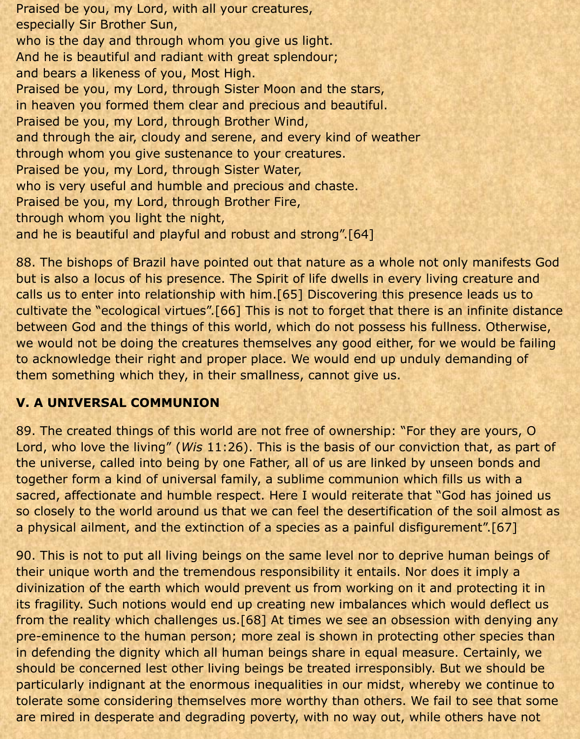in heaven you formed them clear and precious and beautiful. Praised be you, my Lord, through Brother Wind, and through the air, cloudy and serene, and every kind of weather through whom you give sustenance to your creatures. Praised be you, my Lord, through Sister Water, who is very useful and humble and precious and chaste. Praised be you, my Lord, through Brother Fire, through whom you light the night, and he is beautiful and playful and robust and strong".[64]

88. The bishops of Brazil have pointed out that nature as a whole not only ma but is also a locus of his presence. The Spirit of life dwells in every living creat calls us to enter into relationship with him.[65] Discovering this presence lead cultivate the "ecological virtues".[66] This is not to forget that there is an infin between God and the things of this world, which do n[ot pos](http://w2.vatican.va/content/francesco/en/encyclicals/documents/papa-francesco_20150524_enciclica-laudato-si.html#_ftn64)sess his fullness. C we would not be doing the creatures themselves any good either, for we would to acknowledge their right and proper place. We would end up unduly demand them something which they, in their smallness, cannot give us.

# **V. A UNIVERSAL COMMUNIO[N](http://w2.vatican.va/content/francesco/en/encyclicals/documents/papa-francesco_20150524_enciclica-laudato-si.html#_ftn66)**

89. The created things of this world are not free of ownership: "For they are your Lord, who love the living" (*Wis* 11:26). This is the basis of our conviction that, the universe, called into being by one Father, all of us are linked by unseen bo together form a kind of universal family, a sublime communion which fills us w sacred, affectionate and humble respect. Here I would reiterate that "God has so closely to the world around us that we can feel the desertification of the soi a physical ailment, and the extinction of a species as a painful disfigurement".

90. This is not to put all living beings on the same level nor to deprive human their unique worth and the tremendous responsibility it entails. Nor does it impo divinization of the earth which would prevent us from working on it and proted its fragility. Such notions would end up creating new imbalances which would of from the reality which challenges us. [68] At times we see an obsession with d pre-eminence to the human person; more zeal is shown in protecting other sp in defending the dignity which all human beings share in equal measure. Certainly should be concerned lest other living beings be treated irresponsibly. But we should be particularly indignant at the enormous inequalities in our midst, whereby we continue tolerate some considering themselves more worthy than others. We fail to see are mired in desperate and degradin[g pov](http://w2.vatican.va/content/francesco/en/encyclicals/documents/papa-francesco_20150524_enciclica-laudato-si.html#_ftn68)erty, with no way out, while others have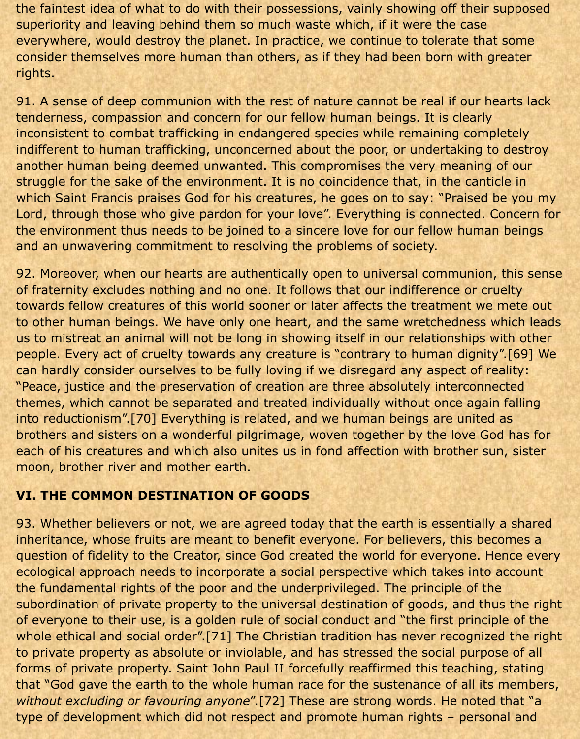91. A sense of deep communion with the rest of nature cannot be real if our hearts lack tenderness, compassion and concern for our fellow human beings. It is clearly inconsistent to combat trafficking in endangered species while remaining comp indifferent to human trafficking, unconcerned about the poor, or undertaking to another human being deemed unwanted. This compromises the very meaning struggle for the sake of the environment. It is no coincidence that, in the canti which Saint Francis praises God for his creatures, he goes on to say: "Praised Lord, through those who give pardon for your love". Everything is connected. ( the environment thus needs to be joined to a sincere love for our fellow huma and an unwavering commitment to resolving the problems of society.

92. Moreover, when our hearts are authentically open to universal communion of fraternity excludes nothing and no one. It follows that our indifference or cr towards fellow creatures of this world sooner or later affects the treatment we to other human beings. We have only one heart, and the same wretchedness which is us to mistreat an animal will not be long in showing itself in our relationships with our people. Every act of cruelty towards any creature is "contrary to human dignity can hardly consider ourselves to be fully loving if we disregard any aspect of reality "Peace, justice and the preservation of creation are three absolutely interconn themes, which cannot be separated and treated individually without once again into reductionism".[70] Everything is related, and we human beings are united brothers and sisters on a wonderful pilgrimage, woven together by the love Go each of his creatures and which also unites us in fond affection with brother sun moon, brother river and mother earth.

#### **VI. THE COMMON DESTINATION OF GOODS**

93. Whether belie[vers o](http://w2.vatican.va/content/francesco/en/encyclicals/documents/papa-francesco_20150524_enciclica-laudato-si.html#_ftn70)r not, we are agreed today that the earth is essentially inheritance, whose fruits are meant to benefit everyone. For believers, this be question of fidelity to the Creator, since God created the world for everyone. H ecological approach needs to incorporate a social perspective which takes into the fundamental rights of the poor and the underprivileged. The principle of the subordination of private property to the universal destination of goods, and th of everyone to their use, is a golden rule of social conduct and "the first principle whole ethical and social order".[71] The Christian tradition has never recognize to private property as absolute or inviolable, and has stressed the social purpose forms of private property. Saint John Paul II forcefully reaffirmed this teaching that "God gave the earth to the whole human race for the sustenance of all its *without excluding or favouring anyone*".[72] These are strong words. He noted type of development which did not respect and promote human rights  $-$  person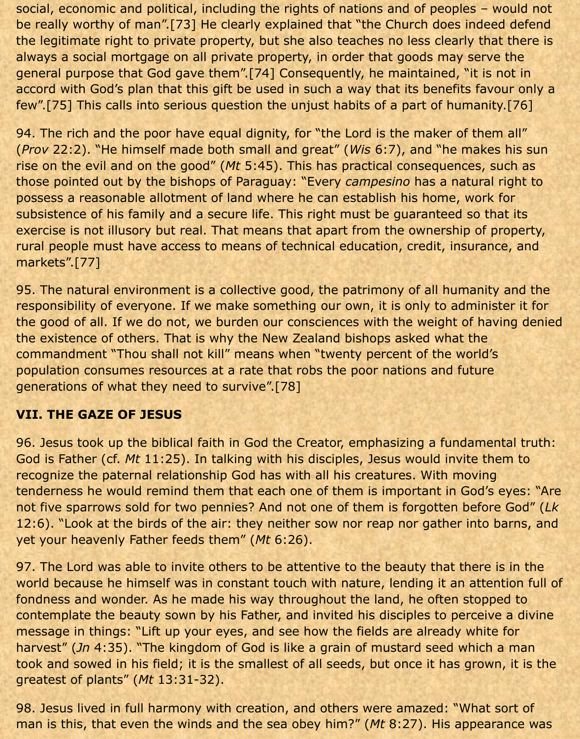few".[75] This calls into serious question the unjust habits of a part of humanit

94. The rich and the poo[r hav](http://w2.vatican.va/content/francesco/en/encyclicals/documents/papa-francesco_20150524_enciclica-laudato-si.html#_ftn73)e equal dignity, for "the Lord is the maker of the (*Prov* 22:2). "He himself made both small and great" (*Wis* 6:7), and "he make rise on the evil and on the good" (Mt [5:45\)](http://w2.vatican.va/content/francesco/en/encyclicals/documents/papa-francesco_20150524_enciclica-laudato-si.html#_ftn74). This has practical consequences, s those pointed out by the bishops of Paraguay: "Every *campesino* has a natural poss[ess a](http://w2.vatican.va/content/francesco/en/encyclicals/documents/papa-francesco_20150524_enciclica-laudato-si.html#_ftn75) reasonable allotment of land where he can establish his home, work subsistence of his family and a secure life. This right must be guaranteed so that exercise is not illusory but real. That means that apart from the ownership of rural people must have access to means of technical education, credit, insuran markets".[77]

95. The natural environment is a collective good, the patrimony of all humanit responsibility of everyone. If we make something our own, it is only to admini the good of all. If we do not, we burden our consciences with the weight of ha the existence of others. That is why the New Zealand bishops asked what the comman[dmen](http://w2.vatican.va/content/francesco/en/encyclicals/documents/papa-francesco_20150524_enciclica-laudato-si.html#_ftn77)t "Thou shall not kill" means when "twenty percent of the world' population consumes resources at a rate that robs the poor nations and future generations of what they need to survive".[78]

# **VII. THE GAZE OF JESUS**

96. Jesus took up the biblical faith in God the Creator, emphasizing a fundame God is Father (cf. Mt 11:25). In talking with his disciples, Jesus would invite th recognize the paternal relationship God has with all his creatures. With moving tenderness he would remind them that ea[ch on](http://w2.vatican.va/content/francesco/en/encyclicals/documents/papa-francesco_20150524_enciclica-laudato-si.html#_ftn78)e of them is important in God's not five sparrows sold for two pennies? And not one of them is forgotten befor 12:6). "Look at the birds of the air: they neither sow nor reap nor gather into yet your heavenly Father feeds them" (*Mt* 6:26).

97. The Lord was able to invite others to be attentive to the beauty that there world because he himself was in constant touch with nature, lending it an atte fondness and wonder. As he made his way throughout the land, he often stopp contemplate the beauty sown by his Father, and invited his disciples to perceive message in things: "Lift up your eyes, and see how the fields are already white harvest" (*Jn* 4:35). "The kingdom of God is like a grain of mustard seed which took and sowed in his field; it is the smallest of all seeds, but once it has grow greatest of plants" (*Mt* 13:31-32).

98. Jesus lived in full harmony with creation, and others were amazed: "What man is this, that even the winds and the sea obey him?" (Mt 8:27). His appear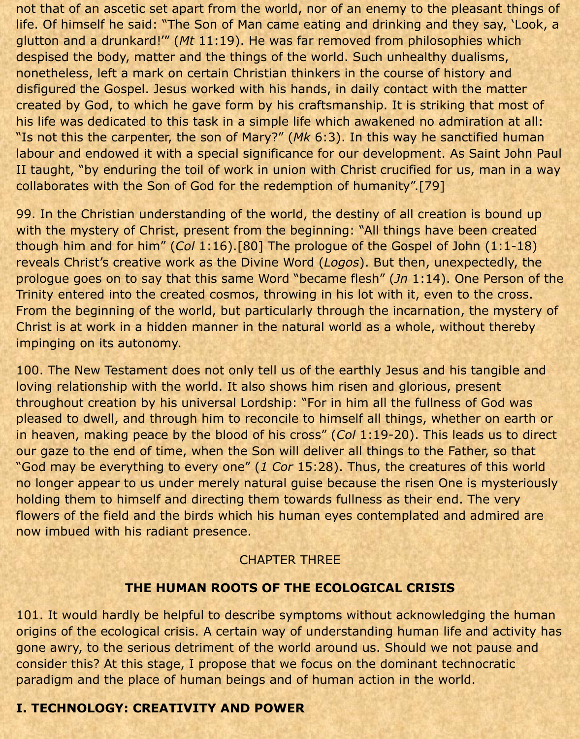created by God, to which he gave form by his craftsmanship. It is striking that his life was dedicated to this task in a simple life which awakened no admiration "Is not this the carpenter, the son of Mary?" (Mk 6:3). In this way he sanctified labour and endowed it with a special significance for our development. As Sair II taught, "by enduring the toil of work in union with Christ crucified for us, man collaborates with the Son of God for the redemption of humanity".[79]

99. In the Christian understanding of the world, the destiny of all creation is b with the mystery of Christ, present from the beginning: "All things have been though him and for him" (*Col* 1:16).[80] The prologue of the Gospel of John (1) reveals Christ's creative work as the Divine Word (Logos). But then, unexpecte prologue goes on to say that this same Word "became flesh" (*Jn* [1:14\)](http://w2.vatican.va/content/francesco/en/encyclicals/documents/papa-francesco_20150524_enciclica-laudato-si.html#_ftn79). One Pe Trinity entered into the created cosmos, throwing in his lot with it, even to the From the beginning of the world, but particularly through the incarnation, the Christ is at work in a hidden manner in the natural world as a whole, without the impinging on its autonomy.

100. The New Testament does not only tell us of the earthly Jesus and his tand loving relationship with the world. It also shows him risen and glorious, preser throughout creation by his universal Lordship: "For in him all the fullness of Go pleased to dwell, and through him to reconcile to himself all things, whether o in heaven, making peace by the blood of his cross" (Col 1:19-20). This leads u our gaze to the end of time, when the Son will deliver all things to the Father, "God may be everything to every one" (1 Cor 15:28). Thus, the creatures of the no longer appear to us under merely natural guise because the risen One is m holding them to himself and directing them towards fullness as their end. The flowers of the field and the birds which his human eyes contemplated and adm now imbued with his radiant presence.

#### CHAPTER THREE

### **THE HUMAN ROOTS OF THE ECOLOGICAL CRISIS**

101. It would hardly be helpful to describe symptoms without acknowledging to origins of the ecological crisis. A certain way of understanding human life and gone awry, to the serious detriment of the world around us. Should we not pain consider this? At this stage, I propose that we focus on the dominant technocr paradigm and the place of human beings and of human action in the world.

# **I. TECHNOLOGY: CREATIVITY AND POWER**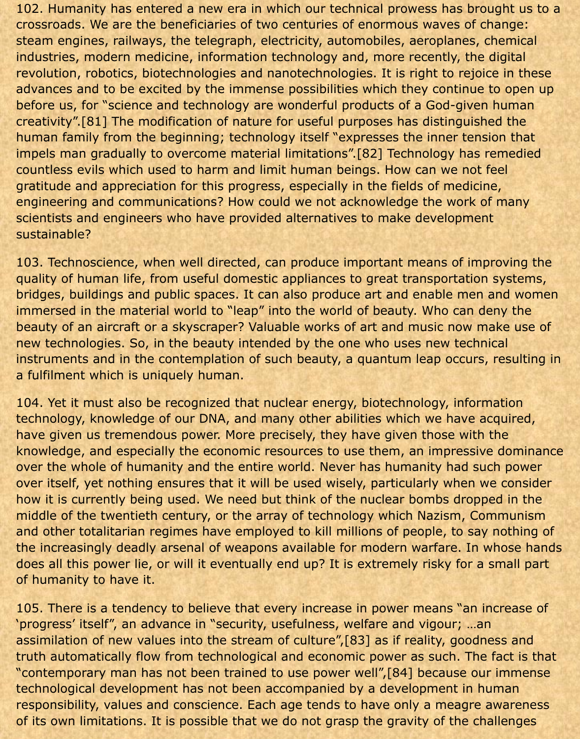before us, for "science and technology are wonderful products of a God-given creativity".[81] The modification of nature for useful purposes has distinguishe human family from the beginning; technology itself "expresses the inner tension impels man gradually to overcome material limitations".[82] Technology has re countless evils which used to harm and limit human beings. How can we not fo gratitude and appreciation for this progress, especially in the fields of medicine, engineering and communications? How could we not acknowledge the work of scientists [and e](http://w2.vatican.va/content/francesco/en/encyclicals/documents/papa-francesco_20150524_enciclica-laudato-si.html#_ftn81)ngineers who have provided alternatives to make development sustainable?

103. Technoscience, when well directed, can produce i[mporta](http://w2.vatican.va/content/francesco/en/encyclicals/documents/papa-francesco_20150524_enciclica-laudato-si.html#_ftn82)nt means of impi quality of human life, from useful domestic appliances to great transportation bridges, buildings and public spaces. It can also produce art and enable men and immersed in the material world to "leap" into the world of beauty. Who can de beauty of an aircraft or a skyscraper? Valuable works of art and music now ma new technologies. So, in the beauty intended by the one who uses new technic instruments and in the contemplation of such beauty, a quantum leap occurs, a fulfilment which is uniquely human.

104. Yet it must also be recognized that nuclear energy, biotechnology, inform technology, knowledge of our DNA, and many other abilities which we have ac have given us tremendous power. More precisely, they have given those with the knowledge, and especially the economic resources to use them, an impressive over the whole of humanity and the entire world. Never has humanity had suc over itself, yet nothing ensures that it will be used wisely, particularly when we how it is currently being used. We need but think of the nuclear bombs droppe middle of the twentieth century, or the array of technology which Nazism, Con and other totalitarian regimes have employed to kill millions of people, to say the increasingly deadly arsenal of weapons available for modern warfare. In w does all this power lie, or will it eventually end up? It is extremely risky for a s of humanity to have it.

105. There is a tendency to believe that every increase in power means "an in 'progress' itself", an advance in "security, usefulness, welfare and vigour; …an assimilation of new values into the stream of culture", [83] as if reality, goodne truth automatically flow from technological and economic power as such. The "contemporary man has not been trained to use power well", [84] because our technological development has not been accompanied by a development in humannism responsibility, values and conscience. Each age tends to have only a meagre a of its own limitations. It is possible that we do not grasp the gravity of the cha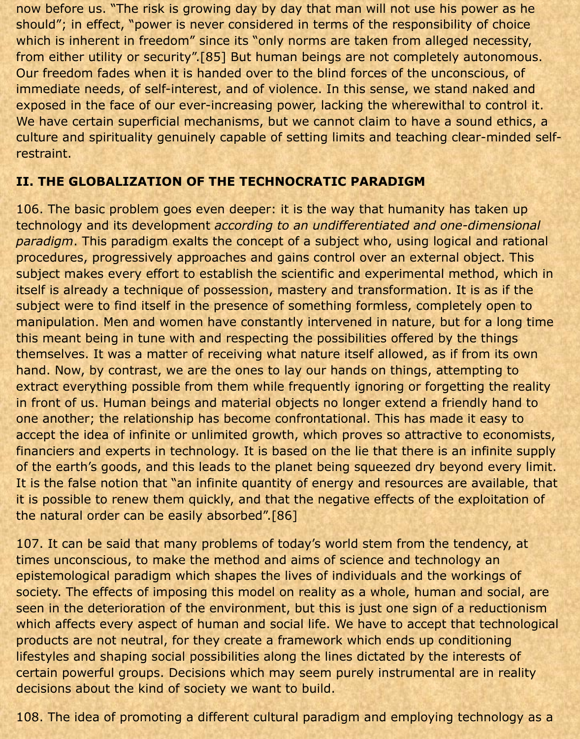exposed in the face of our ever-increasing power, lacking the wherewithal to c We have certain superficial mechanisms, but we cannot claim to have a sound culture and spirituality genuinely capable of setting limits and teaching clear-n restraint.

### **II. THE GLOBALIZATION OF THE TECHNOCRATIC PARADIGM**

106. The basic problem goes even deeper: it is the way that humanity has tak technology and its development *according to an undifferentiated and one-dime paradigm*. This paradigm exalts the concept of a subject who, using logical and procedures, progressively approaches and gains control over an external object subject makes every effort to establish the scientific and experimental method itself is already a technique of possession, mastery and transformation. It is a subject were to find itself in the presence of something formless, completely o manipulation. Men and women have constantly intervened in nature, but for a this meant being in tune with and respecting the possibilities offered by the th themselves. It was a matter of receiving what nature itself allowed, as if from hand. Now, by contrast, we are the ones to lay our hands on things, attempting extract everything possible from them while frequently ignoring or forgetting to in front of us. Human beings and material objects no longer extend a friendly one another; the relationship has become confrontational. This has made it eas accept the idea of infinite or unlimited growth, which proves so attractive to eq financiers and experts in technology. It is based on the lie that there is an infir of the earth's goods, and this leads to the planet being squeezed dry beyond  $\epsilon$ It is the false notion that "an infinite quantity of energy and resources are avail it is possible to renew them quickly, and that the negative effects of the exploit the natural order can be easily absorbed".[86]

107. It can be said that many problems of today's world stem from the tender times unconscious, to make the method and aims of science and technology a epistemological paradigm which shapes the lives of individuals and the working society. The effects of imposing this model on reality as a whole, human and social, and seen in the deterioration of the environm[ent, b](http://w2.vatican.va/content/francesco/en/encyclicals/documents/papa-francesco_20150524_enciclica-laudato-si.html#_ftn86)ut this is just one sign of a redu which affects every aspect of human and social life. We have to accept that te products are not neutral, for they create a framework which ends up condition lifestyles and shaping social possibilities along the lines dictated by the interes certain powerful groups. Decisions which may seem purely instrumental are in decisions about the kind of society we want to build.

108. The idea of promoting a different cultural paradigm and employing technology as a string as a finite as a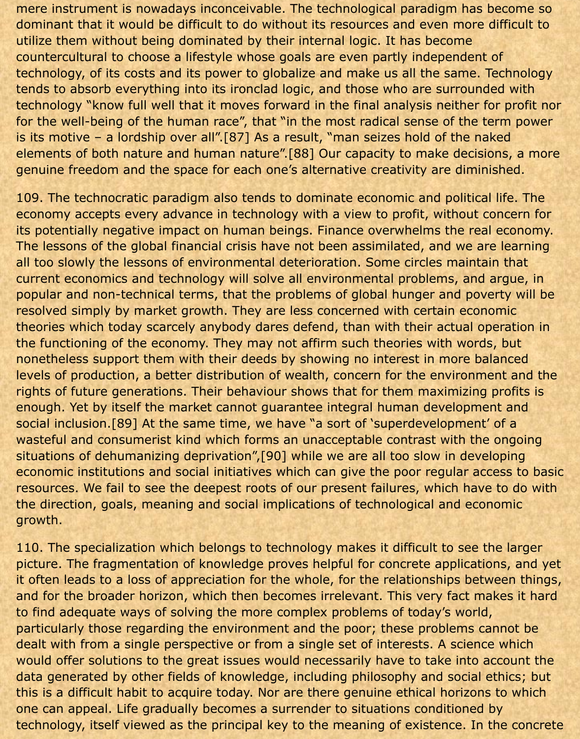technology "know full well that it moves forward in the final analysis neither fo for the well-being of the human race", that "in the most radical sense of the te is its motive – a lordship over all".[87] As a result, "man seizes hold of the nak elements of both nature and human nature".[88] Our capacity to make decision genuine freedom and the space for each one's alternative creativity are dimini

109. The technocratic paradigm also tends to dominate economic and political economy accepts every advance in technology with a view to profit, without concern its potentially negative impact on [huma](http://w2.vatican.va/content/francesco/en/encyclicals/documents/papa-francesco_20150524_enciclica-laudato-si.html#_ftn87)n beings. Finance overwhelms the real The lessons of the global financial crisis hav[e not](http://w2.vatican.va/content/francesco/en/encyclicals/documents/papa-francesco_20150524_enciclica-laudato-si.html#_ftn88) been assimilated, and we are all too slowly the lessons of environmental deterioration. Some circles maintai current economics and technology will solve all environmental problems, and a popular and non-technical terms, that the problems of global hunger and pove resolved simply by market growth. They are less concerned with certain economic theories which today scarcely anybody dares defend, than with their actual op the functioning of the economy. They may not affirm such theories with words nonetheless support them with their deeds by showing no interest in more bal levels of production, a better distribution of wealth, concern for the environme rights of future generations. Their behaviour shows that for them maximizing enough. Yet by itself the market cannot guarantee integral human developmer social inclusion.[89] At the same time, we have "a sort of 'superdevelopment' wasteful and consumerist kind which forms an unacceptable contrast with the situations of dehumanizing deprivation",[90] while we are all too slow in devel economic institutions and social initiatives which can give the poor regular acc resources. We fail to see the deepest roots of our present failures, which have the direction, goals, meaning and social implications of technological and econ growth.

110. The specialization which belongs t[o tech](http://w2.vatican.va/content/francesco/en/encyclicals/documents/papa-francesco_20150524_enciclica-laudato-si.html#_ftn90)nology makes it difficult to see the picture. The fragmentation of knowledge proves helpful for concrete applications it often leads to a loss of appreciation for the whole, for the relationships betw and for the broader horizon, which then becomes irrelevant. This very fact ma to find adequate ways of solving the more complex problems of today's world, particularly those regarding the environment and the poor; these problems can dealt with from a single perspective or from a single set of interests. A science would offer solutions to the great issues would necessarily have to take into a data generated by other fields of knowledge, including philosophy and social e this is a difficult habit to acquire today. Nor are there genuine ethical horizons one can appeal. Life gradually becomes a surrender to situations conditioned by technology, itself viewed as the principal key to the meaning of existence. In t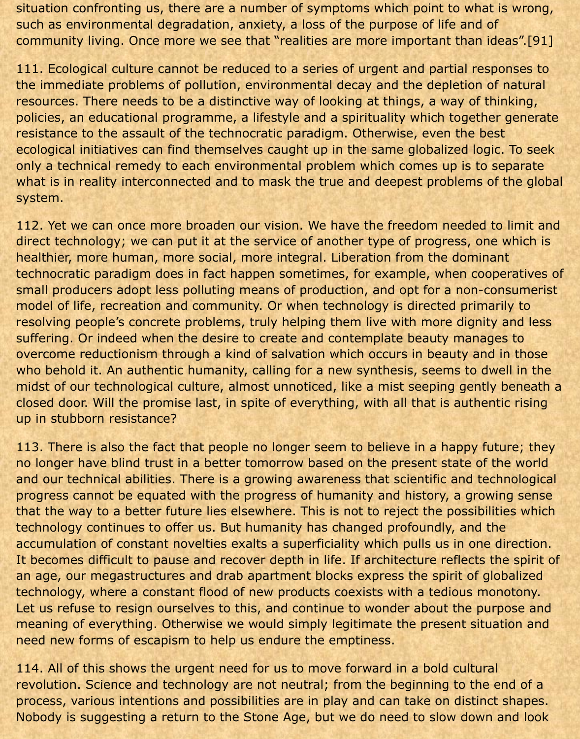resources. There needs to be a distinctive way of looking at things, a way of thinking, policies, an educational programme, a lifestyle and a spirituality which together resistance to the assault of the technocratic paradigm. Otherwise, even the be ecological initiatives can find themselves caught up in the same globalized logi only a technical remedy to each environmental problem which comes up is to what is in reality interconnected and to mask the true and deepest problems of system.

112. Yet we can once more broaden our vision. We have the freedom needed to direct technology; we can put it at the service of another type of progress, one healthier, more human, more social, more integral. Liberation from the domina technocratic paradigm does in fact happen sometimes, for example, when coo small producers adopt less polluting means of production, and opt for a non-consumersity model of life, recreation and community. Or when technology is directed primarily resolving people's concrete problems, truly helping them live with more dignity suffering. Or indeed when the desire to create and contemplate beauty manages overcome reductionism through a kind of salvation which occurs in beauty and who behold it. An authentic humanity, calling for a new synthesis, seems to dy midst of our technological culture, almost unnoticed, like a mist seeping gently closed door. Will the promise last, in spite of everything, with all that is auther up in stubborn resistance?

113. There is also the fact that people no longer seem to believe in a happy fu no longer have blind trust in a better tomorrow based on the present state of and our technical abilities. There is a growing awareness that scientific and ted progress cannot be equated with the progress of humanity and history, a grow that the way to a better future lies elsewhere. This is not to reject the possibil technology continues to offer us. But humanity has changed profoundly, and the accumulation of constant novelties exalts a superficiality which pulls us in one It becomes difficult to pause and recover depth in life. If architecture reflects to an age, our megastructures and drab apartment blocks express the spirit of global technology, where a constant flood of new products coexists with a tedious monotony. Let us refuse to resign ourselves to this, and continue to wonder about the pu meaning of everything. Otherwise we would simply legitimate the present situ need new forms of escapism to help us endure the emptiness.

114. All of this shows the urgent need for us to move forward in a bold cultural revolution. Science and technology are not neutral; from the beginning to the process, various intentions and possibilities are in play and can take on distinc Nobody is suggesting a return to the Stone Age, but we do need to slow down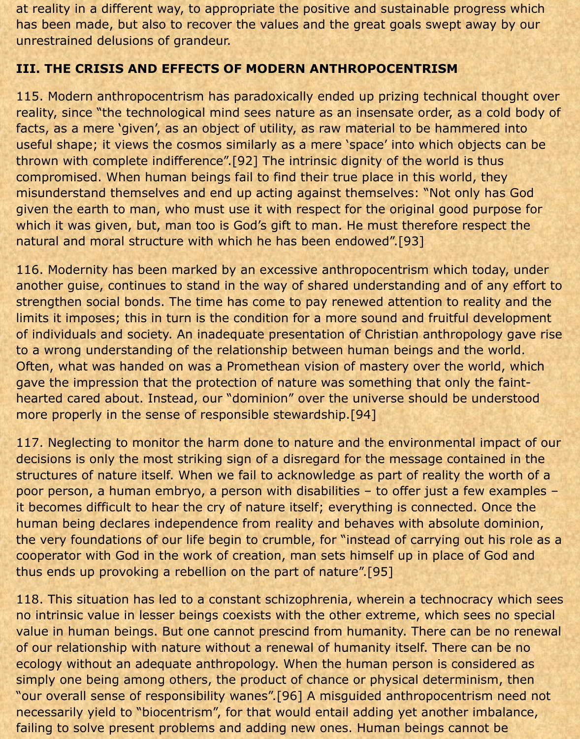115. Modern anthropocentrism has paradoxically ended up prizing technical thought over reality, since "the technological mind sees nature as an insensate order, as a c facts, as a mere 'given', as an object of utility, as raw material to be hammere useful shape; it views the cosmos similarly as a mere 'space' into which object thrown with complete indifference".[92] The intrinsic dignity of the world is the compromised. When human beings fail to find their true place in this world, the misunderstand themselves and end up acting against themselves: "Not only has given the earth to man, who must use it with respect for the original good pur which it was given, but, man too is God's gift to man. He must therefore respe natural and moral structure with which he has been endowed".[93]

116. Modernity has been marked b[y an](http://w2.vatican.va/content/francesco/en/encyclicals/documents/papa-francesco_20150524_enciclica-laudato-si.html#_ftn92) excessive anthropocentrism which tod another guise, continues to stand in the way of shared understanding and of a strengthen social bonds. The time has come to pay renewed attention to realit limits it imposes; this in turn is the condition for a more sound and fruitful dev of individuals and society. An inadequate presentation of Chris[tian a](http://w2.vatican.va/content/francesco/en/encyclicals/documents/papa-francesco_20150524_enciclica-laudato-si.html#_ftn93)nthropolog to a wrong understanding of the relationship between human beings and the v Often, what was handed on was a Promethean vision of mastery over the worl gave the impression that the protection of nature was something that only the hearted cared about. Instead, our "dominion" over the universe should be und more properly in the sense of responsible stewardship.[94]

117. Neglecting to monitor the harm done to nature and the environmental im decisions is only the most striking sign of a disregard for the message contained structures of nature itself. When we fail to acknowledge as part of reality the v poor person, a human embryo, a person with disabilities – to offer just a few  $\epsilon$ it becomes difficult to hear the cry of nature itself; ev[erythi](http://w2.vatican.va/content/francesco/en/encyclicals/documents/papa-francesco_20150524_enciclica-laudato-si.html#_ftn94)ng is connected. On human being declares independence from reality and behaves with absolute dominion. the very foundations of our life begin to crumble, for "instead of carrying out h cooperator with God in the work of creation, man sets himself up in place of G thus ends up provoking a rebellion on the part of nature".[95]

118. This situation has led to a constant schizophrenia, wherein a technocracy no intrinsic value in lesser beings coexists with the other extreme, which sees value in human beings. But one cannot prescind from humanity. There can be of our relationship with nature without a renewal of humanity itself. There can ecology without an adequate anthropology. When the hu[man p](http://w2.vatican.va/content/francesco/en/encyclicals/documents/papa-francesco_20150524_enciclica-laudato-si.html#_ftn95)erson is considered as simply one being among others, the product of chance or physical determinism "our overall sense of responsibility wanes".[96] A misquided anthropocentrism necessarily yield to "biocentrism", for that would entail adding yet another imbalance, failing to solve present problems and adding new ones. Human beings cannot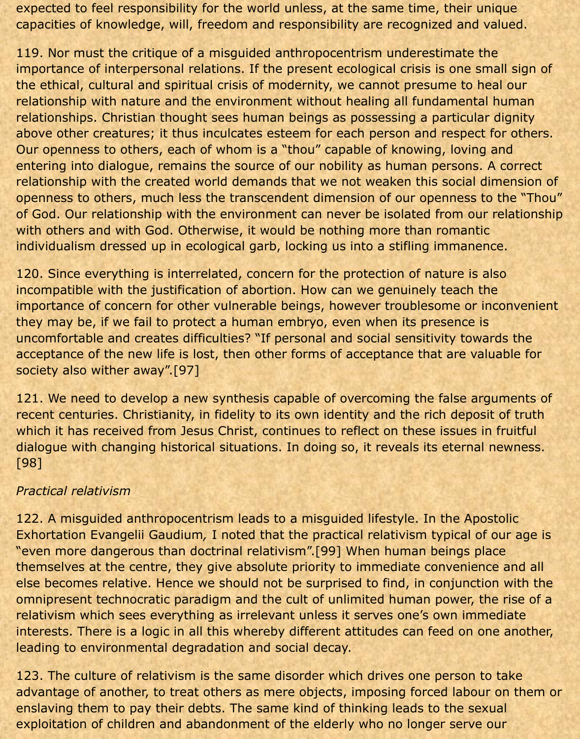relationship with nature and the environment without healing all fundamental human relationships. Christian thought sees human beings as possessing a particular above other creatures; it thus inculcates esteem for each person and respect for Our openness to others, each of whom is a "thou" capable of knowing, loving a entering into dialogue, remains the source of our nobility as human persons. A relationship with the created world demands that we not weaken this social dirential openness to others, much less the transcendent dimension of our openness to of God. Our relationship with the environment can never be isolated from our with others and with God. Otherwise, it would be nothing more than romantic individualism dressed up in ecological garb, locking us into a stifling immanene

120. Since everything is interrelated, concern for the protection of nature is al incompatible with the justification of abortion. How can we genuinely teach the importance of concern for other vulnerable beings, however troublesome or in they may be, if we fail to protect a human embryo, even when its presence is uncomfortable and creates difficulties? "If personal and social sensitivity towar acceptance of the new life is lost, then other forms of acceptance that are valu society also wither away".[97]

121. We need to develop a new synthesis capable of overcoming the false arguments recent centuries. Christianity, in fidelity to its own identity and the rich deposit which it has received from Jesus Christ, continues to reflect on these issues in dialogue with changing historical situations. In doing so, it reveals its eternal r [98]

#### *Practical relativism*

122. A misguided anthropocentrism leads to a misguided lifestyle. In the Apos Exhortation Evangelii Gaudium, I noted that the practical relativism typical of "even more dangerous than doctrinal relativism".[99] When human beings pla [them](http://w2.vatican.va/content/francesco/en/encyclicals/documents/papa-francesco_20150524_enciclica-laudato-si.html#_ftn98)selves at the centre, they give absolute priority to immediate convenienc else becomes relative. Hence we should not be surprised to find, in conjunctio omnipresent technocratic paradigm and the cult of unlimited human power, the relativism which sees everything as irrelevant unless it serves one's own imme interests. T[here is a logic in all](http://w2.vatican.va/content/francesco/en/apost_exhortations/documents/papa-francesco_esortazione-ap_20131124_evangelii-gaudium.html) this whereby different attitudes can feed on on leading to environmental degradation and social [decay](http://w2.vatican.va/content/francesco/en/encyclicals/documents/papa-francesco_20150524_enciclica-laudato-si.html#_ftn99).

123. The culture of relativism is the same disorder which drives one person to advantage of another, to treat others as mere objects, imposing forced labour enslaving them to pay their debts. The same kind of thinking leads to the sexual exploitation of children and abandonment of the elderly who no longer serve o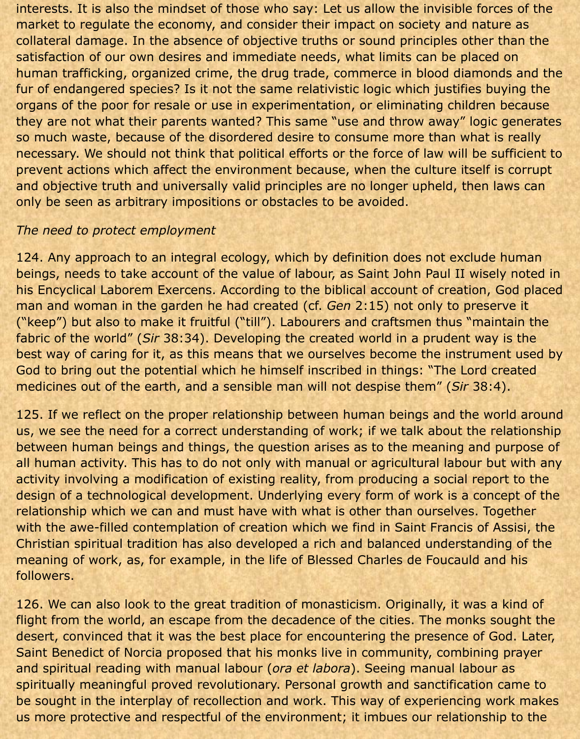organs of the poor for resale or use in experimentation, or eliminating children they are not what their parents wanted? This same "use and throw away" logic so much waste, because of the disordered desire to consume more than what necessary. We should not think that political efforts or the force of law will be strated to prevent actions which affect the environment because, when the culture itself and objective truth and universally valid principles are no longer upheld, then only be seen as arbitrary impositions or obstacles to be avoided.

#### *The need to protect employment*

124. Any approach to an integral ecology, which by definition does not exclude beings, needs to take account of the value of labour, as Saint John Paul II wise his Encyclical Laborem Exercens. According to the biblical account of creation, man and woman in the garden he had created (cf. *Gen* 2:15) not only to prese ("keep") but also to make it fruitful ("till"). Labourers and craftsmen thus "maintain the the the the the the fabric of the world" (*Sir* 38:34). Developing the created world in a prudent way best way of caring for it, as this means that we ourselves become the instrum God to bring out the potential which he himself inscribed in things: "The Lord medicines ou[t of the earth, and a](http://w2.vatican.va/content/john-paul-ii/en/encyclicals/documents/hf_jp-ii_enc_14091981_laborem-exercens.html) sensible man will not despise them" (*Sir* 38:4).

125. If we reflect on the proper relationship between human beings and the w us, we see the need for a correct understanding of work; if we talk about the relationship between human beings and things, the question arises as to the meaning and all human activity. This has to do not only with manual or agricultural labour b activity involving a modification of existing reality, from producing a social rep design of a technological development. Underlying every form of work is a con relationship which we can and must have with what is other than ourselves. To with the awe-filled contemplation of creation which we find in Saint Francis of Christian spiritual tradition has also developed a rich and balanced understand meaning of work, as, for example, in the life of Blessed Charles de Foucauld and followers.

126. We can also look to the great tradition of monasticism. Originally, it was a flight from the world, an escape from the decadence of the cities. The monks is desert, convinced that it was the best place for encountering the presence of God. Saint Benedict of Norcia proposed that his monks live in community, combining and spiritual reading with manual labour (*ora et labora*). Seeing manual labou spiritually meaningful proved revolutionary. Personal growth and sanctification be sought in the interplay of recollection and work. This way of experiencing w us more protective and respectful of the environment; it imbues our relationship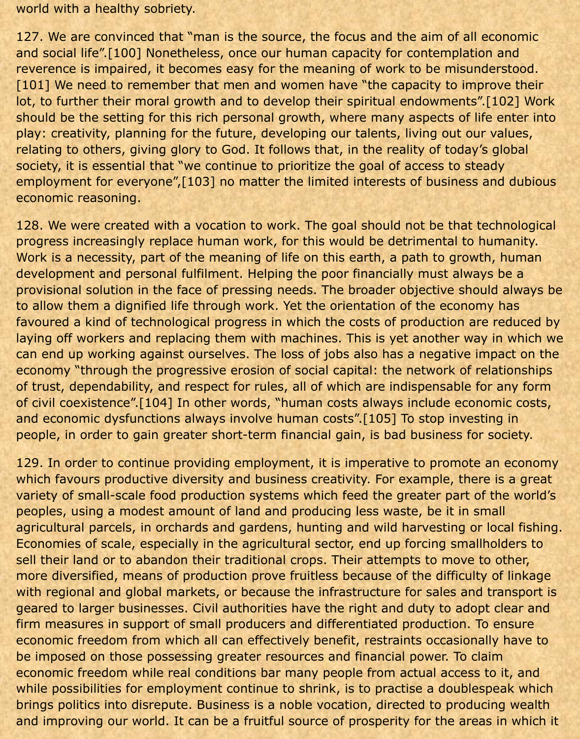lot, to further their moral growth and to develop their spiritual endowments".[102] Work should be the setting for this rich personal growth, where many aspects of life play: creativity, planning for the future, developing our talents, living out our v relating to oth[ers, giv](http://w2.vatican.va/content/francesco/en/encyclicals/documents/papa-francesco_20150524_enciclica-laudato-si.html#_ftn100)ing glory to God. It follows that, in the reality of today's society, it is essential that "we continue to prioritize the goal of access to stead [emplo](http://w2.vatican.va/content/francesco/en/encyclicals/documents/papa-francesco_20150524_enciclica-laudato-si.html#_ftn101)yment for everyone", $[103]$  no matter the limited interests of business and economic reasoning.

128. We were created with a vocation to work. The goal should not be that ted progress increasingly replace human work, for this would be detrimental to hu Work is a necessity, part of the meaning of life on this earth, a path to growth development and personal [fulfilm](http://w2.vatican.va/content/francesco/en/encyclicals/documents/papa-francesco_20150524_enciclica-laudato-si.html#_ftn103)ent. Helping the poor financially must always provisional solution in the face of pressing needs. The broader objective should to allow them a dignified life through work. Yet the orientation of the economy favoured a kind of technological progress in which the costs of production are laying off workers and replacing them with machines. This is yet another way can end up working against ourselves. The loss of jobs also has a negative importune economy "through the progressive erosion of social capital: the network of relationships of trust, dependability, and respect for rules, all of which are indispensable for of civil coexistence".[104] In other words, "human costs always include econor and economic dysfunctions always involve human costs".[105] To stop investir people, in order to gain greater short-term financial gain, is bad business for s

129. In order to continue providing employment, it is imperative to promote a which favours productive diversity and business creativity. For example, there variety of small-scal[e food](http://w2.vatican.va/content/francesco/en/encyclicals/documents/papa-francesco_20150524_enciclica-laudato-si.html#_ftn104) production systems which feed the greater part of t peoples, using a modest amount of land and producing l[ess wa](http://w2.vatican.va/content/francesco/en/encyclicals/documents/papa-francesco_20150524_enciclica-laudato-si.html#_ftn105)ste, be it in sm. agricultural parcels, in orchards and gardens, hunting and wild harvesting or lo Economies of scale, especially in the agricultural sector, end up forcing smallho sell their land or to abandon their traditional crops. Their attempts to move to more diversified, means of production prove fruitless because of the difficulty with regional and global markets, or because the infrastructure for sales and t geared to larger businesses. Civil authorities have the right and duty to adopt firm measures in support of small producers and differentiated production. To economic freedom from which all can effectively benefit, restraints occasionally be imposed on those possessing greater resources and financial power. To clai economic freedom while real conditions bar many people from actual access to while possibilities for employment continue to shrink, is to practise a doublesp brings politics into disrepute. Business is a noble vocation, directed to producing and improving our world. It can be a fruitful source of prosperity for the areas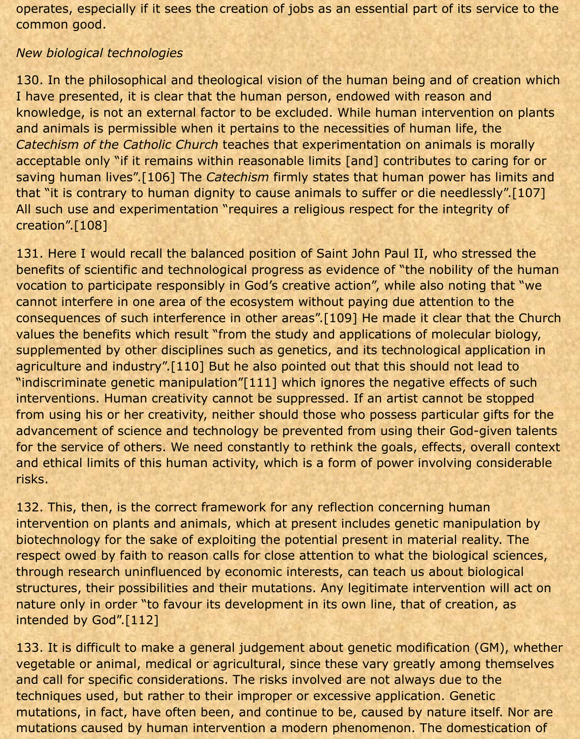I have presented, it is clear that the human person, endowed with reason and knowledge, is not an external factor to be excluded. While human intervention and animals is permissible when it pertains to the necessities of human life, the *Catechism of the Catholic Church teaches that experimentation on animals is really catedy* acceptable only "if it remains within reasonable limits [and] contributes to cari saving human lives".[106] The *Catechism* firmly states that human power has that "it is contrary to human dignity to cause animals to suffer or die needless All such use and experimentation "requires a religious respect for the integrity creation".[108]

131. Here I would recall the balanced position of Saint John Paul II, who stres benefits of scientific [and te](http://w2.vatican.va/content/francesco/en/encyclicals/documents/papa-francesco_20150524_enciclica-laudato-si.html#_ftn106)chnological progress as evidence of "the nobility of vocation to participate responsibly in God's creative action", while also noting cannot interfere in one area of the ecosystem without paying due attention to conseque[nces o](http://w2.vatican.va/content/francesco/en/encyclicals/documents/papa-francesco_20150524_enciclica-laudato-si.html#_ftn108)f such interference in other areas".[109] He made it clear that values the benefits which result "from the study and applications of molecular supplemented by other disciplines such as genetics, and its technological appli agriculture and industry".[110] But he also pointed out that this should not lea "indiscriminate genetic manipulation"[111] which ignores the negative effects interventions. Human creativity cannot be suppressed. If an artist cannot be s from using his or her creativity, neither should tho[se wh](http://w2.vatican.va/content/francesco/en/encyclicals/documents/papa-francesco_20150524_enciclica-laudato-si.html#_ftn109)o possess particular gi advancement of science and technology be prevented from using their God-giv for the service of others. We need constantly to rethink the goals, effects, over and ethical limits of this [human](http://w2.vatican.va/content/francesco/en/encyclicals/documents/papa-francesco_20150524_enciclica-laudato-si.html#_ftn110) activity, which is a form of power involving considerable risks.

132. This, then, is the correct framework for any reflection concerning human intervention on plants and animals, which at present includes genetic manipule biotechnology for the sake of exploiting the potential present in material realit respect owed by faith to reason calls for close attention to what the biological through research uninfluenced by economic interests, can teach us about biold structures, their possibilities and their mutations. Any legitimate intervention w nature only in order "to favour its development in its own line, that of creation intended by God".[112]

133. It is difficult to make a general judgement about genetic modification (GI) vegetable or animal, medical or agricultural, since these vary greatly among the and call for specific considerations. The risks involved are not always due to th techniques used, but rather to their improper or excessive application. Genetic mutations, in fact[, have](http://w2.vatican.va/content/francesco/en/encyclicals/documents/papa-francesco_20150524_enciclica-laudato-si.html#_ftn112) often been, and continue to be, caused by nature itse mutations caused by human intervention a modern phenomenon. The domest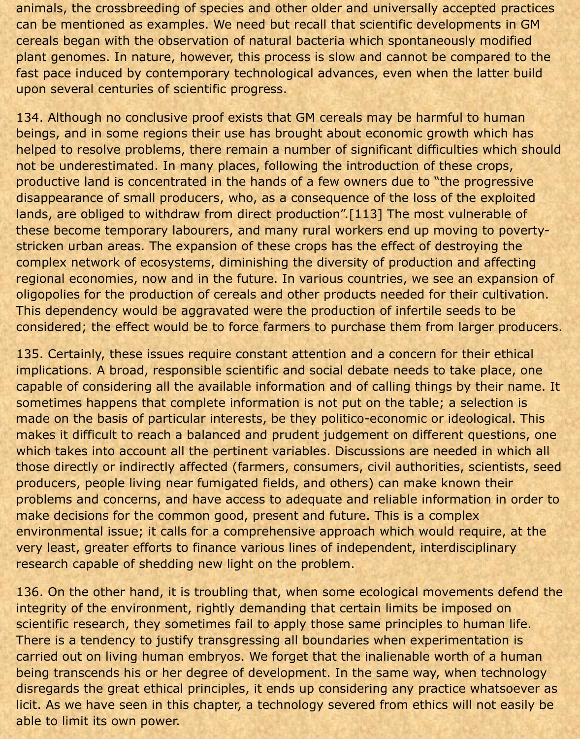134. Although no conclusive proof exists that GM cereals may be harmful to he beings, and in some regions their use has brought about economic growth whi helped to resolve problems, there remain a number of significant difficulties w not be underestimated. In many places, following the introduction of these cro productive land is concentrated in the hands of a few owners due to "the progressive or disappearance of small producers, who, as a consequence of the loss of the ex lands, are obliged to withdraw from direct production".[113] The most vulnera these become temporary labourers, and many rural workers end up moving to stricken urban areas. The expansion of these crops has the effect of destroying complex network of ecosystems, diminishing the diversity of production and affecting regional economies, now and in the future. In various countries, we see an expansion oligopolies for the production of cereals and other products needed for their cultivation. This dependency would be aggravated were the produ[ction o](http://w2.vatican.va/content/francesco/en/encyclicals/documents/papa-francesco_20150524_enciclica-laudato-si.html#_ftn113)f infertile seeds to considered; the effect would be to force farmers to purchase them from larger

135. Certainly, these issues require constant attention and a concern for their implications. A broad, responsible scientific and social debate needs to take place capable of considering all the available information and of calling things by the sometimes happens that complete information is not put on the table; a select made on the basis of particular interests, be they politico-economic or ideological. makes it difficult to reach a balanced and prudent judgement on different questions, and which takes into account all the pertinent variables. Discussions are needed in those directly or indirectly affected (farmers, consumers, civil authorities, scie producers, people living near fumigated fields, and others) can make known the problems and concerns, and have access to adequate and reliable information make decisions for the common good, present and future. This is a complex environmental issue; it calls for a comprehensive approach which would require very least, greater efforts to finance various lines of independent, interdiscipling research capable of shedding new light on the problem.

136. On the other hand, it is troubling that, when some ecological movements integrity of the environment, rightly demanding that certain limits be imposed scientific research, they sometimes fail to apply those same principles to huma There is a tendency to justify transgressing all boundaries when experimentation carried out on living human embryos. We forget that the inalienable worth of a being transcends his or her degree of development. In the same way, when te disregards the great ethical principles, it ends up considering any practice what licit. As we have seen in this chapter, a technology severed from ethics will not able to limit its own power.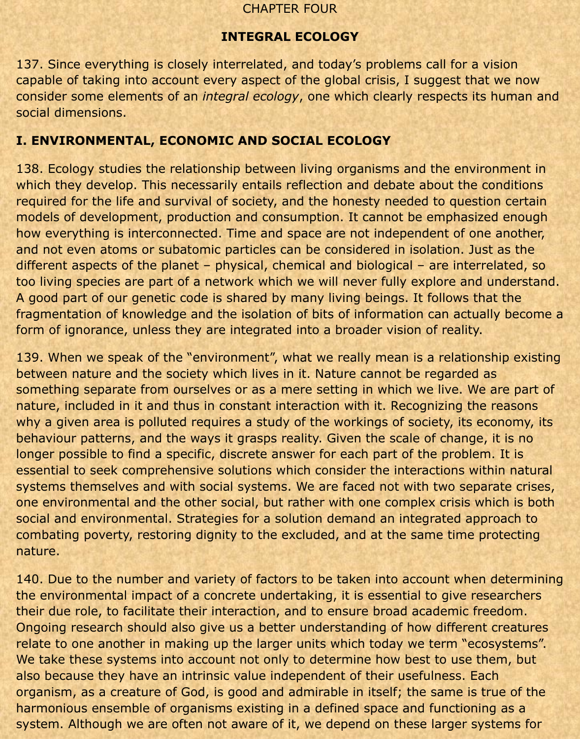#### CHAPTER FOUR

#### **INTEGRAL ECOLOGY**

137. Since everything is closely interrelated, and today's problems call for a vision capable of taking into account every aspect of the global crisis, I suggest that we now consider some elements of an *integral ecology*, one which clearly respects its human and social dimensions.

## **I. ENVIRONMENTAL, ECONOMIC AND SOCIAL ECOLOGY**

138. Ecology studies the relationship between living organisms and the environment in which they develop. This necessarily entails reflection and debate about the conditions required for the life and survival of society, and the honesty needed to question certain models of development, production and consumption. It cannot be emphasized enough how everything is interconnected. Time and space are not independent of one another, and not even atoms or subatomic particles can be considered in isolation. Just as the different aspects of the planet – physical, chemical and biological – are interrelated, so too living species are part of a network which we will never fully explore and understand. A good part of our genetic code is shared by many living beings. It follows that the fragmentation of knowledge and the isolation of bits of information can actually become a form of ignorance, unless they are integrated into a broader vision of reality.

139. When we speak of the "environment", what we really mean is a relationship existing between nature and the society which lives in it. Nature cannot be regarded as something separate from ourselves or as a mere setting in which we live. We are part of nature, included in it and thus in constant interaction with it. Recognizing the reasons why a given area is polluted requires a study of the workings of society, its economy, its behaviour patterns, and the ways it grasps reality. Given the scale of change, it is no longer possible to find a specific, discrete answer for each part of the problem. It is essential to seek comprehensive solutions which consider the interactions within natural systems themselves and with social systems. We are faced not with two separate crises, one environmental and the other social, but rather with one complex crisis which is both social and environmental. Strategies for a solution demand an integrated approach to combating poverty, restoring dignity to the excluded, and at the same time protecting nature.

140. Due to the number and variety of factors to be taken into account when determining the environmental impact of a concrete undertaking, it is essential to give researchers their due role, to facilitate their interaction, and to ensure broad academic freedom. Ongoing research should also give us a better understanding of how different creatures relate to one another in making up the larger units which today we term "ecosystems". We take these systems into account not only to determine how best to use them, but also because they have an intrinsic value independent of their usefulness. Each organism, as a creature of God, is good and admirable in itself; the same is true of the harmonious ensemble of organisms existing in a defined space and functioning as a system. Although we are often not aware of it, we depend on these larger systems for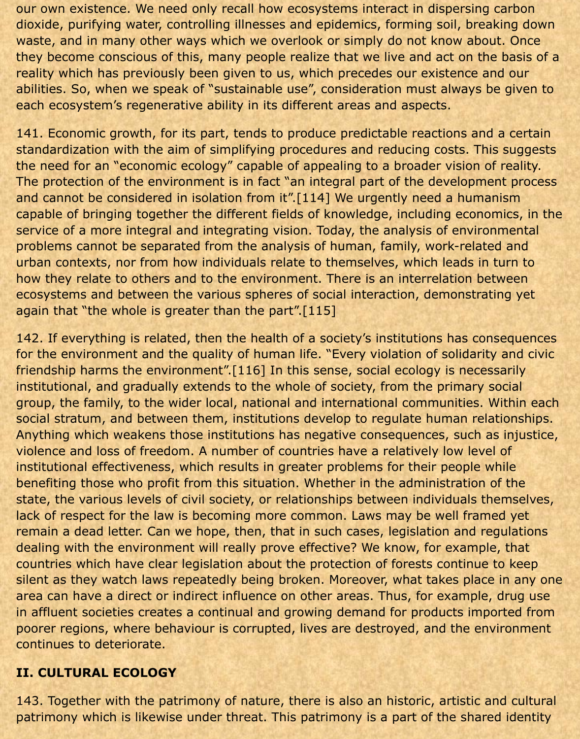each ecosystem's regenerative ability in its different areas and aspects.

141. Economic growth, for its part, tends to produce predictable reactions and standardization with the aim of simplifying procedures and reducing costs. Thi the need for an "economic ecology" capable of appealing to a broader vision o The protection of the environment is in fact "an integral part of the development and cannot be considered in isolation from it".[114] We urgently need a huma capable of bringing together the different fields of knowledge, including econo service of a more integral and integrating vision. Today, the analysis of enviror problems cannot be separated from the analysis of human, family, work-relate urban contexts, nor from how individuals relate to themselves, which leads in how they relate to others and to the environment. There is an interrelation bet ecosystems and between the various spheres [of soc](http://w2.vatican.va/content/francesco/en/encyclicals/documents/papa-francesco_20150524_enciclica-laudato-si.html#_ftn114)ial interaction, demonstrat again that "the whole is greater than the part".[115]

142. If everything is related, then the health of a society's institutions has con for the environment and the quality of human life. "Every violation of solidarity friendship harms the environment". $[116]$  In this sense, social ecology is neces institutional, and gradually extends to the whole of society, from the primary so group, the family, to the wider local, national a[nd int](http://w2.vatican.va/content/francesco/en/encyclicals/documents/papa-francesco_20150524_enciclica-laudato-si.html#_ftn115)ernational communities. V social stratum, and between them, institutions develop to regulate human relations. Anything which weakens those institutions has negative consequences, such a violence and loss of freedom. A number of countries have a relatively low leve institutional effectiveness, which re[sults in](http://w2.vatican.va/content/francesco/en/encyclicals/documents/papa-francesco_20150524_enciclica-laudato-si.html#_ftn116) greater problems for their people w benefiting those who profit from this situation. Whether in the administration of state, the various levels of civil society, or relationships between individuals th lack of respect for the law is becoming more common. Laws may be well frame remain a dead letter. Can we hope, then, that in such cases, legislation and re dealing with the environment will really prove effective? We know, for example countries which have clear legislation about the protection of forests continue silent as they watch laws repeatedly being broken. Moreover, what takes place area can have a direct or indirect influence on other areas. Thus, for example, in affluent societies creates a continual and growing demand for products impo poorer regions, where behaviour is corrupted, lives are destroyed, and the env continues to deteriorate.

### **II. CULTURAL ECOLOGY**

143. Together with the patrimony of nature, there is also an historic, artistic a patrimony which is likewise under threat. This patrimony is a part of the share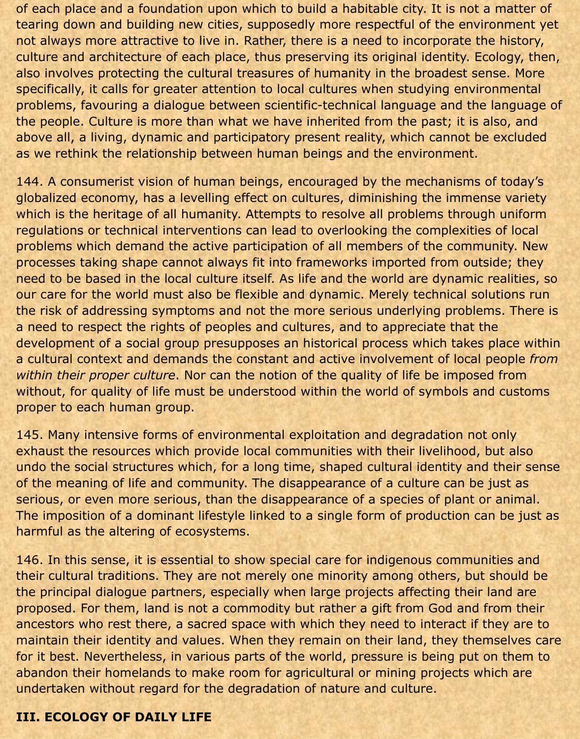of each place and a foundation upon which to build a habitable city. It is not a matter of tearing down and building new cities, supposedly more respectful of the environment yet not always more attractive to live in. Rather, there is a need to incorporate the history, culture and architecture of each place, thus preserving its original identity. Ecology, then, also involves protecting the cultural treasures of humanity in the broadest sense. More specifically, it calls for greater attention to local cultures when studying environmental problems, favouring a dialogue between scientific-technical language and the language of the people. Culture is more than what we have inherited from the past; it is also, and above all, a living, dynamic and participatory present reality, which cannot be excluded as we rethink the relationship between human beings and the environment.

144. A consumerist vision of human beings, encouraged by the mechanisms of today's globalized economy, has a levelling effect on cultures, diminishing the immense variety which is the heritage of all humanity. Attempts to resolve all problems through uniform regulations or technical interventions can lead to overlooking the complexities of local problems which demand the active participation of all members of the community. New processes taking shape cannot always fit into frameworks imported from outside; they need to be based in the local culture itself. As life and the world are dynamic realities, so our care for the world must also be flexible and dynamic. Merely technical solutions run the risk of addressing symptoms and not the more serious underlying problems. There is a need to respect the rights of peoples and cultures, and to appreciate that the development of a social group presupposes an historical process which takes place within a cultural context and demands the constant and active involvement of local people *from within their proper culture*. Nor can the notion of the quality of life be imposed from without, for quality of life must be understood within the world of symbols and customs proper to each human group.

145. Many intensive forms of environmental exploitation and degradation not only exhaust the resources which provide local communities with their livelihood, but also undo the social structures which, for a long time, shaped cultural identity and their sense of the meaning of life and community. The disappearance of a culture can be just as serious, or even more serious, than the disappearance of a species of plant or animal. The imposition of a dominant lifestyle linked to a single form of production can be just as harmful as the altering of ecosystems.

146. In this sense, it is essential to show special care for indigenous communities and their cultural traditions. They are not merely one minority among others, but should be the principal dialogue partners, especially when large projects affecting their land are proposed. For them, land is not a commodity but rather a gift from God and from their ancestors who rest there, a sacred space with which they need to interact if they are to maintain their identity and values. When they remain on their land, they themselves care for it best. Nevertheless, in various parts of the world, pressure is being put on them to abandon their homelands to make room for agricultural or mining projects which are undertaken without regard for the degradation of nature and culture.

## **III. ECOLOGY OF DAILY LIFE**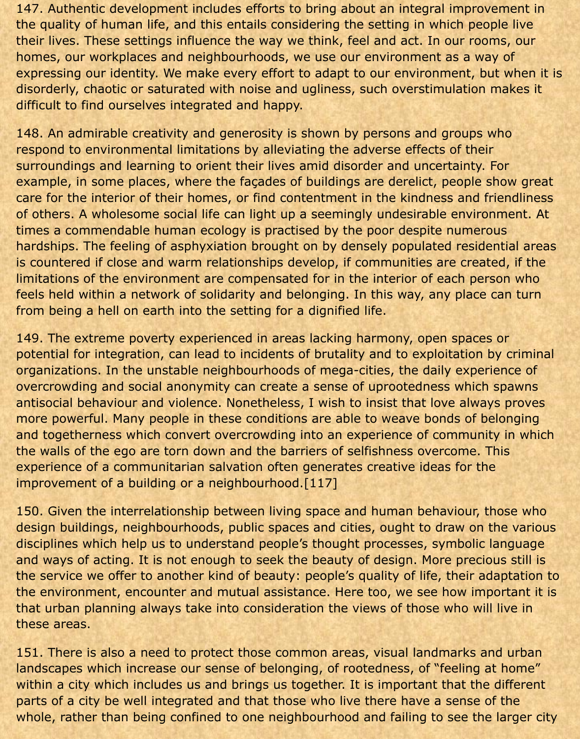difficult to find ourselves integrated and happy.

148. An admirable creativity and generosity is shown by persons and groups v respond to environmental limitations by alleviating the adverse effects of their surroundings and learning to orient their lives amid disorder and uncertainty. I example, in some places, where the façades of buildings are derelict, people show care for the interior of their homes, or find contentment in the kindness and fr of others. A wholesome social life can light up a seemingly undesirable enviror times a commendable human ecology is practised by the poor despite numerous hardships. The feeling of asphyxiation brought on by densely populated reside is countered if close and warm relationships develop, if communities are create limitations of the environment are compensated for in the interior of each person feels held within a network of solidarity and belonging. In this way, any place from being a hell on earth into the setting for a dignified life.

149. The extreme poverty experienced in areas lacking harmony, open spaces potential for integration, can lead to incidents of brutality and to exploitation b organizations. In the unstable neighbourhoods of mega-cities, the daily experi overcrowding and social anonymity can create a sense of uprootedness which antisocial behaviour and violence. Nonetheless, I wish to insist that love alway more powerful. Many people in these conditions are able to weave bonds of be and togetherness which convert overcrowding into an experience of communit the walls of the ego are torn down and the barriers of selfishness overcome. This experience of a communitarian salvation often generates creative ideas for the improvement of a building or a neighbourhood.[117]

150. Given the interrelationship between living space and human behaviour, th design buildings, neighbourhoods, public spaces and cities, ought to draw on t disciplines which help us to understand people's thought processes, symbolic I and ways of acting. It is not enough to seek the beauty of design. More precio the service we offer to another kind of beauty: [people](http://w2.vatican.va/content/francesco/en/encyclicals/documents/papa-francesco_20150524_enciclica-laudato-si.html#_ftn117)'s quality of life, their ad the environment, encounter and mutual assistance. Here too, we see how imp that urban planning always take into consideration the views of those who will these areas.

151. There is also a need to protect those common areas, visual landmarks and landscapes which increase our sense of belonging, of rootedness, of "feeling at within a city which includes us and brings us together. It is important that the parts of a city be well integrated and that those who live there have a sense of whole, rather than being confined to one neighbourhood and failing to see the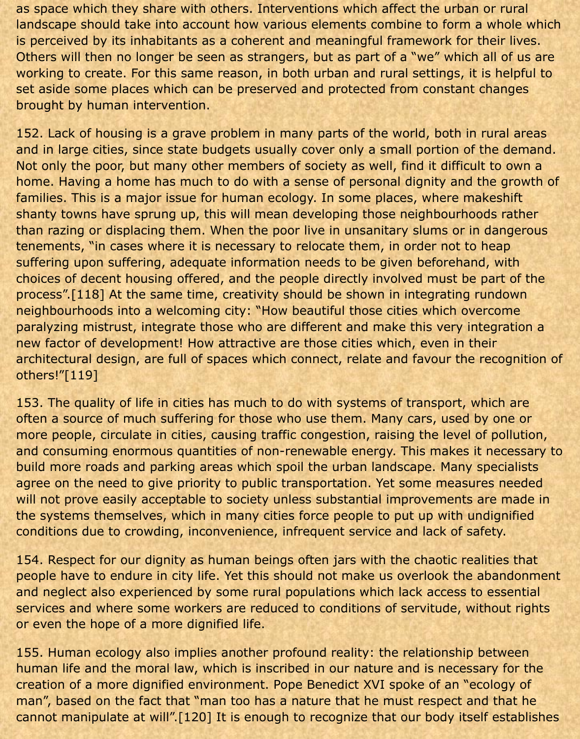brought by human intervention.

152. Lack of housing is a grave problem in many parts of the world, both in ru and in large cities, since state budgets usually cover only a small portion of the Not only the poor, but many other members of society as well, find it difficult to home. Having a home has much to do with a sense of personal dignity and the families. This is a major issue for human ecology. In some places, where make shanty towns have sprung up, this will mean developing those neighbourhoods than razing or displacing them. When the poor live in unsanitary slums or in d tenements, "in cases where it is necessary to relocate them, in order not to he suffering upon suffering, adequate information needs to be given beforehand, choices of decent housing offered, and the people directly involved must be pa process".[118] At the same time, creativity should be shown in integrating run neighbourhoods into a welcoming city: "How beautiful those cities which overd paralyzing mistrust, integrate those who are different and make this very integration new factor of development! How attractive are those cities which, even in their architectural design, are full of spaces which connect, relate and favour the reothers!"[119]

153. The [qualit](http://w2.vatican.va/content/francesco/en/encyclicals/documents/papa-francesco_20150524_enciclica-laudato-si.html#_ftn118)y of life in cities has much to do with systems of transport, whi often a source of much suffering for those who use them. Many cars, used by more people, circulate in cities, causing traffic congestion, raising the level of and consuming enormous quantities of non-renewable energy. This makes it ne build m[ore roa](http://w2.vatican.va/content/francesco/en/encyclicals/documents/papa-francesco_20150524_enciclica-laudato-si.html#_ftn119)ds and parking areas which spoil the urban landscape. Many spo agree on the need to give priority to public transportation. Yet some measures will not prove easily acceptable to society unless substantial improvements are the systems themselves, which in many cities force people to put up with undi conditions due to crowding, inconvenience, infrequent service and lack of safet

154. Respect for our dignity as human beings often jars with the chaotic realit people have to endure in city life. Yet this should not make us overlook the ab and neglect also experienced by some rural populations which lack access to  $\epsilon$ services and where some workers are reduced to conditions of servitude, with or even the hope of a more dignified life.

155. Human ecology also implies another profound reality: the relationship be human life and the moral law, which is inscribed in our nature and is necessar creation of a more dignified environment. Pope Benedict XVI spoke of an "ecol man", based on the fact that "man too has a nature that he must respect and cannot manipulate at will".[120] It is enough to recognize that our body itself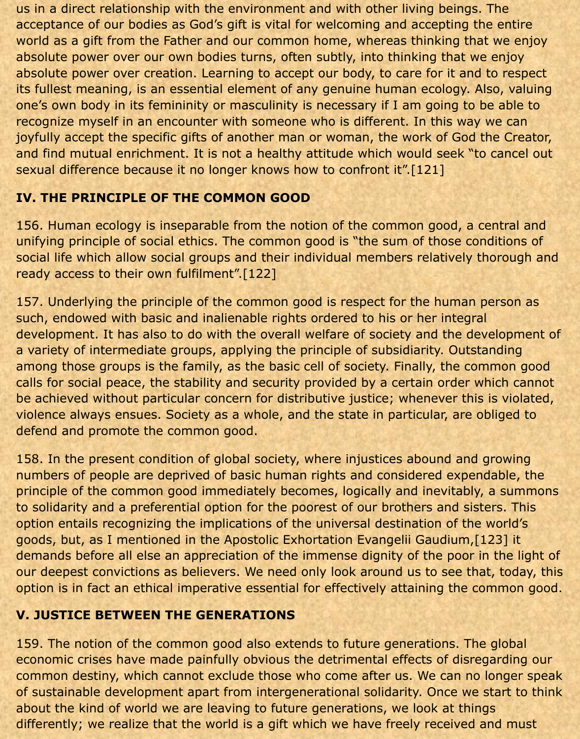one's own body in its femininity or masculinity is necessary if I am going to be recognize myself in an encounter with someone who is different. In this way w joyfully accept the specific gifts of another man or woman, the work of God the and find mutual enrichment. It is not a healthy attitude which would seek "to out sexual difference because it no longer knows how to confront it".[121]

## **IV. THE PRINCIPLE OF THE COMMON GOOD**

156. Human ecology is inseparable from the notion of the common good, a cent unifying principle of social ethics. The common good is "the sum of those conditions" social life which allow social groups and their individual member[s relati](http://w2.vatican.va/content/francesco/en/encyclicals/documents/papa-francesco_20150524_enciclica-laudato-si.html#_ftn121)vely tho ready access to their own fulfilment".[122]

157. Underlying the principle of the common good is respect for the human per such, endowed with basic and inalienable rights ordered to his or her integral development. It has also to do with the overall welfare of society and the deve a variety of intermediate groups, applying the principle of subsidiarity. Outstar among those groups is the family, as [the ba](http://w2.vatican.va/content/francesco/en/encyclicals/documents/papa-francesco_20150524_enciclica-laudato-si.html#_ftn122)sic cell of society. Finally, the comi calls for social peace, the stability and security provided by a certain order wh be achieved without particular concern for distributive justice; whenever this is violence always ensues. Society as a whole, and the state in particular, are ob defend and promote the common good.

158. In the present condition of global society, where injustices abound and growing numbers of people are deprived of basic human rights and considered expenda principle of the common good immediately becomes, logically and inevitably, a to solidarity and a preferential option for the poorest of our brothers and siste option entails recognizing the implications of the universal destination of the w goods, but, as I mentioned in the Apostolic Exhortation Evangelii Gaudium, [123] demands before all else an appreciation of the immense dignity of the poor in our deepest convictions as believers. We need only look around us to see that option is in fact an ethical imperative essential for effectively attaining the con

# **V. JUSTICE BETWEEN THE GENERATIONS**

159. The notion of the common good also extends to fu[ture generations. T](http://w2.vatican.va/content/francesco/en/apost_exhortations/documents/papa-francesco_esortazione-ap_20131124_evangelii-gaudium.html)he economic crises have made painfully obvious the detrimental effects of disrega common destiny, which cannot exclude those who come after us. We can no Id of sustainable development apart from intergenerational solidarity. Once we started about the kind of world we are leaving to future generations, we look at things differently; we realize that the world is a gift which we have freely received an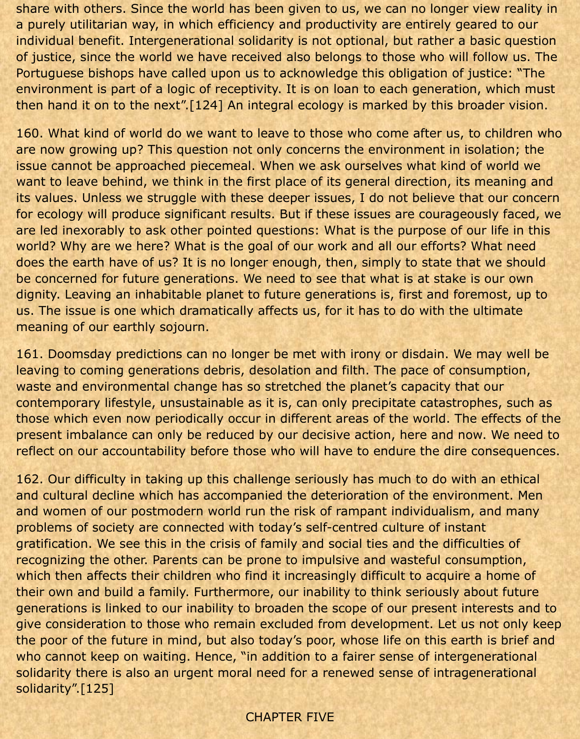then hand it on to the next". $[124]$  An integral ecology is marked by this broad

160. What kind of world do we want to leave to those who come after us, to children are now growing up? This question not only concerns the environment in isolations; issue cannot be approached piecemeal. When we ask ourselves what kind of w want to leave behind, we think in the first place of its general direction, its me its values. Unless we strugg[le with](http://w2.vatican.va/content/francesco/en/encyclicals/documents/papa-francesco_20150524_enciclica-laudato-si.html#_ftn124) these deeper issues, I do not believe that our for ecology will produce significant results. But if these issues are courageousl are led inexorably to ask other pointed questions: What is the purpose of our li world? Why are we here? What is the goal of our work and all our efforts? What does the earth have of us? It is no longer enough, then, simply to state that w be concerned for future generations. We need to see that what is at stake is o dignity. Leaving an inhabitable planet to future generations is, first and foremo us. The issue is one which dramatically affects us, for it has to do with the ulti meaning of our earthly sojourn.

161. Doomsday predictions can no longer be met with irony or disdain. We may leaving to coming generations debris, desolation and filth. The pace of consum waste and environmental change has so stretched the planet's capacity that of contemporary lifestyle, unsustainable as it is, can only precipitate catastrophe those which even now periodically occur in different areas of the world. The ef present imbalance can only be reduced by our decisive action, here and now. reflect on our accountability before those who will have to endure the dire con

162. Our difficulty in taking up this challenge seriously has much to do with an and cultural decline which has accompanied the deterioration of the environment and women of our postmodern world run the risk of rampant individualism, an problems of society are connected with today's self-centred culture of instant gratification. We see this in the crisis of family and social ties and the difficultion recognizing the other. Parents can be prone to impulsive and wasteful consum which then affects their children who find it increasingly difficult to acquire a h their own and build a family. Furthermore, our inability to think seriously about generations is linked to our inability to broaden the scope of our present intere give consideration to those who remain excluded from development. Let us no the poor of the future in mind, but also today's poor, whose life on this earth is who cannot keep on waiting. Hence, "in addition to a fairer sense of intergene solidarity there is also an urgent moral need for a renewed sense of intragener solidarity".[125]

CHAPTER FIVE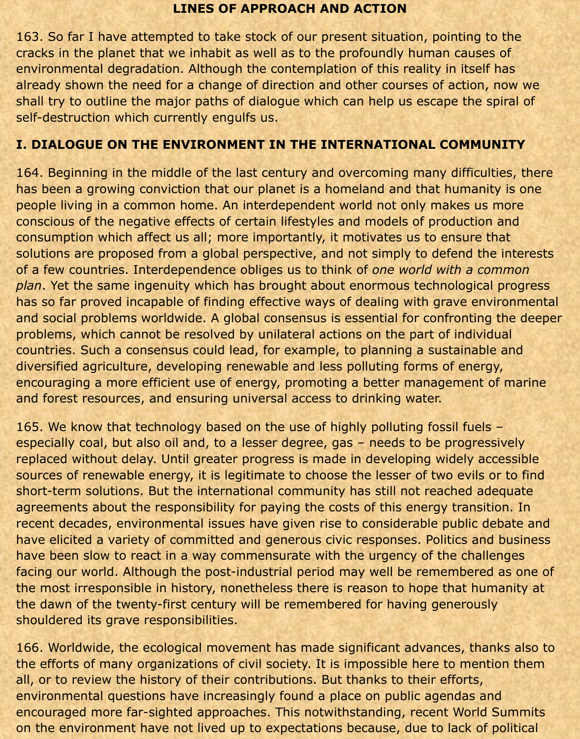#### **LINES OF APPROACH AND ACTION**

163. So far I have attempted to take stock of our present situation, pointing to the cracks in the planet that we inhabit as well as to the profoundly human causes of environmental degradation. Although the contemplation of this reality in itself has already shown the need for a change of direction and other courses of action, now we shall try to outline the major paths of dialogue which can help us escape the spiral of self-destruction which currently engulfs us.

### **I. DIALOGUE ON THE ENVIRONMENT IN THE INTERNATIONAL COMMUNITY**

164. Beginning in the middle of the last century and overcoming many difficulties, there has been a growing conviction that our planet is a homeland and that humanity is one people living in a common home. An interdependent world not only makes us more conscious of the negative effects of certain lifestyles and models of production and consumption which affect us all; more importantly, it motivates us to ensure that solutions are proposed from a global perspective, and not simply to defend the interests of a few countries. Interdependence obliges us to think of *one world with a common plan*. Yet the same ingenuity which has brought about enormous technological progress has so far proved incapable of finding effective ways of dealing with grave environmental and social problems worldwide. A global consensus is essential for confronting the deeper problems, which cannot be resolved by unilateral actions on the part of individual countries. Such a consensus could lead, for example, to planning a sustainable and diversified agriculture, developing renewable and less polluting forms of energy, encouraging a more efficient use of energy, promoting a better management of marine and forest resources, and ensuring universal access to drinking water.

165. We know that technology based on the use of highly polluting fossil fuels – especially coal, but also oil and, to a lesser degree, gas – needs to be progressively replaced without delay. Until greater progress is made in developing widely accessible sources of renewable energy, it is legitimate to choose the lesser of two evils or to find short-term solutions. But the international community has still not reached adequate agreements about the responsibility for paying the costs of this energy transition. In recent decades, environmental issues have given rise to considerable public debate and have elicited a variety of committed and generous civic responses. Politics and business have been slow to react in a way commensurate with the urgency of the challenges facing our world. Although the post-industrial period may well be remembered as one of the most irresponsible in history, nonetheless there is reason to hope that humanity at the dawn of the twenty-first century will be remembered for having generously shouldered its grave responsibilities.

166. Worldwide, the ecological movement has made significant advances, thanks also to the efforts of many organizations of civil society. It is impossible here to mention them all, or to review the history of their contributions. But thanks to their efforts, environmental questions have increasingly found a place on public agendas and encouraged more far-sighted approaches. This notwithstanding, recent World Summits on the environment have not lived up to expectations because, due to lack of political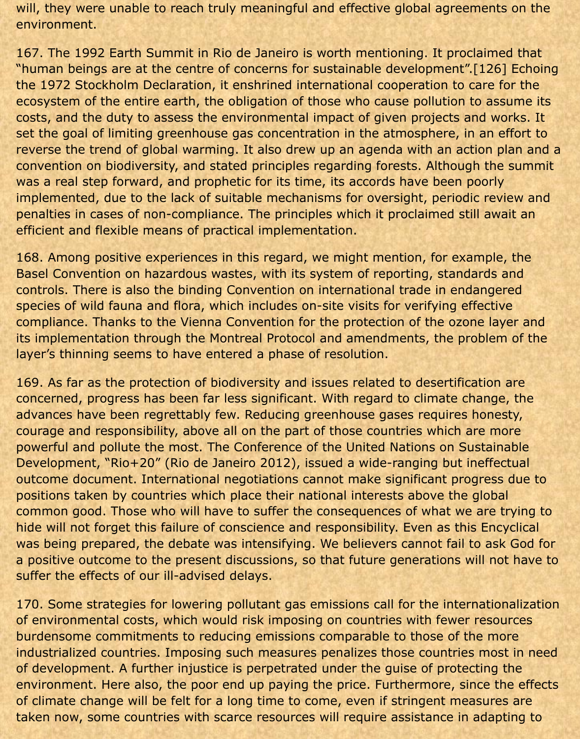ecosystem of the entire earth, the obligation of those who cause pollution to assume its costs, and the duty to assess the environmental impact of given projects and w set the goal of limiting greenhouse gas concentration in the atmosphere, in an reverse the trend of global warming. It also drew up an agenda with an action convention on biodiversity, and stated principles regarding forests. Although th was a real step forward, and prophetic for its time, its accords have been poor implemented, due to the lack of suitable mechanisms for oversight, periodic re penalties in cases of non-compliance. The principles which it proclaimed still at efficient and flexible means of practical implementation.

168. Among positive experiences in this regard, we might mention, for examp Basel Convention on hazardous wastes, with its system of reporting, standards controls. There is also the binding Convention on international trade in endand species of wild fauna and flora, which includes on-site visits for verifying effect compliance. Thanks to the Vienna Convention for the protection of the ozone I its implementation through the Montreal Protocol and amendments, the proble layer's thinning seems to have entered a phase of resolution.

169. As far as the protection of biodiversity and issues related to desertification concerned, progress has been far less significant. With regard to climate change advances have been regrettably few. Reducing greenhouse gases requires hone courage and responsibility, above all on the part of those countries which are r powerful and pollute the most. The Conference of the United Nations on Susta Development, "Rio+20" (Rio de Janeiro 2012), issued a wide-ranging but ineff outcome document. International negotiations cannot make significant progres positions taken by countries which place their national interests above the global common good. Those who will have to suffer the consequences of what we are hide will not forget this failure of conscience and responsibility. Even as this Er was being prepared, the debate was intensifying. We believers cannot fail to a a positive outcome to the present discussions, so that future generations will r suffer the effects of our ill-advised delays.

170. Some strategies for lowering pollutant gas emissions call for the international of environmental costs, which would risk imposing on countries with fewer res burdensome commitments to reducing emissions comparable to those of the r industrialized countries. Imposing such measures penalizes those countries most of development. A further injustice is perpetrated under the guise of protecting environment. Here also, the poor end up paying the price. Furthermore, since of climate change will be felt for a long time to come, even if stringent measure taken now, some countries with scarce resources will require assistance in ada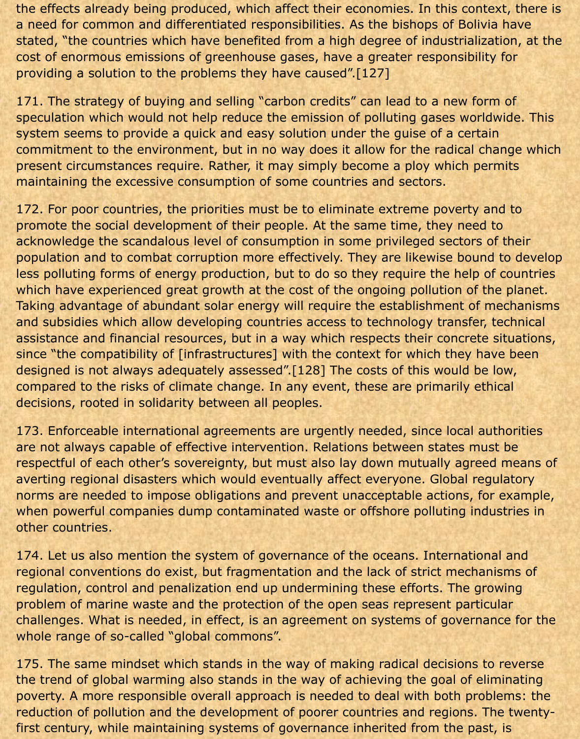171. The strategy of buying and selling "carbon credits" can lead to a new form of speculation which would not help reduce the emission of polluting gases world system seems to provide a quick and easy solution under the quise of a certain commitment to the environment, but in no way does it allow for the radical ch present circumstances require. Rather, it may simply b[ecome](http://w2.vatican.va/content/francesco/en/encyclicals/documents/papa-francesco_20150524_enciclica-laudato-si.html#_ftn127) a ploy which per maintaining the excessive consumption of some countries and sectors.

172. For poor countries, the priorities must be to eliminate extreme poverty and promote the social development of their people. At the same time, they need acknowledge the scandalous level of consumption in some privileged sectors of population and to combat corruption more effectively. They are likewise bound less polluting forms of energy production, but to do so they require the help of which have experienced great growth at the cost of the ongoing pollution of the Taking advantage of abundant solar energy will require the establishment of m and subsidies which allow developing countries access to technology transfer, assistance and financial resources, but in a way which respects their concrete since "the compatibility of [infrastructures] with the context for which they have designed is not always adequately assessed".[128] The costs of this would be compared to the risks of climate change. In any event, these are primarily eth decisions, rooted in solidarity between all peoples.

173. Enforceable international agreements are urgently needed, since local au are not always capable of effective intervention. Relations between states must respectful of each other's sovereignty, but m[ust als](http://w2.vatican.va/content/francesco/en/encyclicals/documents/papa-francesco_20150524_enciclica-laudato-si.html#_ftn128)o lay down mutually agreed averting regional disasters which would eventually affect everyone. Global reg norms are needed to impose obligations and prevent unacceptable actions, for when powerful companies dump contaminated waste or offshore polluting industrial other countries.

174. Let us also mention the system of governance of the oceans. Internation regional conventions do exist, but fragmentation and the lack of strict mechan regulation, control and penalization end up undermining these efforts. The growing problem of marine waste and the protection of the open seas represent particular challenges. What is needed, in effect, is an agreement on systems of governar whole range of so-called "global commons".

175. The same mindset which stands in the way of making radical decisions to the trend of global warming also stands in the way of achieving the goal of elim poverty. A more responsible overall approach is needed to deal with both prob reduction of pollution and the development of poorer countries and regions. The first century, while maintaining systems of governance inherited from the past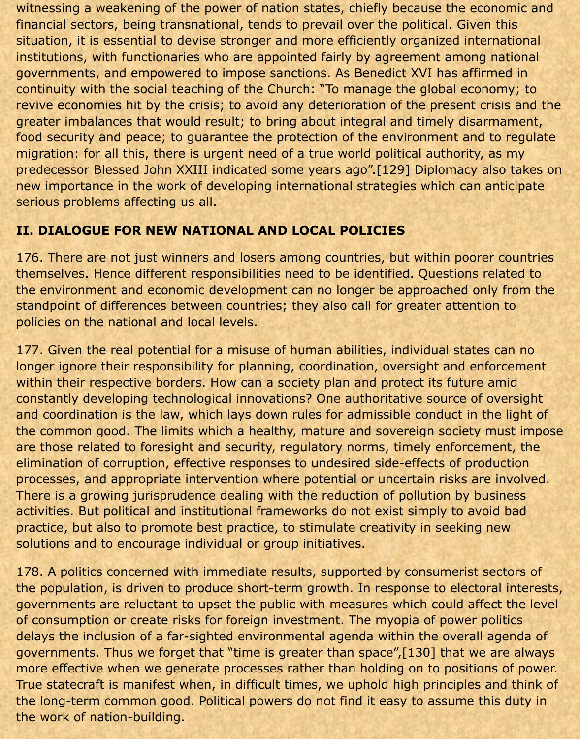revive economies hit by the crisis; to avoid any deterioration of the present cri greater imbalances that would result; to bring about integral and timely disarr food security and peace; to guarantee the protection of the environment and to migration: for all this, there is urgent need of a true world political authority, a predecessor Blessed John XXIII indicated some years ago".[129] Diplomacy al new importance in the work of developing international strategies which can a serious problems affecting us all.

## **II. DIALOGUE FOR NEW NATIONAL AND LOCAL POLICIES**

176. There are not just winners and losers among countries, but within poorer themselves. Hence different responsibilities need to be ide[ntified.](http://w2.vatican.va/content/francesco/en/encyclicals/documents/papa-francesco_20150524_enciclica-laudato-si.html#_ftn129) Questions re the environment and economic development can no longer be approached only standpoint of differences between countries; they also call for greater attentio policies on the national and local levels.

177. Given the real potential for a misuse of human abilities, individual states longer ignore their responsibility for planning, coordination, oversight and enfort within their respective borders. How can a society plan and protect its future a constantly developing technological innovations? One authoritative source of o and coordination is the law, which lays down rules for admissible conduct in the the common good. The limits which a healthy, mature and sovereign society m are those related to foresight and security, regulatory norms, timely enforcem elimination of corruption, effective responses to undesired side-effects of prod processes, and appropriate intervention where potential or uncertain risks are There is a growing jurisprudence dealing with the reduction of pollution by bust activities. But political and institutional frameworks do not exist simply to avoi practice, but also to promote best practice, to stimulate creativity in seeking n solutions and to encourage individual or group initiatives.

178. A politics concerned with immediate results, supported by consumerist set the population, is driven to produce short-term growth. In response to electoral governments are reluctant to upset the public with measures which could affer of consumption or create risks for foreign investment. The myopia of power po delays the inclusion of a far-sighted environmental agenda within the overall a governments. Thus we forget that "time is greater than space", [130] that we a more effective when we generate processes rather than holding on to position True statecraft is manifest when, in difficult times, we uphold high principles a the long-term common good. Political powers do not find it easy to assume this the work of nation-building.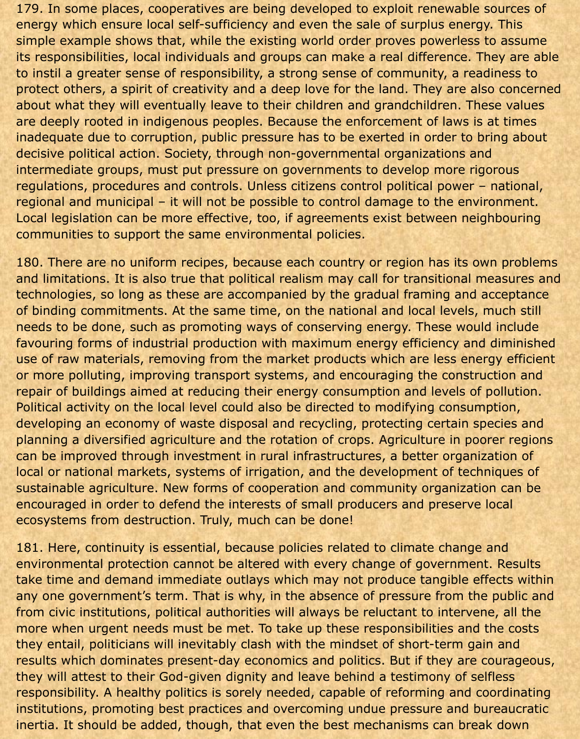179. In some places, cooperatives are being developed to exploit renewable sources of energy which ensure local self-sufficiency and even the sale of surplus energy. This simple example shows that, while the existing world order proves powerless to assume its responsibilities, local individuals and groups can make a real difference. They are able to instil a greater sense of responsibility, a strong sense of community, a readiness to protect others, a spirit of creativity and a deep love for the land. They are also concerned about what they will eventually leave to their children and grandchildren. These values are deeply rooted in indigenous peoples. Because the enforcement of laws is at times inadequate due to corruption, public pressure has to be exerted in order to bring about decisive political action. Society, through non-governmental organizations and intermediate groups, must put pressure on governments to develop more rigorous regulations, procedures and controls. Unless citizens control political power – national, regional and municipal – it will not be possible to control damage to the environment. Local legislation can be more effective, too, if agreements exist between neighbouring communities to support the same environmental policies.

180. There are no uniform recipes, because each country or region has its own problems and limitations. It is also true that political realism may call for transitional measures and technologies, so long as these are accompanied by the gradual framing and acceptance of binding commitments. At the same time, on the national and local levels, much still needs to be done, such as promoting ways of conserving energy. These would include favouring forms of industrial production with maximum energy efficiency and diminished use of raw materials, removing from the market products which are less energy efficient or more polluting, improving transport systems, and encouraging the construction and repair of buildings aimed at reducing their energy consumption and levels of pollution. Political activity on the local level could also be directed to modifying consumption, developing an economy of waste disposal and recycling, protecting certain species and planning a diversified agriculture and the rotation of crops. Agriculture in poorer regions can be improved through investment in rural infrastructures, a better organization of local or national markets, systems of irrigation, and the development of techniques of sustainable agriculture. New forms of cooperation and community organization can be encouraged in order to defend the interests of small producers and preserve local ecosystems from destruction. Truly, much can be done!

181. Here, continuity is essential, because policies related to climate change and environmental protection cannot be altered with every change of government. Results take time and demand immediate outlays which may not produce tangible effects within any one government's term. That is why, in the absence of pressure from the public and from civic institutions, political authorities will always be reluctant to intervene, all the more when urgent needs must be met. To take up these responsibilities and the costs they entail, politicians will inevitably clash with the mindset of short-term gain and results which dominates present-day economics and politics. But if they are courageous, they will attest to their God-given dignity and leave behind a testimony of selfless responsibility. A healthy politics is sorely needed, capable of reforming and coordinating institutions, promoting best practices and overcoming undue pressure and bureaucratic inertia. It should be added, though, that even the best mechanisms can break down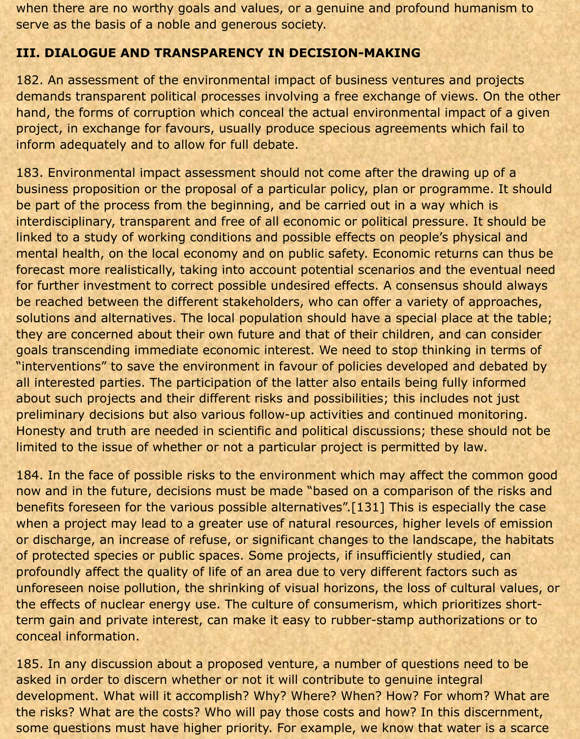demands transparent political processes involving a free exchange of views. On the other hand, the forms of corruption which conceal the actual environmental impact of project, in exchange for favours, usually produce specious agreements which failed inform adequately and to allow for full debate.

183. Environmental impact assessment should not come after the drawing up business proposition or the proposal of a particular policy, plan or programme. be part of the process from the beginning, and be carried out in a way which is interdisciplinary, transparent and free of all economic or political pressure. It s linked to a study of working conditions and possible effects on people's physical mental health, on the local economy and on public safety. Economic returns can forecast more realistically, taking into account potential scenarios and the ever for further investment to correct possible undesired effects. A consensus shoul be reached between the different stakeholders, who can offer a variety of approxisolutions and alternatives. The local population should have a special place at they are concerned about their own future and that of their children, and can goals transcending immediate economic interest. We need to stop thinking in t "interventions" to save the environment in favour of policies developed and de all interested parties. The participation of the latter also entails being fully info about such projects and their different risks and possibilities; this includes not preliminary decisions but also various follow-up activities and continued monit Honesty and truth are needed in scientific and political discussions; these shour limited to the issue of whether or not a particular project is permitted by law.

184. In the face of possible risks to the environment which may affect the con now and in the future, decisions must be made "based on a comparison of the benefits foreseen for the various possible alternatives".[131] This is especially when a project may lead to a greater use of natural resources, higher levels of or discharge, an increase of refuse, or significant changes to the landscape, the of protected species or public spaces. Some projects, if insufficiently studied, or profoundly affect the quality of life of an area due to very different factors suc unforeseen noise pollution, the shrinking of visual horizons, the loss of cultural the effects of nuclear energy use. The culture of consu[merism](http://w2.vatican.va/content/francesco/en/encyclicals/documents/papa-francesco_20150524_enciclica-laudato-si.html#_ftn131), which prioritize term gain and private interest, can make it easy to rubber-stamp authorization conceal information.

185. In any discussion about a proposed venture, a number of questions need asked in order to discern whether or not it will contribute to genuine integral development. What will it accomplish? Why? Where? When? How? For whom? the risks? What are the costs? Who will pay those costs and how? In this disce some questions must have higher priority. For example, we know that water is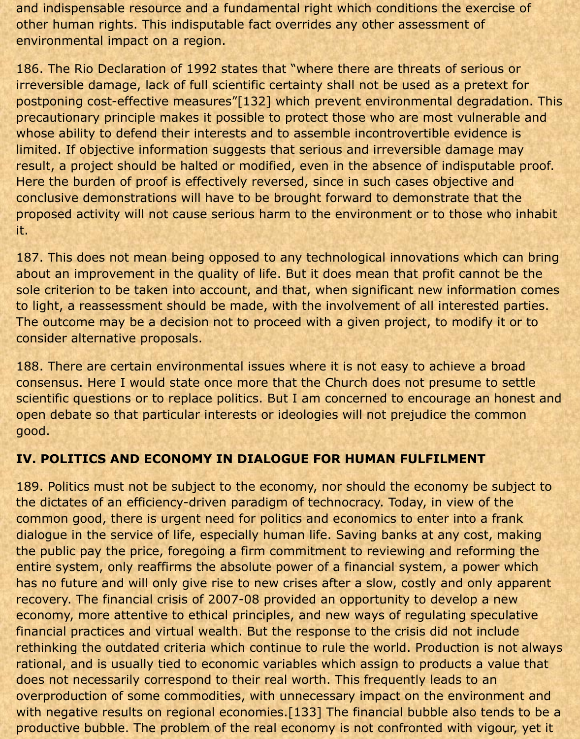postponing cost-effective measures"[132] which prevent environmental degradation. This precautionary principle makes it possible to protect those who are most vulner whose ability to defend their interests and to assemble incontrovertible eviden limited. If objective information suggests that serious and irreversible damage result, a project should be halted or modified, even in the absence of indisputa Here the burden of proof is effectively reversed, since in such cases objective conclusive demonstrations will have [to be](http://w2.vatican.va/content/francesco/en/encyclicals/documents/papa-francesco_20150524_enciclica-laudato-si.html#_ftn132) brought forward to demonstrate that proposed activity will not cause serious harm to the environment or to those w it.

187. This does not mean being opposed to any technological innovations which about an improvement in the quality of life. But it does mean that profit cannot sole criterion to be taken into account, and that, when significant new informa to light, a reassessment should be made, with the involvement of all intereste The outcome may be a decision not to proceed with a given project, to modify consider alternative proposals.

188. There are certain environmental issues where it is not easy to achieve a consensus. Here I would state once more that the Church does not presume to scientific questions or to replace politics. But I am concerned to encourage an open debate so that particular interests or ideologies will not prejudice the cor good.

## **IV. POLITICS AND ECONOMY IN DIALOGUE FOR HUMAN FULFILMENT**

189. Politics must not be subject to the economy, nor should the economy be the dictates of an efficiency-driven paradigm of technocracy. Today, in view of common good, there is urgent need for politics and economics to enter into a dialogue in the service of life, especially human life. Saving banks at any cost, the public pay the price, foregoing a firm commitment to reviewing and reform entire system, only reaffirms the absolute power of a financial system, a powe has no future and will only give rise to new crises after a slow, costly and only recovery. The financial crisis of 2007-08 provided an opportunity to develop a economy, more attentive to ethical principles, and new ways of regulating speed financial practices and virtual wealth. But the response to the crisis did not inc rethinking the outdated criteria which continue to rule the world. Production is rational, and is usually tied to economic variables which assign to products a v does not necessarily correspond to their real worth. This frequently leads to an overproduction of some commodities, with unnecessary impact on the environ with negative results on regional economies. [133] The financial bubble also te productive bubble. The problem of the real economy is not confronted with vig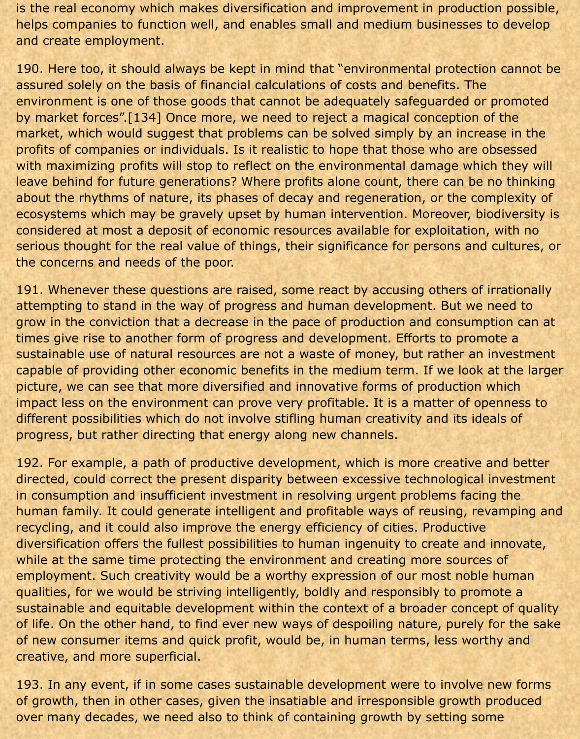environment is one of those goods that cannot be adequately safeguarded or promoted by market forces".[134] Once more, we need to reject a magical conception of market, which would suggest that problems can be solved simply by an increa profits of companies or individuals. Is it realistic to hope that those who are of with maximizing profits will stop to reflect on the environmental damage which leave behind for future generations? Where profits alone count, there can be r about the rhythms of nature, its phases of decay and regeneration, or the com ecosystems which [may b](http://w2.vatican.va/content/francesco/en/encyclicals/documents/papa-francesco_20150524_enciclica-laudato-si.html#_ftn134)e gravely upset by human intervention. Moreover, bio considered at most a deposit of economic resources available for exploitation, serious thought for the real value of things, their significance for persons and the concerns and needs of the poor.

191. Whenever these questions are raised, some react by accusing others of in attempting to stand in the way of progress and human development. But we ne grow in the conviction that a decrease in the pace of production and consumpt times give rise to another form of progress and development. Efforts to promo sustainable use of natural resources are not a waste of money, but rather an in capable of providing other economic benefits in the medium term. If we look a picture, we can see that more diversified and innovative forms of production w impact less on the environment can prove very profitable. It is a matter of open different possibilities which do not involve stifling human creativity and its ideal progress, but rather directing that energy along new channels.

192. For example, a path of productive development, which is more creative a directed, could correct the present disparity between excessive technological in in consumption and insufficient investment in resolving urgent problems facing human family. It could generate intelligent and profitable ways of reusing, reven recycling, and it could also improve the energy efficiency of cities. Productive diversification offers the fullest possibilities to human ingenuity to create and in while at the same time protecting the environment and creating more sources employment. Such creativity would be a worthy expression of our most noble qualities, for we would be striving intelligently, boldly and responsibly to prom sustainable and equitable development within the context of a broader concept of life. On the other hand, to find ever new ways of despoiling nature, purely for of new consumer items and quick profit, would be, in human terms, less worth creative, and more superficial.

193. In any event, if in some cases sustainable development were to involve r of growth, then in other cases, given the insatiable and irresponsible growth p over many decades, we need also to think of containing growth by setting some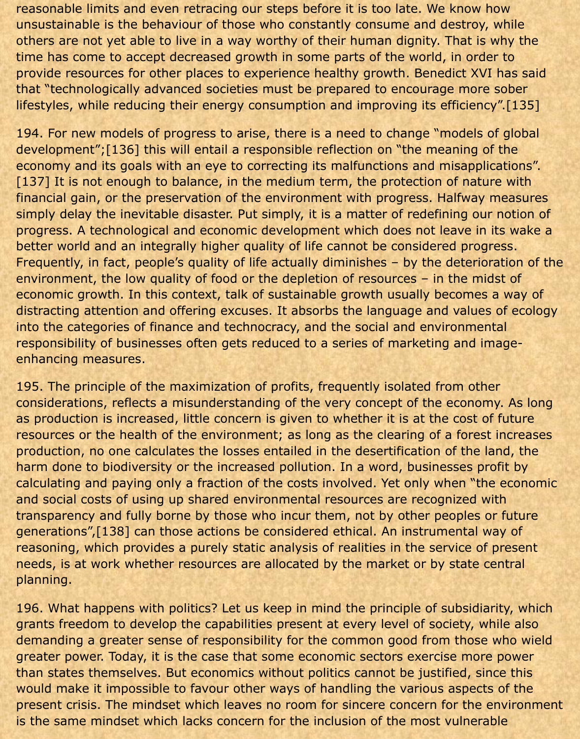lifestyles, while reducing their energy consumption and improving its efficiency

194. For new models of progress to arise, there is a need to change "models of development"; [136] this will entail a responsible reflection on "the meaning of economy and its goals with an eye to correcting its malfunctions and misapplic  $[137]$  It is not enough to balance, in the medium term, the protection of natur financial gain, or the preservation of the environment with progress. Halfway reasonally simply delay the inevitable disaster. Put simply, it is a matter of redefining our progress. A technological and economic development which does not leave in it better world a[nd an](http://w2.vatican.va/content/francesco/en/encyclicals/documents/papa-francesco_20150524_enciclica-laudato-si.html#_ftn136) integrally higher quality of life cannot be considered progress. Frequently, in fact, people's quality of life actually diminishes - by the deterior [enviro](http://w2.vatican.va/content/francesco/en/encyclicals/documents/papa-francesco_20150524_enciclica-laudato-si.html#_ftn137)nment, the low quality of food or the depletion of resources  $-$  in the mid economic growth. In this context, talk of sustainable growth usually becomes distracting attention and offering excuses. It absorbs the language and values into the categories of finance and technocracy, and the social and environment responsibility of businesses often gets reduced to a series of marketing and im enhancing measures.

195. The principle of the maximization of profits, frequently isolated from other considerations, reflects a misunderstanding of the very concept of the econom as production is increased, little concern is given to whether it is at the cost of resources or the health of the environment; as long as the clearing of a forest production, no one calculates the losses entailed in the desertification of the la harm done to biodiversity or the increased pollution. In a word, businesses pro calculating and paying only a fraction of the costs involved. Yet only when "the and social costs of using up shared environmental resources are recognized with transparency and fully borne by those who incur them, not by other peoples or generations",[138] can those actions be considered ethical. An instrumental w reasoning, which provides a purely static analysis of realities in the service of needs, is at work whether resources are allocated by the market or by state contain planning.

196. What happens with politics? Let us keep in mind the principle of subsidiar grants freed[om to d](http://w2.vatican.va/content/francesco/en/encyclicals/documents/papa-francesco_20150524_enciclica-laudato-si.html#_ftn138)evelop the capabilities present at every level of society, where demanding a greater sense of responsibility for the common good from those greater power. Today, it is the case that some economic sectors exercise more than states themselves. But economics without politics cannot be justified, sin would make it impossible to favour other ways of handling the various aspects present crisis. The mindset which leaves no room for sincere concern for the environment is the same mindset which lacks concern for the inclusion of the most vulneral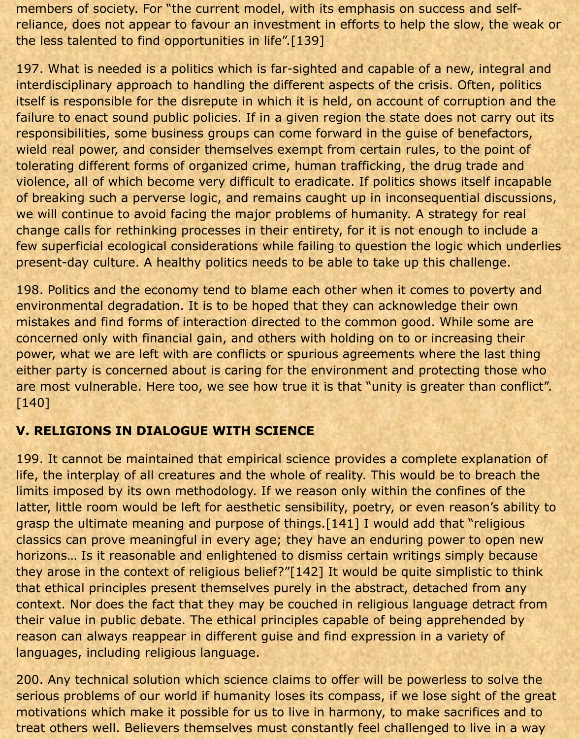itself is responsible for the disrepute in which it is held, on account or corruptio failure to enact sound public policies. If in a given region the state does not ca responsibilities, some business groups can c[ome fo](http://w2.vatican.va/content/francesco/en/encyclicals/documents/papa-francesco_20150524_enciclica-laudato-si.html#_ftn139)rward in the guise of benefactors. wield real power, and consider themselves exempt from certain rules, to the p tolerating different forms of organized crime, human trafficking, the drug trade violence, all of which become very difficult to eradicate. If politics shows itself of breaking such a perverse logic, and remains caught up in inconsequential d we will continue to avoid facing the major problems of humanity. A strategy fo change calls for rethinking processes in their entirety, for it is not enough to in few superficial ecological considerations while failing to question the logic which present-day culture. A healthy politics needs to be able to take up this challen

198. Politics and the economy tend to blame each other when it comes to pover environmental degradation. It is to be hoped that they can acknowledge their mistakes and find forms of interaction directed to the common good. While sort concerned only with financial gain, and others with holding on to or increasing power, what we are left with are conflicts or spurious agreements where the last thing either party is concerned about is caring for the environment and protecting the are most vulnerable. Here too, we see how true it is that "unity is greater than [140]

## **V. RELIGIONS IN DIALOGUE WITH SCIENCE**

199. It cannot be maintained that empirical science provides a complete expla life, the interplay of all creatures and the whole of reality. This would be to bre limits imposed by its own methodology. If we reason only within the confines of [latter,](http://w2.vatican.va/content/francesco/en/encyclicals/documents/papa-francesco_20150524_enciclica-laudato-si.html#_ftn140) little room would be left for aesthetic sensibility, poetry, or even reason' grasp the ultimate meaning and purpose of things.[141] I would add that "reli classics can prove meaningful in every age; they have an enduring power to o horizons... Is it reasonable and enlightened to dismiss certain writings simply b they arose in the context of religious belief?" $[142]$  It would be quite simplistic that ethical principles present themselves purely in the abstract, detached from context. Nor does the fact that they may be couched in religious language det their value in public debate. The ethical principles [capabl](http://w2.vatican.va/content/francesco/en/encyclicals/documents/papa-francesco_20150524_enciclica-laudato-si.html#_ftn141)e of being apprehend reason can always reappear in different guise and find expression in a variety languages, including religious language.

200. Any technical solution which science cl[aims to](http://w2.vatican.va/content/francesco/en/encyclicals/documents/papa-francesco_20150524_enciclica-laudato-si.html#_ftn142) offer will be powerless to s serious problems of our world if humanity loses its compass, if we lose sight of motivations which make it possible for us to live in harmony, to make sacrifice treat others well. Believers themselves must constantly feel challenged to live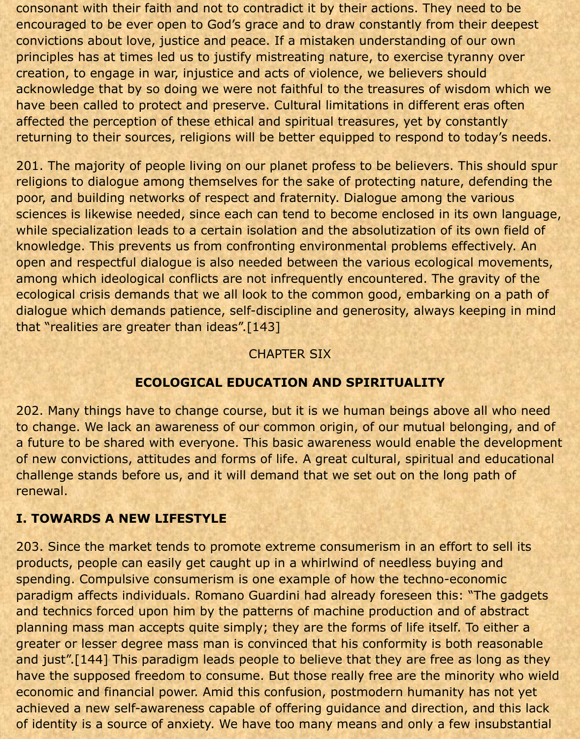have been called to protect and preserve. Cultural limitations in different eras affected the perception of these ethical and spiritual treasures, yet by constan returning to their sources, religions will be better equipped to respond to today

201. The majority of people living on our planet profess to be believers. This s religions to dialogue among themselves for the sake of protecting nature, defe poor, and building networks of respect and fraternity. Dialogue among the various sciences is likewise needed, since each can tend to become enclosed in its own while specialization leads to a certain isolation and the absolutization of its ow knowledge. This prevents us from confronting environmental problems effectively. open and respectful dialogue is also needed between the various ecological mo among which ideological conflicts are not infrequently encountered. The gravit ecological crisis demands that we all look to the common good, embarking on dialogue which demands patience, self-discipline and generosity, always keepi that "realities are greater than ideas".[143]

#### CHAPTER SIX

#### **ECOLOGICAL EDUCATION AND SPIRITUALITY**

202. Many things have to change course, but it is we human beings above all to change. We lack an awareness of o[ur com](http://w2.vatican.va/content/francesco/en/encyclicals/documents/papa-francesco_20150524_enciclica-laudato-si.html#_ftn143)mon origin, of our mutual belonging a future to be shared with everyone. This basic awareness would enable the deof new convictions, attitudes and forms of life. A great cultural, spiritual and e challenge stands before us, and it will demand that we set out on the long pat renewal.

#### **I. TOWARDS A NEW LIFESTYLE**

203. Since the market tends to promote extreme consumerism in an effort to products, people can easily get caught up in a whirlwind of needless buying are spending. Compulsive consumerism is one example of how the techno-econom paradigm affects individuals. Romano Guardini had already foreseen this: "The and technics forced upon him by the patterns of machine production and of ab planning mass man accepts quite simply; they are the forms of life itself. To ei greater or lesser degree mass man is convinced that his conformity is both reasonable and just".[144] This paradigm leads people to believe that they are free as lon have the supposed freedom to consume. But those really free are the minority economic and financial power. Amid this confusion, postmodern humanity has achieved a new self-awareness capable of offering guidance and direction, and of identity is a source of anxiety. We have too many means and only a few ins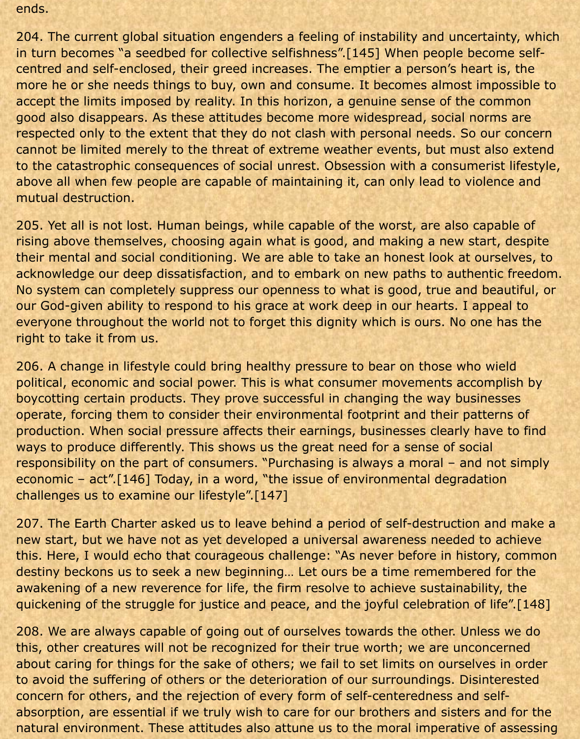accept the limits imposed by reality. In this horizon, a genuine sense of the common good also disappears. As these attitudes become more widespread, social norre respected only to the extent that they do not clash with personal needs. So our cannot be limited merely to the threat of extreme we[ather e](http://w2.vatican.va/content/francesco/en/encyclicals/documents/papa-francesco_20150524_enciclica-laudato-si.html#_ftn145)vents, but must a to the catastrophic consequences of social unrest. Obsession with a consumeri above all when few people are capable of maintaining it, can only lead to viole mutual destruction.

205. Yet all is not lost. Human beings, while capable of the worst, are also cap rising above themselves, choosing again what is good, and making a new star their mental and social conditioning. We are able to take an honest look at our acknowledge our deep dissatisfaction, and to embark on new paths to authent No system can completely suppress our openness to what is good, true and be our God-given ability to respond to his grace at work deep in our hearts. I app everyone throughout the world not to forget this dignity which is ours. No one right to take it from us.

206. A change in lifestyle could bring healthy pressure to bear on those who w political, economic and social power. This is what consumer movements accom boycotting certain products. They prove successful in changing the way busine operate, forcing them to consider their environmental footprint and their patte production. When social pressure affects their earnings, businesses clearly have ways to produce differently. This shows us the great need for a sense of social responsibility on the part of consumers. "Purchasing is always a moral - and not economic – act". $[146]$  Today, in a word, "the issue of environmental degradation challenges us to examine our lifestyle".[147]

207. The Earth Charter asked us to leave behind a period of self-destruction a new start, but we have not as yet developed a universal awareness needed to this. Here, I would echo that courageous challenge: "As never before in histor destiny beckons [us to](http://w2.vatican.va/content/francesco/en/encyclicals/documents/papa-francesco_20150524_enciclica-laudato-si.html#_ftn146) seek a new beginning... Let ours be a time remembered awakening of a new reverence for life, [the fir](http://w2.vatican.va/content/francesco/en/encyclicals/documents/papa-francesco_20150524_enciclica-laudato-si.html#_ftn147)m resolve to achieve sustainabilit quickening of the struggle for justice and peace, and the joyful celebration of I

208. We are always capable of going out of ourselves towards the other. Unles this, other creatures will not be recognized for their true worth; we are uncond about caring for things for the sake of others; we fail to set limits on ourselves to avoid the suffering of others or the deterioration of our surroundings. Disint concern for others, and the rejection of every form of self-centeredness and se absorption, are essential if we truly wish to care for our brothers and sisters a natural environment. These attitudes also attune us to the moral imperative of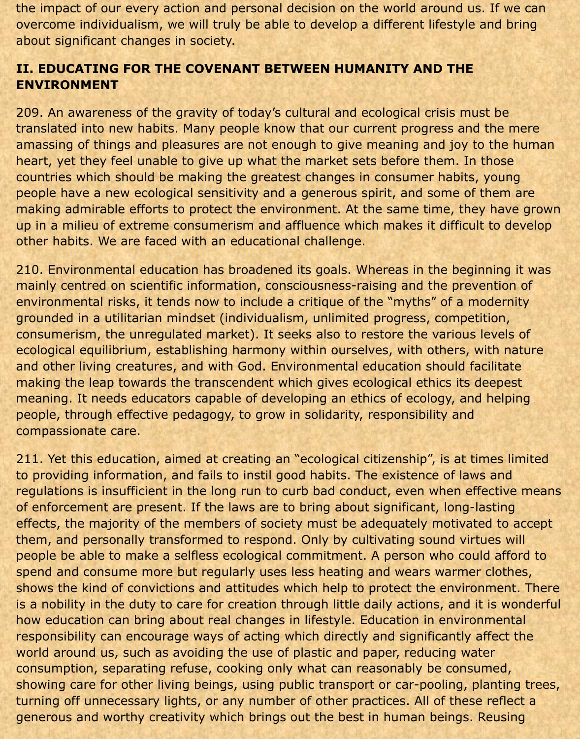the impact of our every action and personal decision on the world around us. If we can overcome individualism, we will truly be able to develop a different lifestyle and bring about significant changes in society.

## **II. EDUCATING FOR THE COVENANT BETWEEN HUMANITY AND THE ENVIRONMENT**

209. An awareness of the gravity of today's cultural and ecological crisis must be translated into new habits. Many people know that our current progress and the mere amassing of things and pleasures are not enough to give meaning and joy to the human heart, yet they feel unable to give up what the market sets before them. In those countries which should be making the greatest changes in consumer habits, young people have a new ecological sensitivity and a generous spirit, and some of them are making admirable efforts to protect the environment. At the same time, they have grown up in a milieu of extreme consumerism and affluence which makes it difficult to develop other habits. We are faced with an educational challenge.

210. Environmental education has broadened its goals. Whereas in the beginning it was mainly centred on scientific information, consciousness-raising and the prevention of environmental risks, it tends now to include a critique of the "myths" of a modernity grounded in a utilitarian mindset (individualism, unlimited progress, competition, consumerism, the unregulated market). It seeks also to restore the various levels of ecological equilibrium, establishing harmony within ourselves, with others, with nature and other living creatures, and with God. Environmental education should facilitate making the leap towards the transcendent which gives ecological ethics its deepest meaning. It needs educators capable of developing an ethics of ecology, and helping people, through effective pedagogy, to grow in solidarity, responsibility and compassionate care.

211. Yet this education, aimed at creating an "ecological citizenship", is at times limited to providing information, and fails to instil good habits. The existence of laws and regulations is insufficient in the long run to curb bad conduct, even when effective means of enforcement are present. If the laws are to bring about significant, long-lasting effects, the majority of the members of society must be adequately motivated to accept them, and personally transformed to respond. Only by cultivating sound virtues will people be able to make a selfless ecological commitment. A person who could afford to spend and consume more but regularly uses less heating and wears warmer clothes, shows the kind of convictions and attitudes which help to protect the environment. There is a nobility in the duty to care for creation through little daily actions, and it is wonderful how education can bring about real changes in lifestyle. Education in environmental responsibility can encourage ways of acting which directly and significantly affect the world around us, such as avoiding the use of plastic and paper, reducing water consumption, separating refuse, cooking only what can reasonably be consumed, showing care for other living beings, using public transport or car-pooling, planting trees, turning off unnecessary lights, or any number of other practices. All of these reflect a generous and worthy creativity which brings out the best in human beings. Reusing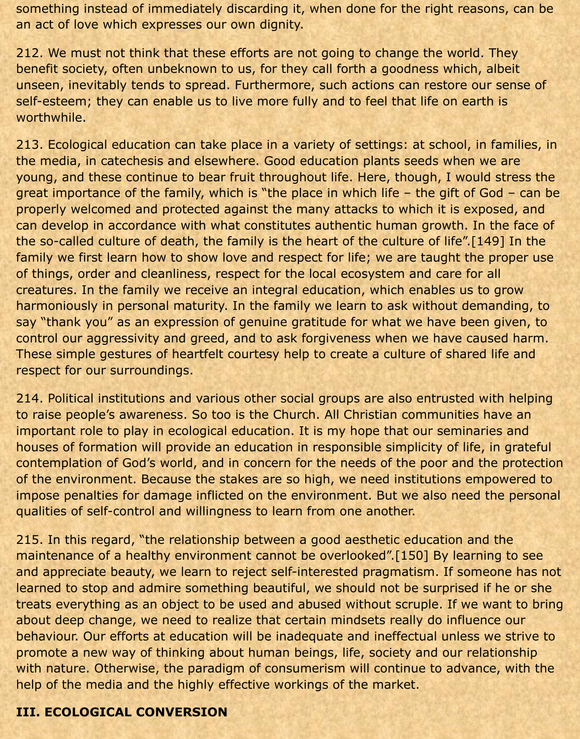self-esteem; they can enable us to live more fully and to feel that life on earth is worthwhile.

213. Ecological education can take place in a variety of settings: at school, in f the media, in catechesis and elsewhere. Good education plants seeds when we young, and these continue to bear fruit throughout life. Here, though, I would great importance of the family, which is "the place in which life - the gift of Go properly welcomed and protected against the many attacks to which it is expo can develop in accordance with what constitutes authentic human growth. In the face of the so-called culture of death, the family is the heart of the culture of life".[14 family we first learn how to show love and respect for life; we are taught the proper of things, order and cleanliness, respect for the local ecosystem and care for a creatures. In the family we receive an integral education, which enables us to harmoniously in personal maturity. In the family we learn to ask without dema say "thank you" as an expression of genuine gratitude for what we have been control our aggressivity and greed, and to ask forgiveness when we have caus These simple gestures of heartfelt courtesy help to create a culture of shared respect for our surroundings.

214. Political institutions and various other social groups are also entrusted wi to raise people's awareness. So too is the Church. All Christian communities has important role to play in ecological education. It is my hope that our seminarie houses of formation will provide an education in responsible simplicity of life, in contemplation of God's world, and in concern for the needs of the poor and the of the environment. Because the stakes are so high, we need institutions emp impose penalties for damage inflicted on the environment. But we also need the qualities of self-control and willingness to learn from one another.

215. In this regard, "the relationship between a good aesthetic education and maintenance of a healthy environment cannot be overlooked".[150] By learnin and appreciate beauty, we learn to reject self-interested pragmatism. If some learned to stop and admire something beautiful, we should not be surprised if treats everything as an object to be used and abused without scruple. If we w about deep change, we need to realize that certain mindsets really do influend behaviour. Our efforts at education will be inadequate and ineffectual unless w promote a new way of thinking about human beings, life, soci[ety an](http://w2.vatican.va/content/francesco/en/encyclicals/documents/papa-francesco_20150524_enciclica-laudato-si.html#_ftn150)d our relat with nature. Otherwise, the paradigm of consumerism will continue to advance help of the media and the highly effective workings of the market.

### **III. ECOLOGICAL CONVERSION**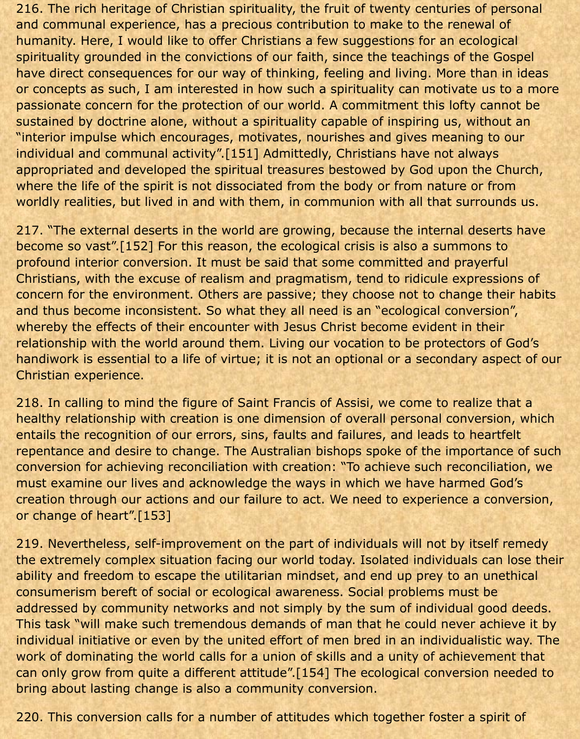passionate concern for the protection of our world. A commitment this lofty ca sustained by doctrine alone, without a spirituality capable of inspiring us, with "interior impulse which encourages, motivates, nourishes and gives meaning t individual and communal activity".[151] Admittedly, Christians have not alway appropriated and developed the spiritual treasures bestowed by God upon the where the life of the spirit is not dissociated from the body or from nature or f worldly realities, but lived in and with them, in communion with all that surrounds

217. "The external deserts in the world are growing, because the internal desert become so vast".[152] For this re[ason, t](http://w2.vatican.va/content/francesco/en/encyclicals/documents/papa-francesco_20150524_enciclica-laudato-si.html#_ftn151)he ecological crisis is also a summons profound interior conversion. It must be said that some committed and prayer Christians, with the excuse of realism and pragmatism, tend to ridicule expres concern for the environment. Others are passive; they choose not to change to and thus become inconsistent. So what they all need is an "ecological convers whereby the effects of their encounter with Jesus Christ become evident in the relationship with [the w](http://w2.vatican.va/content/francesco/en/encyclicals/documents/papa-francesco_20150524_enciclica-laudato-si.html#_ftn152)orld around them. Living our vocation to be protectors of handiwork is essential to a life of virtue; it is not an optional or a secondary as Christian experience.

218. In calling to mind the figure of Saint Francis of Assisi, we come to realize healthy relationship with creation is one dimension of overall personal convers entails the recognition of our errors, sins, faults and failures, and leads to hear repentance and desire to change. The Australian bishops spoke of the importa conversion for achieving reconciliation with creation: "To achieve such reconcil must examine our lives and acknowledge the ways in which we have harmed ( creation through our actions and our failure to act. We need to experience a conversion, or change of heart".[153]

219. Nevertheless, self-improvement on the part of individuals will not by itsel the extremely complex situation facing our world today. Isolated individuals ca ability and freedom to escape the utilitarian mindset, and end up prey to an un consumerism bereft of social or ecological awareness. Social problems must be addressed by com[munity](http://w2.vatican.va/content/francesco/en/encyclicals/documents/papa-francesco_20150524_enciclica-laudato-si.html#_ftn153) networks and not simply by the sum of individual go This task "will make such tremendous demands of man that he could never ac individual initiative or even by the united effort of men bred in an individualist work of dominating the world calls for a union of skills and a unity of achievem can only grow from quite a different attitude".[154] The ecological conversion bring about lasting change is also a community conversion.

220. This conversion calls for a number of attitudes which together foster a sp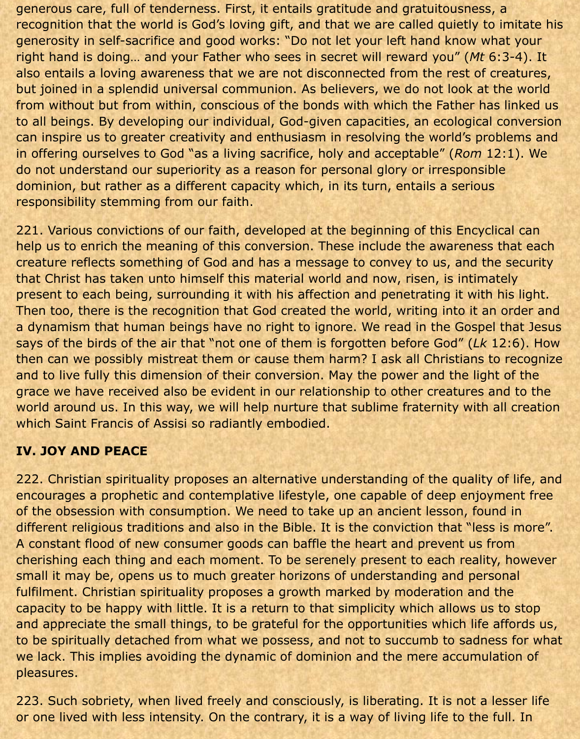generous care, full of tenderness. First, it entails gratitude and gratuitousness, a recognition that the world is God's loving gift, and that we are called quietly to imitate his generosity in self-sacrifice and good works: "Do not let your left hand know what your right hand is doing… and your Father who sees in secret will reward you" (*Mt* 6:3-4). It also entails a loving awareness that we are not disconnected from the rest of creatures, but joined in a splendid universal communion. As believers, we do not look at the world from without but from within, conscious of the bonds with which the Father has linked us to all beings. By developing our individual, God-given capacities, an ecological conversion can inspire us to greater creativity and enthusiasm in resolving the world's problems and in offering ourselves to God "as a living sacrifice, holy and acceptable" (*Rom* 12:1). We do not understand our superiority as a reason for personal glory or irresponsible dominion, but rather as a different capacity which, in its turn, entails a serious responsibility stemming from our faith.

221. Various convictions of our faith, developed at the beginning of this Encyclical can help us to enrich the meaning of this conversion. These include the awareness that each creature reflects something of God and has a message to convey to us, and the security that Christ has taken unto himself this material world and now, risen, is intimately present to each being, surrounding it with his affection and penetrating it with his light. Then too, there is the recognition that God created the world, writing into it an order and a dynamism that human beings have no right to ignore. We read in the Gospel that Jesus says of the birds of the air that "not one of them is forgotten before God" (*Lk* 12:6). How then can we possibly mistreat them or cause them harm? I ask all Christians to recognize and to live fully this dimension of their conversion. May the power and the light of the grace we have received also be evident in our relationship to other creatures and to the world around us. In this way, we will help nurture that sublime fraternity with all creation which Saint Francis of Assisi so radiantly embodied.

## **IV. JOY AND PEACE**

222. Christian spirituality proposes an alternative understanding of the quality of life, and encourages a prophetic and contemplative lifestyle, one capable of deep enjoyment free of the obsession with consumption. We need to take up an ancient lesson, found in different religious traditions and also in the Bible. It is the conviction that "less is more". A constant flood of new consumer goods can baffle the heart and prevent us from cherishing each thing and each moment. To be serenely present to each reality, however small it may be, opens us to much greater horizons of understanding and personal fulfilment. Christian spirituality proposes a growth marked by moderation and the capacity to be happy with little. It is a return to that simplicity which allows us to stop and appreciate the small things, to be grateful for the opportunities which life affords us, to be spiritually detached from what we possess, and not to succumb to sadness for what we lack. This implies avoiding the dynamic of dominion and the mere accumulation of pleasures.

223. Such sobriety, when lived freely and consciously, is liberating. It is not a lesser life or one lived with less intensity. On the contrary, it is a way of living life to the full. In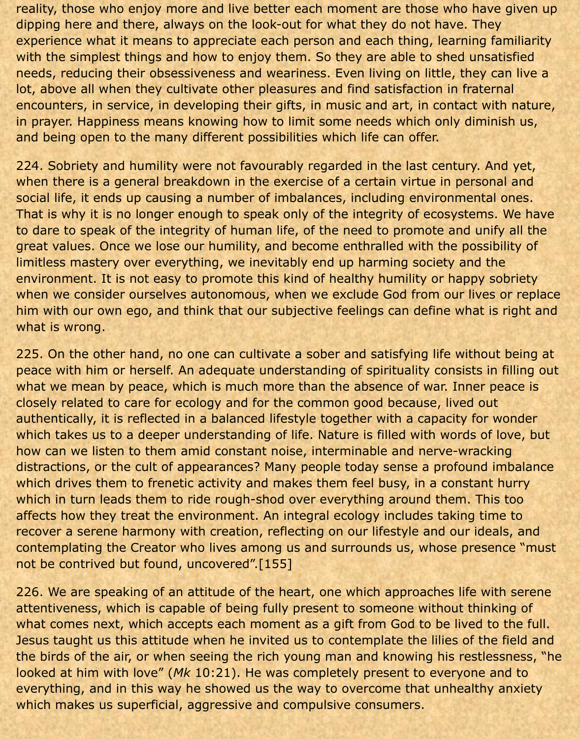encounters, in service, in developing their gifts, in music and art, in contact w in prayer. Happiness means knowing how to limit some needs which only dimin and being open to the many different possibilities which life can offer.

224. Sobriety and humility were not favourably regarded in the last century. A when there is a general breakdown in the exercise of a certain virtue in persor social life, it ends up causing a number of imbalances, including environmental That is why it is no longer enough to speak only of the integrity of ecosystems to dare to speak of the integrity of human life, of the need to promote and unit great values. Once we lose our humility, and become enthralled with the possi limitless mastery over everything, we inevitably end up harming society and the environment. It is not easy to promote this kind of healthy humility or happy so when we consider ourselves autonomous, when we exclude God from our lives him with our own ego, and think that our subjective feelings can define what i what is wrong.

225. On the other hand, no one can cultivate a sober and satisfying life without peace with him or herself. An adequate understanding of spirituality consists in what we mean by peace, which is much more than the absence of war. Inner per closely related to care for ecology and for the common good because, lived out authentically, it is reflected in a balanced lifestyle together with a capacity for which takes us to a deeper understanding of life. Nature is filled with words of how can we listen to them amid constant noise, interminable and nerve-wrack distractions, or the cult of appearances? Many people today sense a profound which drives them to frenetic activity and makes them feel busy, in a constant which in turn leads them to ride rough-shod over everything around them. This affects how they treat the environment. An integral ecology includes taking tir recover a serene harmony with creation, reflecting on our lifestyle and our ide contemplating the Creator who lives among us and surrounds us, whose prese not be contrived but found, uncovered".[155]

226. We are speaking of an attitude of the heart, one which approaches life with attentiveness, which is capable of being fully present to someone without thin what comes next, which accepts each moment as a gift from God to be lived to Jesus taught us this attitude when he invited us to contemplate the lilies of the the birds of the air, or when seeing the [rich yo](http://w2.vatican.va/content/francesco/en/encyclicals/documents/papa-francesco_20150524_enciclica-laudato-si.html#_ftn155)ung man and knowing his restle looked at him with love" (Mk 10:21). He was completely present to everyone and to to everything, and in this way he showed us the way to overcome that unhealthy which makes us superficial, aggressive and compulsive consumers.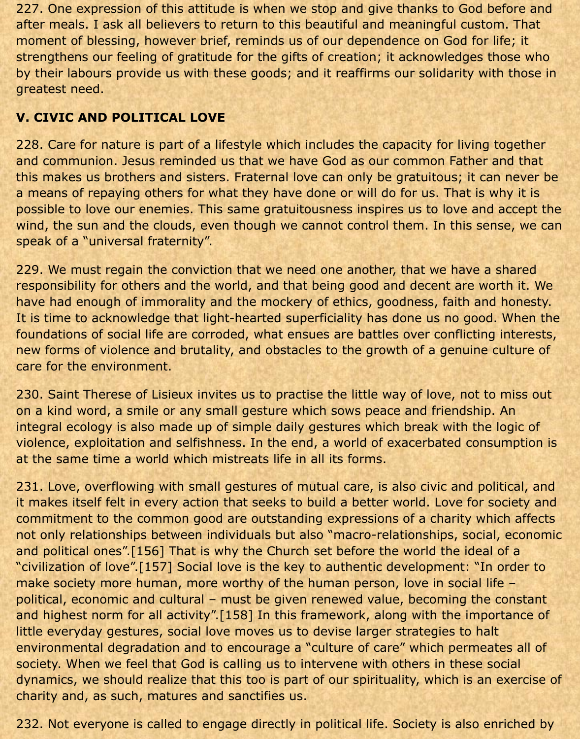### **V. CIVIC AND POLITICAL LOVE**

228. Care for nature is part of a lifestyle which includes the capacity for living and communion. Jesus reminded us that we have God as our common Father this makes us brothers and sisters. Fraternal love can only be gratuitous; it can a means of repaying others for what they have done or will do for us. That is u possible to love our enemies. This same gratuitousness inspires us to love and wind, the sun and the clouds, even though we cannot control them. In this sen speak of a "universal fraternity".

229. We must regain the conviction that we need one another, that we have a responsibility for others and the world, and that being good and decent are worth it. have had enough of immorality and the mockery of ethics, goodness, faith and It is time to acknowledge that light-hearted superficiality has done us no good foundations of social life are corroded, what ensues are battles over conflicting new forms of violence and brutality, and obstacles to the growth of a genuine care for the environment.

230. Saint Therese of Lisieux invites us to practise the little way of love, not to on a kind word, a smile or any small gesture which sows peace and friendship integral ecology is also made up of simple daily gestures which break with the violence, exploitation and selfishness. In the end, a world of exacerbated cons at the same time a world which mistreats life in all its forms.

231. Love, overflowing with small gestures of mutual care, is also civic and po it makes itself felt in every action that seeks to build a better world. Love for s commitment to the common good are outstanding expressions of a charity wh not only relationships between individuals but also "macro-relationships, social and political ones".[156] That is why the Church set before the world the ideal "civilization of love".[157] Social love is the key to authentic development: "In make society more human, more worthy of the human person, love in social li political, economic and cultural – must be given renewed value, becoming the and highest norm for all activity".[158] In this framework, along with the import little everyday gestures, social love moves us to devise larger strategies to halt environmental deg[radatio](http://w2.vatican.va/content/francesco/en/encyclicals/documents/papa-francesco_20150524_enciclica-laudato-si.html#_ftn156)n and to encourage a "culture of care" which permeates all of society. When we fe[el that](http://w2.vatican.va/content/francesco/en/encyclicals/documents/papa-francesco_20150524_enciclica-laudato-si.html#_ftn157) God is calling us to intervene with others in these s dynamics, we should realize that this too is part of our spirituality, which is an charity and, as such, matures and sanctifies us.

232. Not everyone is called to en[gage d](http://w2.vatican.va/content/francesco/en/encyclicals/documents/papa-francesco_20150524_enciclica-laudato-si.html#_ftn158)irectly in political life. Society is also en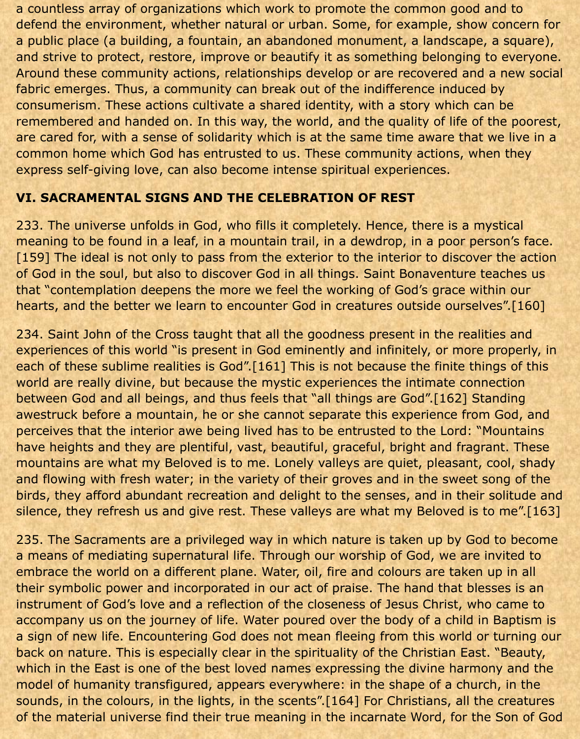consumerism. These actions cultivate a shared identity, with a story which can be remembered and handed on. In this way, the world, and the quality of life of the are cared for, with a sense of solidarity which is at the same time aware that v common home which God has entrusted to us. These community actions, when express self-giving love, can also become intense spiritual experiences.

### **VI. SACRAMENTAL SIGNS AND THE CELEBRATION OF REST**

233. The universe unfolds in God, who fills it completely. Hence, there is a my meaning to be found in a leaf, in a mountain trail, in a dewdrop, in a poor pers  $[159]$  The ideal is not only to pass from the exterior to the interior to discover of God in the soul, but also to discover God in all things. Saint Bonaventure te that "contemplation deepens the more we feel the working of God's grace with hearts, and the better we learn to encounter God in creatures outside ourselve

234. Saint John of the Cross taught that all the goodness present in the realiti [experi](http://w2.vatican.va/content/francesco/en/encyclicals/documents/papa-francesco_20150524_enciclica-laudato-si.html#_ftn159)ences of this world "is present in God eminently and infinitely, or more properly each of these sublime realities is God".[161] This is not because the finite thin world are really divine, but because the mystic experiences the intimate conne between God and all beings, and thus feels that "all things are God".[162] Sta awestruck before a mountain, he or she cannot separate this experience from perceives that the interior awe being lived has to be entrusted to the Lord: "Mountainsty" have heights and they are plentiful, vast, beautiful, graceful, bright and fragra mountains are what my Beloved is to [me. Lo](http://w2.vatican.va/content/francesco/en/encyclicals/documents/papa-francesco_20150524_enciclica-laudato-si.html#_ftn161)nely valleys are quiet, pleasant, cool, and and flowing with fresh water; in the variety of their groves and in the sweet song birds, they afford abundant recreation and delight to the senses, an[d in th](http://w2.vatican.va/content/francesco/en/encyclicals/documents/papa-francesco_20150524_enciclica-laudato-si.html#_ftn162)eir solitude and silence, they refresh us and give rest. These valleys are what my Beloved is to

235. The Sacraments are a privileged way in which nature is taken up by God a means of mediating supernatural life. Through our worship of God, we are in embrace the world on a different plane. Water, oil, fire and colours are taken u their symbolic power and incorporated in our act of praise. The hand that bles instrument of God's love and a reflection of the closeness of Jesus Christ, who accompany us on the journey of life. Water poured over the body of a child in a sign of new life. Encountering God does not mean fleeing from this world or back on nature. This is especially clear in the spirituality of the Christian East. which in the East is one of the best loved names expressing the divine harmor model of humanity transfigured, appears everywhere: in the shape of a church sounds, in the colours, in the lights, in the scents".[164] For Christians, all the of the material universe find their true meaning in the incarnate Word, for the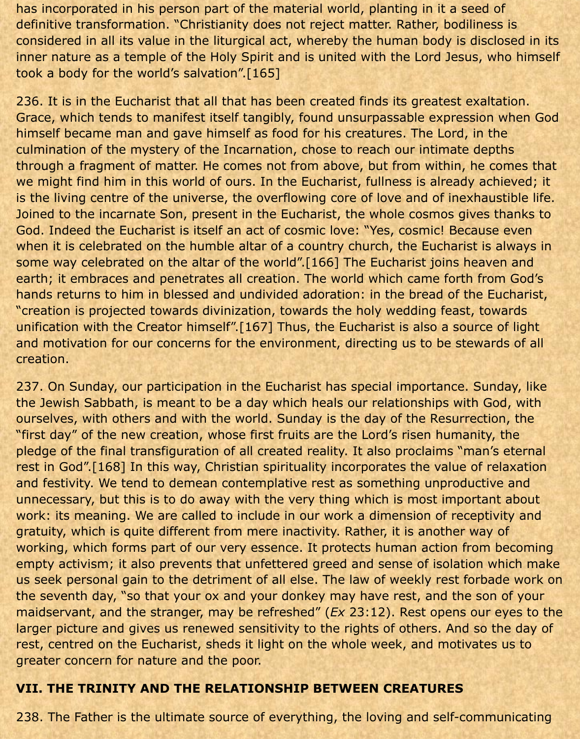236. It is in the Eucharist that all that has been created finds its greatest exaltation. Grace, which tends to manifest itself tangibly, found unsurpassable expression himself became man and gave himself as food for his creatures. The Lord, in t culmination of the mystery of the Incarnation, chose to reach our intimate depth through a fragment of matter. He co[mes no](http://w2.vatican.va/content/francesco/en/encyclicals/documents/papa-francesco_20150524_enciclica-laudato-si.html#_ftn165)t from above, but from within, he only we might find him in this world of ours. In the Eucharist, fullness is already ac is the living centre of the universe, the overflowing core of love and of inexhau Joined to the incarnate Son, present in the Eucharist, the whole cosmos gives God. Indeed the Eucharist is itself an act of cosmic love: "Yes, cosmic! Becaus when it is celebrated on the humble altar of a country church, the Eucharist is some way celebrated on the altar of the world".[166] The Eucharist joins heav earth; it embraces and penetrates all creation. The world which came forth fro hands returns to him in blessed and undivided adoration: in the bread of the E "creation is projected towards divinization, towards the holy wedding feast, to unification with the Creator himself".[167] Thus, the Eucharist is also a source and motivation for our concerns for the environment, directing us to be steward creation.

237. On Sunday, our participation in the Eucharist has special importance. Sur the Jewish Sabbath, is meant to be a day which heals our relationships with G ourselves, with others and with the [world.](http://w2.vatican.va/content/francesco/en/encyclicals/documents/papa-francesco_20150524_enciclica-laudato-si.html#_ftn167) Sunday is the day of the Resurrection "first day" of the new creation, whose first fruits are the Lord's risen humanity pledge of the final transfiguration of all created reality. It also proclaims "man' rest in God".[168] In this way, Christian spirituality incorporates the value of r and festivity. We tend to demean contemplative rest as something unproductive unnecessary, but this is to do away with the very thing which is most importar work: its meaning. We are called to include in our work a dimension of recepti gratuity, which is quite different from mere inactivity. Rather, it is another way working, which forms part of our very essence. It protects human action from empty activi[sm; it](http://w2.vatican.va/content/francesco/en/encyclicals/documents/papa-francesco_20150524_enciclica-laudato-si.html#_ftn168) also prevents that unfettered greed and sense of isolation v us seek personal gain to the detriment of all else. The law of weekly rest forba the seventh day, "so that your ox and your donkey may have rest, and the son maidservant, and the stranger, may be refreshed" (*Ex* 23:12). Rest opens our larger picture and gives us renewed sensitivity to the rights of others. And so rest, centred on the Eucharist, sheds it light on the whole week, and motivates greater concern for nature and the poor.

#### **VII. THE TRINITY AND THE RELATIONSHIP BETWEEN CREATURES**

238. The Father is the ultimate source of everything, the loving and self-comm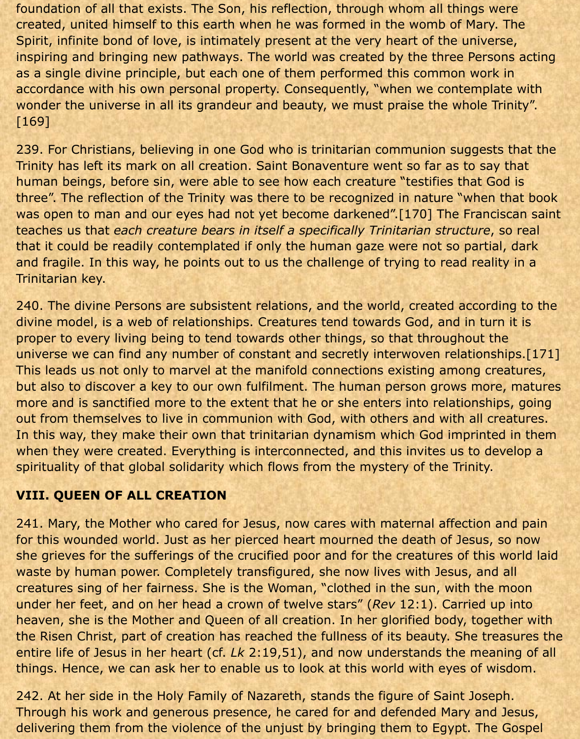wonder the universe in all its grandeur and beauty, we must praise the whole [169]

239. For Christians, believing in one God who is trinitarian communion sugges Trinity has left its mark on all creation. Saint Bonaventure went so far as to sa human beings, before sin, were able to see how each creature "testifies that G three". The reflection of the Trinity was there to be recognized in nature "when [was o](http://w2.vatican.va/content/francesco/en/encyclicals/documents/papa-francesco_20150524_enciclica-laudato-si.html#_ftn169)pen to man and our eyes had not yet become darkened".[170] The Franc teaches us that *each creature bears in itself a specifically Trinitarian structure* that it could be readily contemplated if only the human gaze were not so parti and fragile. In this way, he points out to us the challenge of trying to read rea Trinitarian key.

240. The divine Persons are subsistent relations, and the worl[d, crea](http://w2.vatican.va/content/francesco/en/encyclicals/documents/papa-francesco_20150524_enciclica-laudato-si.html#_ftn170)ted according divine model, is a web of relationships. Creatures tend towards God, and in tu proper to every living being to tend towards other things, so that throughout t universe we can find any number of constant and secretly interwoven relations This leads us not only to marvel at the manifold connections existing among c but also to discover a key to our own fulfilment. The human person grows more more and is sanctified more to the extent that he or she enters into relationships out from themselves to live in communion with God, with others and with all c In this way, they make their own that trinitarian dynamism which God imprinted in the make when they were created. Everything is interconnected, and this invites us to d spirituality of that global solidarity which flows from the mystery of the Trinity.

### **VIII. QUEEN OF ALL CREATION**

241. Mary, the Mother who cared for Jesus, now cares with maternal affection for this wounded world. Just as her pierced heart mourned the death of Jesus, she grieves for the sufferings of the crucified poor and for the creatures of this waste by human power. Completely transfigured, she now lives with Jesus, and creatures sing of her fairness. She is the Woman, "clothed in the sun, with the under her feet, and on her head a crown of twelve stars" (Rev 12:1). Carried i heaven, she is the Mother and Queen of all creation. In her glorified body, together and the Risen Christ, part of creation has reached the fullness of its beauty. She tr entire life of Jesus in her heart (cf. *Lk* 2:19,51), and now understands the mea things. Hence, we can ask her to enable us to look at this world with eyes of w

242. At her side in the Holy Family of Nazareth, stands the figure of Saint Jose Through his work and generous presence, he cared for and defended Mary and delivering them from the violence of the unjust by bringing them to Egypt. The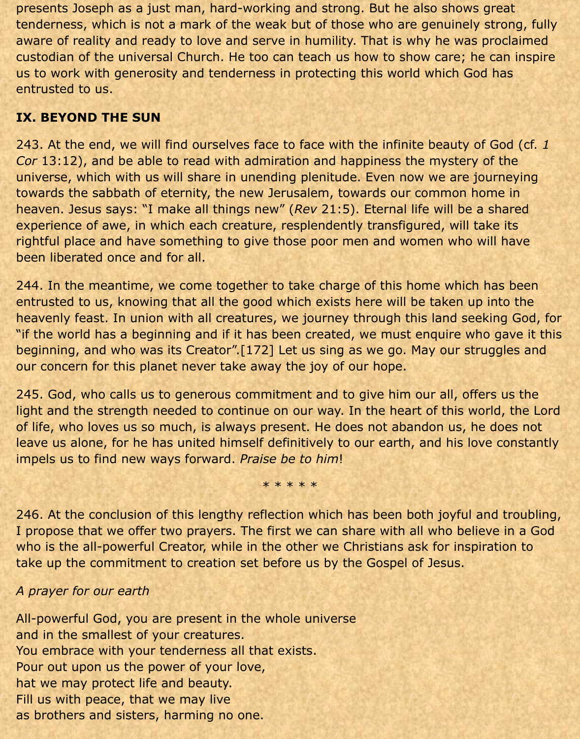#### **IX. BEYOND THE SUN**

243. At the end, we will find ourselves face to face with the infinite beauty of ( *Cor* 13:12), and be able to read with admiration and happiness the mystery of universe, which with us will share in unending plenitude. Even now we are jour towards the sabbath of eternity, the new Jerusalem, towards our common hon heaven. Jesus says: "I make all things new" (Rev 21:5). Eternal life will be a s experience of awe, in which each creature, resplendently transfigured, will tak rightful place and have something to give those poor men and women who will been liberated once and for all.

244. In the meantime, we come together to take charge of this home which has entrusted to us, knowing that all the good which exists here will be taken up in heavenly feast. In union with all creatures, we journey through this land seeking "if the world has a beginning and if it has been created, we must enquire who beginning, and who was its Creator".[172] Let us sing as we go. May our strug our concern for this planet never take away the joy of our hope.

245. God, who calls us to generous commitment and to give him our all, offers light and the strength needed to continue on our way. In the heart of this worl of life, who loves us so much, is always present. He does not abandon us, he do leave us alone, for he has united hi[mself d](http://w2.vatican.va/content/francesco/en/encyclicals/documents/papa-francesco_20150524_enciclica-laudato-si.html#_ftn172)efinitively to our earth, and his love impels us to find new ways forward. *Praise be to him*!

\* \* \* \* \*

246. At the conclusion of this lengthy reflection which has been both joyful and I propose that we offer two prayers. The first we can share with all who believe who is the all-powerful Creator, while in the other we Christians ask for inspira take up the commitment to creation set before us by the Gospel of Jesus.

#### *A prayer for our earth*

All-powerful God, you are present in the whole universe and in the smallest of your creatures. You embrace with your tenderness all that exists. Pour out upon us the power of your love, hat we may protect life and beauty. Fill us with peace, that we may live as brothers and sisters, harming no one.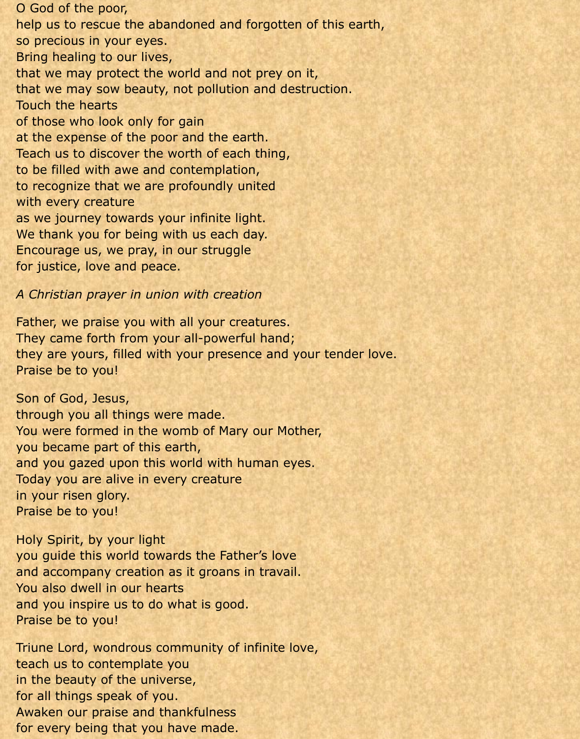O God of the poor, help us to rescue the abandoned and forgotten of this earth, so precious in your eyes. Bring healing to our lives, that we may protect the world and not prey on it, that we may sow beauty, not pollution and destruction. Touch the hearts of those who look only for gain at the expense of the poor and the earth. Teach us to discover the worth of each thing, to be filled with awe and contemplation, to recognize that we are profoundly united with every creature as we journey towards your infinite light. We thank you for being with us each day. Encourage us, we pray, in our struggle for justice, love and peace.

#### *A Christian prayer in union with creation*

Father, we praise you with all your creatures. They came forth from your all-powerful hand; they are yours, filled with your presence and your tender love. Praise be to you!

Son of God, Jesus, through you all things were made. You were formed in the womb of Mary our Mother, you became part of this earth, and you gazed upon this world with human eyes. Today you are alive in every creature in your risen glory. Praise be to you!

Holy Spirit, by your light you guide this world towards the Father's love and accompany creation as it groans in travail. You also dwell in our hearts and you inspire us to do what is good. Praise be to you!

Triune Lord, wondrous community of infinite love, teach us to contemplate you in the beauty of the universe, for all things speak of you. Awaken our praise and thankfulness for every being that you have made.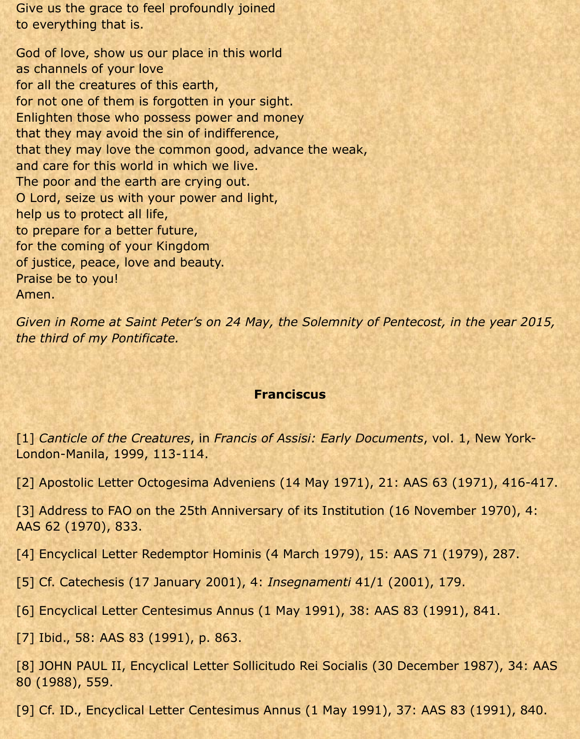for not one of them is forgotten in your sight. Enlighten those who possess power and money that they may avoid the sin of indifference, that they may love the common good, advance the weak, and care for this world in which we live. The poor and the earth are crying out. O Lord, seize us with your power and light, help us to protect all life, to prepare for a better future, for the coming of your Kingdom of justice, peace, love and beauty. Praise be to you! Amen.

*Given in Rome at Saint Peter's on 24 May, the Solemnity of Pentecost, in the y the third of my Pontificate.*

#### **Franciscus**

[1] Canticle of the Creatures, in *Francis of Assisi: Early Documents*, vol. 1, New London-Manila, 1999, 113-114.

[2] Apostolic Letter Octogesima Adveniens (14 May 1971), 21: AAS 63 (1971)

[3] Address to FAO on the 25th Anniversary of its Institution (16 November 1971) [AAS](http://w2.vatican.va/content/francesco/en/encyclicals/documents/papa-francesco_20150524_enciclica-laudato-si.html#_ftnref1) 62 (1970), 833.

[4] Encyclical Letter Redemptor Hominis (4 March 1979), 15: AAS 71 (1979),

[\[5\]](http://w2.vatican.va/content/francesco/en/encyclicals/documents/papa-francesco_20150524_enciclica-laudato-si.html#_ftnref2) Cf. Catechesis ([17 January 2001\), 4:](http://w2.vatican.va/content/paul-vi/en/apost_letters/documents/hf_p-vi_apl_19710514_octogesima-adveniens.html) *Insegnamenti* 41/1 (2001), 179.

[\[6\]](http://w2.vatican.va/content/francesco/en/encyclicals/documents/papa-francesco_20150524_enciclica-laudato-si.html#_ftnref3) [Encyclical Letter Centesimus Annus](http://w2.vatican.va/content/paul-vi/en/speeches/1970/documents/hf_p-vi_spe_19701116_xxv-istituzione-fao.html) (1 May 1991), 38: AAS 83 (1991), 841.

[7] Ibid., 58: AAS 83 (1991), p. 863.

[\[8\]](http://w2.vatican.va/content/francesco/en/encyclicals/documents/papa-francesco_20150524_enciclica-laudato-si.html#_ftnref4) JOHN PAUL II, E[ncyclical Letter Sollic](http://w2.vatican.va/content/john-paul-ii/en/encyclicals/documents/hf_jp-ii_enc_04031979_redemptor-hominis.html)itudo Rei Socialis (30 December 1987 [80](http://w2.vatican.va/content/francesco/en/encyclicals/documents/papa-francesco_20150524_enciclica-laudato-si.html#_ftnref5) (19[88\), 559.](http://w2.vatican.va/content/john-paul-ii/en/audiences/2001/documents/hf_jp-ii_aud_20010117.html)

[\[9\]](http://w2.vatican.va/content/francesco/en/encyclicals/documents/papa-francesco_20150524_enciclica-laudato-si.html#_ftnref6) Cf. ID., Encyclic[al Letter Centesimus](http://w2.vatican.va/content/john-paul-ii/en/encyclicals/documents/hf_jp-ii_enc_01051991_centesimus-annus.html) Annus (1 May 1991), 37: AAS 83 (1991)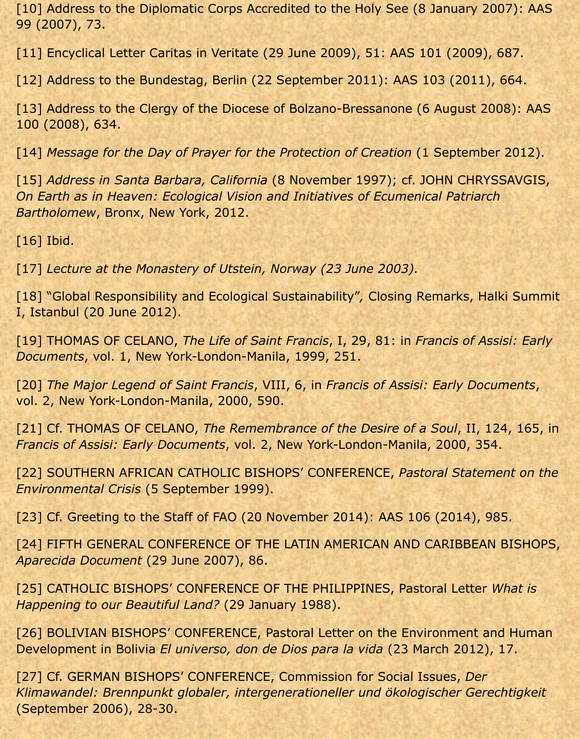[\[13\]](http://w2.vatican.va/content/francesco/en/encyclicals/documents/papa-francesco_20150524_enciclica-laudato-si.html#_ftnref10) [Address to the Clergy of the Diocese of Bolzano-Bressanone](http://w2.vatican.va/content/benedict-xvi/en/speeches/2007/january/documents/hf_ben-xvi_spe_20070108_diplomatic-corps.html) (6 August 2008): A 100 (2008), 634.

[\[14\]](http://w2.vatican.va/content/francesco/en/encyclicals/documents/papa-francesco_20150524_enciclica-laudato-si.html#_ftnref11) Message for the [Day of Prayer for t](http://w2.vatican.va/content/benedict-xvi/en/encyclicals/documents/hf_ben-xvi_enc_20090629_caritas-in-veritate.html)he Protection of Creation (1 September

[\[15\]](http://w2.vatican.va/content/francesco/en/encyclicals/documents/papa-francesco_20150524_enciclica-laudato-si.html#_ftnref12) [Address in Santa Barbara,](http://w2.vatican.va/content/benedict-xvi/en/speeches/2011/september/documents/hf_ben-xvi_spe_20110922_reichstag-berlin.html) California (8 November 1997); cf. JOHN CHRYS **On Earth as in Heaven: Ecological Vision and Initiatives of Ecumenical Patriarch** *[Barth](http://w2.vatican.va/content/francesco/en/encyclicals/documents/papa-francesco_20150524_enciclica-laudato-si.html#_ftnref13)olomew*[, Bronx, New York, 2012.](http://w2.vatican.va/content/benedict-xvi/en/speeches/2008/august/documents/hf_ben-xvi_spe_20080806_clero-bressanone.html)

[\[16\]](http://w2.vatican.va/content/francesco/en/encyclicals/documents/papa-francesco_20150524_enciclica-laudato-si.html#_ftnref14) Ibid.

[\[17\]](http://w2.vatican.va/content/francesco/en/encyclicals/documents/papa-francesco_20150524_enciclica-laudato-si.html#_ftnref15) *Lecture at the Monastery of Utstein, Norway (23 June 2003).*

[18] "Global Responsibility and Ecological Sustainability", Closing Remarks, Ha I, Istanbul (20 June 2012).

[\[19\]](http://w2.vatican.va/content/francesco/en/encyclicals/documents/papa-francesco_20150524_enciclica-laudato-si.html#_ftnref16) THOMAS OF CELANO, *The Life of Saint Francis*, I, 29, 81: in *Francis of As [Docu](http://w2.vatican.va/content/francesco/en/encyclicals/documents/papa-francesco_20150524_enciclica-laudato-si.html#_ftnref17)ments*, vol. 1, New York-London-Manila, 1999, 251.

[20] *The Major Legend of Saint Francis*, VIII, 6, in *Francis of Assisi: Early Documents*, [vol. 2](http://w2.vatican.va/content/francesco/en/encyclicals/documents/papa-francesco_20150524_enciclica-laudato-si.html#_ftnref18), New York-London-Manila, 2000, 590.

[21] Cf. THOMAS OF CELANO, The Remembrance of the Desire of a Soul, II, 1 *[Fran](http://w2.vatican.va/content/francesco/en/encyclicals/documents/papa-francesco_20150524_enciclica-laudato-si.html#_ftnref19)cis of Assisi: Early Documents*, vol. 2, New York-London-Manila, 2000, 354.

[22] SOUTHERN AFRICAN CATHOLIC BISHOPS' CONFERENCE, *Pastoral Statem [Envir](http://w2.vatican.va/content/francesco/en/encyclicals/documents/papa-francesco_20150524_enciclica-laudato-si.html#_ftnref20)onmental Crisis* (5 September 1999).

[\[23\]](http://w2.vatican.va/content/francesco/en/encyclicals/documents/papa-francesco_20150524_enciclica-laudato-si.html#_ftnref21) Cf. Greeting to the Staff of FAO (20 November 2014): AAS 106 (2014), 9

[24] FIFTH GENERAL CONFERENCE OF THE LATIN AMERICAN AND CARIBBEAN *[Apar](http://w2.vatican.va/content/francesco/en/encyclicals/documents/papa-francesco_20150524_enciclica-laudato-si.html#_ftnref22)ecida Document* (29 June 2007), 86.

[25] CATHOLIC BISHOPS' CONFERENCE OF THE PHILIPPINES, Pastoral Letter *[Happ](http://w2.vatican.va/content/francesco/en/encyclicals/documents/papa-francesco_20150524_enciclica-laudato-si.html#_ftnref23)eni[ng to our Beautiful Land?](http://w2.vatican.va/content/francesco/en/speeches/2014/november/documents/papa-francesco_20141120_visita-fao.html)* (29 January 1988).

[26] BOLIVIAN BISHOPS' CONFERENCE, Pastoral Letter on the Environment and [Deve](http://w2.vatican.va/content/francesco/en/encyclicals/documents/papa-francesco_20150524_enciclica-laudato-si.html#_ftnref24)lopment in Bolivia *El universo, don de Dios para la vida* (23 March 2012),

[27] Cf. GERMAN BISHOPS' CONFERENCE, Commission for Social Issues, *Der [Klim](http://w2.vatican.va/content/francesco/en/encyclicals/documents/papa-francesco_20150524_enciclica-laudato-si.html#_ftnref25)awandel: Brennpunkt globaler, intergenerationeller und ökologischer Gerechtigkeit* (September 2006), 28-30.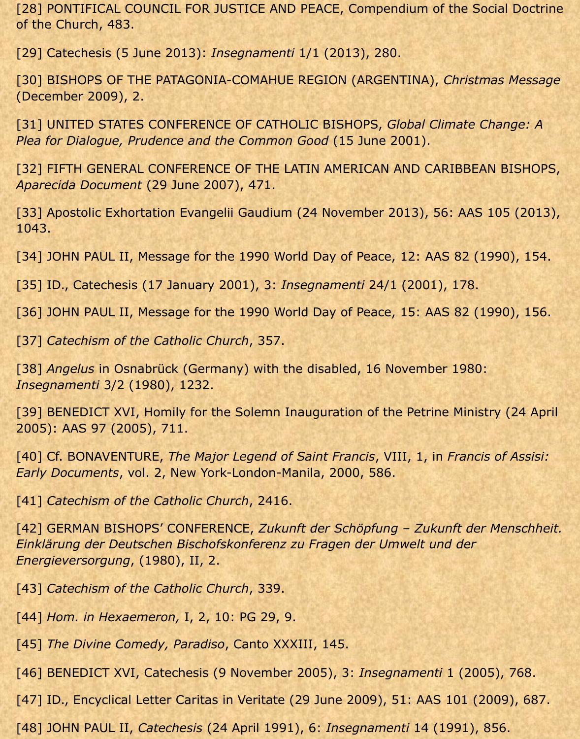$\sum_{i=1}^{n}$ 

[\[31\] UNITED STATES CONFERENCE OF CATHOLIC BISHOPS,](http://www.vatican.va/roman_curia/pontifical_councils/justpeace/documents/rc_pc_justpeace_doc_20060526_compendio-dott-soc_en.html) *Global Climate Change Change: Attitude: Attitude: Attitude: A [Plea](http://w2.vatican.va/content/francesco/en/encyclicals/documents/papa-francesco_20150524_enciclica-laudato-si.html#_ftnref29) [for Dialogu](http://w2.vatican.va/content/francesco/en/audiences/2013/documents/papa-francesco_20130605_udienza-generale.html)e, Prudence and the Common Good* (15 June 2001).

[32] FIFTH GENERAL CONFERENCE OF THE LATIN AMERICAN AND CARIBBEAN *[Apar](http://w2.vatican.va/content/francesco/en/encyclicals/documents/papa-francesco_20150524_enciclica-laudato-si.html#_ftnref30)ecida Document* (29 June 2007), 471.

[33] Apostolic Exhortation Evangelii Gaudium (24 November 2013), 56: AAS 1 [1043](http://w2.vatican.va/content/francesco/en/encyclicals/documents/papa-francesco_20150524_enciclica-laudato-si.html#_ftnref31).

[\[34\]](http://w2.vatican.va/content/francesco/en/encyclicals/documents/papa-francesco_20150524_enciclica-laudato-si.html#_ftnref32) JOHN PAUL II, Message for the 1990 World Day of Peace, 12: AAS 82 (19

[35] ID., Catechesis (17 January 2001), 3: *Insegnamenti* 24/1 (2001), 178.

[\[36\]](http://w2.vatican.va/content/francesco/en/encyclicals/documents/papa-francesco_20150524_enciclica-laudato-si.html#_ftnref33) JOHN PAUL II, Messa[ge for the 1990 Wor](http://w2.vatican.va/content/francesco/en/apost_exhortations/documents/papa-francesco_esortazione-ap_20131124_evangelii-gaudium.html)ld Day of Peace, 15: AAS 82 (19

[37] *Catechism of the Catholic Church*, 357.

[\[38\]](http://w2.vatican.va/content/francesco/en/encyclicals/documents/papa-francesco_20150524_enciclica-laudato-si.html#_ftnref34) *Angelus* in Osn[abrück \(Germany\) with the disabled, 16 N](http://w2.vatican.va/content/john-paul-ii/en/messages/peace/documents/hf_jp-ii_mes_19891208_xxiii-world-day-for-peace.html)ovember 1980: *[Inseg](http://w2.vatican.va/content/francesco/en/encyclicals/documents/papa-francesco_20150524_enciclica-laudato-si.html#_ftnref35)namenti* [3/2 \(1](http://w2.vatican.va/content/john-paul-ii/en/audiences/2001/documents/hf_jp-ii_aud_20010117.html)980), 1232.

[\[39\]](http://w2.vatican.va/content/francesco/en/encyclicals/documents/papa-francesco_20150524_enciclica-laudato-si.html#_ftnref36) BENEDICT XVI[, Homily for the Solemn Inauguration of th](http://w2.vatican.va/content/john-paul-ii/en/messages/peace/documents/hf_jp-ii_mes_19891208_xxiii-world-day-for-peace.html)e Petrine Ministr [2005](http://w2.vatican.va/content/francesco/en/encyclicals/documents/papa-francesco_20150524_enciclica-laudato-si.html#_ftnref37)): AAS 97 (2005), 711.

[40] Cf. BONAVENTURE, *The Major Legend of Saint Francis*, VIII, 1, in *Francis [Early](http://w2.vatican.va/content/francesco/en/encyclicals/documents/papa-francesco_20150524_enciclica-laudato-si.html#_ftnref38) Documents*, vol. 2, New York-London-Manila, 2000, 586.

[\[41\]](http://w2.vatican.va/content/francesco/en/encyclicals/documents/papa-francesco_20150524_enciclica-laudato-si.html#_ftnref39) *Catechism of th[e Catholic Church](http://w2.vatican.va/content/benedict-xvi/en/homilies/2005/documents/hf_ben-xvi_hom_20050424_inizio-pontificato.html)*, 2416.

[42] GERMAN BISHOPS' CONFERENCE, Zukunft der Schöpfung - Zukunft der I *Einklärung der Deutschen Bischofskonferenz zu Fragen der Umwelt und der [Ener](http://w2.vatican.va/content/francesco/en/encyclicals/documents/papa-francesco_20150524_enciclica-laudato-si.html#_ftnref40)gieversorgung*, (1980), II, 2.

[\[43\]](http://w2.vatican.va/content/francesco/en/encyclicals/documents/papa-francesco_20150524_enciclica-laudato-si.html#_ftnref41) *Catechism of the Catholic Church*, 339.

[\[44\]](http://w2.vatican.va/content/francesco/en/encyclicals/documents/papa-francesco_20150524_enciclica-laudato-si.html#_ftnref42) *Hom. in Hexaemeron,* I, 2, 10: PG 29, 9.

[45] *The Divine Comedy, Paradiso*, Canto XXXIII, 145.

[46] BENEDICT XVI, Catechesis (9 November 2005), 3: *Insegnamenti* 1 (2005), 768.

[\[47\]](http://w2.vatican.va/content/francesco/en/encyclicals/documents/papa-francesco_20150524_enciclica-laudato-si.html#_ftnref43) ID., Encyclical Letter Caritas in Veritate (29 June 2009), 51: AAS 101 (20

[\[48\]](http://w2.vatican.va/content/francesco/en/encyclicals/documents/papa-francesco_20150524_enciclica-laudato-si.html#_ftnref44) JOHN PAUL II, *Catechesis* (24 April 1991), 6: *Insegnamenti* 14 (1991), 8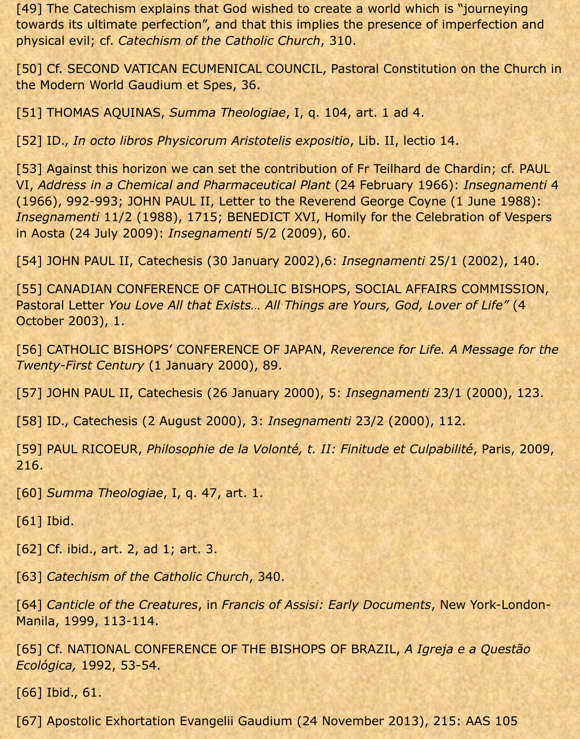[\[51\]](http://w2.vatican.va/content/francesco/en/encyclicals/documents/papa-francesco_20150524_enciclica-laudato-si.html#_ftnref49) THOMAS AQUINAS, *Summa Theologiae*, I, q. 104, art. 1 ad 4.

[52] ID., *In octo libros Physicorum Aristotelis expositio*, Lib. II, lectio 14.

[\[53\]](http://w2.vatican.va/content/francesco/en/encyclicals/documents/papa-francesco_20150524_enciclica-laudato-si.html#_ftnref50) Against this horizon we can set the contribution of Fr Teilhard de Chardin VI, Address in a C[hemical and Pharm](http://www.vatican.va/archive/hist_councils/ii_vatican_council/documents/vat-ii_const_19651207_gaudium-et-spes_en.html)aceutical Plant (24 February 1966): Insegnant (1966), 992-993; JOHN PAUL II, Letter to the Reverend George Coyne (1 June *[Inseg](http://w2.vatican.va/content/francesco/en/encyclicals/documents/papa-francesco_20150524_enciclica-laudato-si.html#_ftnref51)namenti 11/2 (1988), 1715; BENEDICT XVI, Homily for the Celebration of* [in Ao](http://w2.vatican.va/content/francesco/en/encyclicals/documents/papa-francesco_20150524_enciclica-laudato-si.html#_ftnref52)sta (24 July 2009): *Insegnamenti* 5/2 (2009), 60.

[\[54\]](http://w2.vatican.va/content/francesco/en/encyclicals/documents/papa-francesco_20150524_enciclica-laudato-si.html#_ftnref53) JOHN PAUL II, Catechesis (30 January 2002),6: *Insegnamenti* 25/1 (2002), 140.

[55] CANADIAN CONFERENCE OF CATHOLIC BISHOPS, SOCIAL AFFAIRS COMI Pastoral Letter *You Love All that Exists... All Things are Yours, God, Lover of Light Conditions* [October 2003\), 1.](http://w2.vatican.va/content/benedict-xvi/en/homilies/2009/documents/hf_ben-xvi_hom_20090724_vespri-aosta.html)

[56] CATHOLIC BISHOPS' CONFERENCE OF JAPAN, *Reverence for Life. A Mess [Twen](http://w2.vatican.va/content/francesco/en/encyclicals/documents/papa-francesco_20150524_enciclica-laudato-si.html#_ftnref54)ty-First Century* [\(1 Januar](http://w2.vatican.va/content/john-paul-ii/en/audiences/2002/documents/hf_jp-ii_aud_20020130.html)y 2000), 89.

[\[57\]](http://w2.vatican.va/content/francesco/en/encyclicals/documents/papa-francesco_20150524_enciclica-laudato-si.html#_ftnref55) JOHN PAUL II, Catechesis (26 January 2000), 5: *Insegnamenti* 23/1 (2000), 123.

[58] ID., Catechesis (2 August 2000), 3: *Insegnamenti* 23/2 (2000), 112.

[\[59\]](http://w2.vatican.va/content/francesco/en/encyclicals/documents/papa-francesco_20150524_enciclica-laudato-si.html#_ftnref56) PAUL RICOEUR, *Philosophie de la Volonté, t. II: Finitude et Culpabilité*, Pa 216.

[\[60\]](http://w2.vatican.va/content/francesco/en/encyclicals/documents/papa-francesco_20150524_enciclica-laudato-si.html#_ftnref57) *Summa Theologiae*[, I, q. 4](http://w2.vatican.va/content/john-paul-ii/en/audiences/2000/documents/hf_jp-ii_aud_20000126.html)7, art. 1.

[\[61\]](http://w2.vatican.va/content/francesco/en/encyclicals/documents/papa-francesco_20150524_enciclica-laudato-si.html#_ftnref58) Ibid[.](http://w2.vatican.va/content/john-paul-ii/en/audiences/2000/documents/hf_jp-ii_aud_20000802.html)

[\[62\]](http://w2.vatican.va/content/francesco/en/encyclicals/documents/papa-francesco_20150524_enciclica-laudato-si.html#_ftnref59) Cf. ibid., art. 2, ad 1; art. 3.

[63] *Catechism of the Catholic Church*, 340.

[\[64\]](http://w2.vatican.va/content/francesco/en/encyclicals/documents/papa-francesco_20150524_enciclica-laudato-si.html#_ftnref60) *Canticle of the Creatures*, in *Francis of Assisi: Early Documents*, New York [Mani](http://w2.vatican.va/content/francesco/en/encyclicals/documents/papa-francesco_20150524_enciclica-laudato-si.html#_ftnref61)la, 1999, 113-114.

[\[65\]](http://w2.vatican.va/content/francesco/en/encyclicals/documents/papa-francesco_20150524_enciclica-laudato-si.html#_ftnref62) Cf. NATIONAL CONFERENCE OF THE BISHOPS OF BRAZIL, *A Igreja e a Qu [Ecoló](http://w2.vatican.va/content/francesco/en/encyclicals/documents/papa-francesco_20150524_enciclica-laudato-si.html#_ftnref63)gica,* 1992, 53-54.

[\[66\]](http://w2.vatican.va/content/francesco/en/encyclicals/documents/papa-francesco_20150524_enciclica-laudato-si.html#_ftnref64) Ibid., 61.

[67] Apostolic Exhortation Evangelii Gaudium (24 November 2013), 215: AAS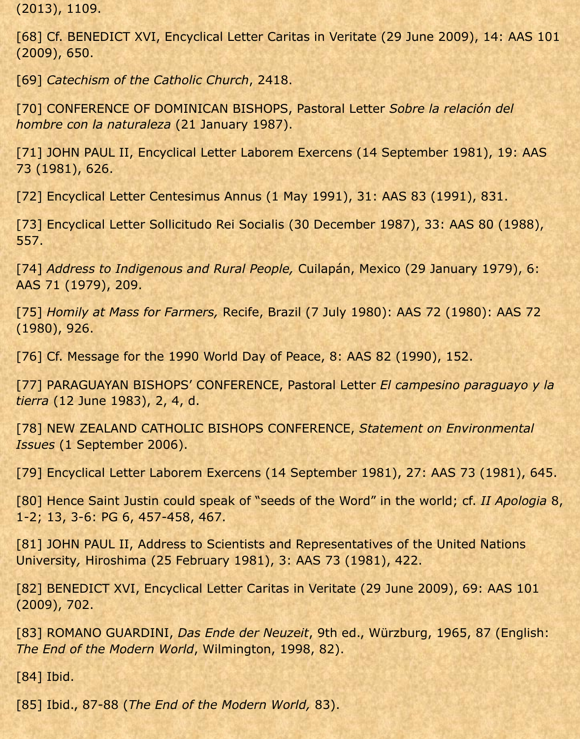[70] CONFERENCE OF DOMINICAN BISHOPS, Pastoral Letter Sobre la relación *[hom](http://w2.vatican.va/content/francesco/en/encyclicals/documents/papa-francesco_20150524_enciclica-laudato-si.html#_ftnref68)bre con la naturaleza* (21 January 1[987\).](http://w2.vatican.va/content/dam/francesco/encyclicals/documents/Caritas%20in%20Veritate)

[71] JOHN PAUL II, Encyclical Letter Laborem Exercens (14 September 1981), [73 \(1](http://w2.vatican.va/content/francesco/en/encyclicals/documents/papa-francesco_20150524_enciclica-laudato-si.html#_ftnref69)981), 626.

[\[72\]](http://w2.vatican.va/content/francesco/en/encyclicals/documents/papa-francesco_20150524_enciclica-laudato-si.html#_ftnref70) Encyclical Letter Centesimus Annus (1 May 1991), 31: AAS 83 (1991), 83

[73] Encyclical Letter Sollicitudo Rei Socialis (30 December 1987), 33: AAS 80 [557.](http://w2.vatican.va/content/francesco/en/encyclicals/documents/papa-francesco_20150524_enciclica-laudato-si.html#_ftnref71)

[74] Address to Indigenous and Rural People, Cuilapán, Mexico (29 January 1978) [AAS](http://w2.vatican.va/content/francesco/en/encyclicals/documents/papa-francesco_20150524_enciclica-laudato-si.html#_ftnref72) 71 (1979), 209.

[75] *Homily at Mass f[or Farmers,](http://w2.vatican.va/content/john-paul-ii/en/encyclicals/documents/hf_jp-ii_enc_30121987_sollicitudo-rei-socialis.html)* Recife, Brazil (7 July 1980): AAS 72 (1980): AAS 72 [\(198](http://w2.vatican.va/content/francesco/en/encyclicals/documents/papa-francesco_20150524_enciclica-laudato-si.html#_ftnref73)0), 926.

[\[76\]](http://w2.vatican.va/content/francesco/en/encyclicals/documents/papa-francesco_20150524_enciclica-laudato-si.html#_ftnref74) Cf. Message for the 1990 World Day of Peace, 8: AAS 82 (1990), 152.

[77] PARAGUAYAN BISHOPS' CONFERENCE, Pastoral Letter *El campesino para [tierra](http://w2.vatican.va/content/francesco/en/encyclicals/documents/papa-francesco_20150524_enciclica-laudato-si.html#_ftnref75)* (12 June 1983), 2, 4, d.

[78] NEW ZEALAND CATHOLIC BISHOPS CONFERENCE, Statement on Environ *[Issue](http://w2.vatican.va/content/francesco/en/encyclicals/documents/papa-francesco_20150524_enciclica-laudato-si.html#_ftnref76)s* ([1 September 2006\).](http://w2.vatican.va/content/john-paul-ii/en/messages/peace/documents/hf_jp-ii_mes_19891208_xxiii-world-day-for-peace.html)

[\[79\]](http://w2.vatican.va/content/francesco/en/encyclicals/documents/papa-francesco_20150524_enciclica-laudato-si.html#_ftnref77) Encyclical Letter Laborem Exercens (14 September 1981), 27: AAS 73 (1

[80] Hence Saint Justin could speak of "seeds of the Word" in the world; cf. II [1-2;](http://w2.vatican.va/content/francesco/en/encyclicals/documents/papa-francesco_20150524_enciclica-laudato-si.html#_ftnref78) 13, 3-6: PG 6, 457-458, 467.

[81] JOHN PAUL II, Address to Scientists and Representatives of the United Nations [Univ](http://w2.vatican.va/content/francesco/en/encyclicals/documents/papa-francesco_20150524_enciclica-laudato-si.html#_ftnref79)ersity*,* Hiroshima [\(25 February 1981](http://w2.vatican.va/content/john-paul-ii/en/encyclicals/documents/hf_jp-ii_enc_14091981_laborem-exercens.html)), 3: AAS 73 (1981), 422.

[82] BENEDICT XVI, Encyclical Letter Caritas in Veritate (29 June 2009), 69: A [\(200](http://w2.vatican.va/content/francesco/en/encyclicals/documents/papa-francesco_20150524_enciclica-laudato-si.html#_ftnref80)9), 702.

[83] ROMANO GUARDINI, *Das Ende der Neuzeit*, 9th ed., Würzburg, 1965, 87 *[The End of the Modern World](http://w2.vatican.va/content/john-paul-ii/en/speeches/1981/february/documents/hf_jp-ii_spe_19810225_giappone-hiroshima-scienziati-univ.html)*, Wilmington, 1998, 82).

[\[84\]](http://w2.vatican.va/content/francesco/en/encyclicals/documents/papa-francesco_20150524_enciclica-laudato-si.html#_ftnref82) Ibid.

[85] Ibid., 87-88 (*The End of the Modern World,* 83).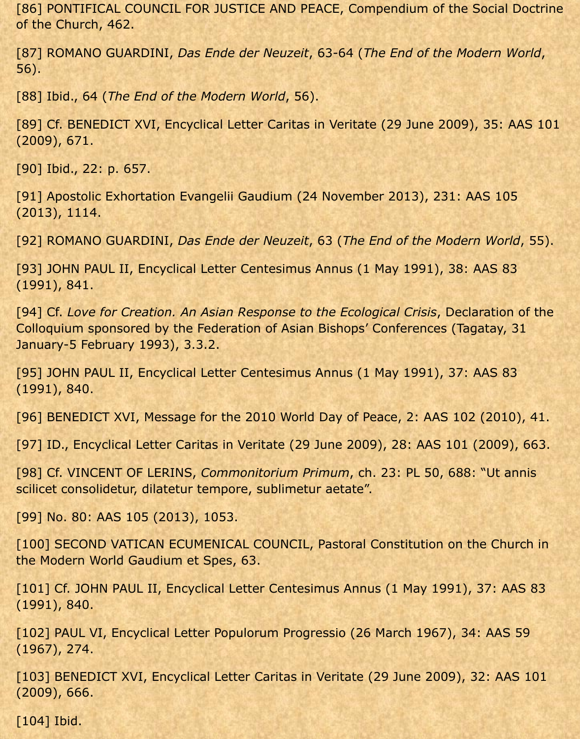[\[88\]](http://w2.vatican.va/content/francesco/en/encyclicals/documents/papa-francesco_20150524_enciclica-laudato-si.html#_ftnref86) Ibid., 64 (*The End of the Modern World*, 56).

[89] Cf. BENEDICT XVI, Encyclical Letter Caritas in Veritate (29 June 2009), 3. [\(200](http://w2.vatican.va/content/francesco/en/encyclicals/documents/papa-francesco_20150524_enciclica-laudato-si.html#_ftnref87)9), 671.

[90] Ibid., 22: p. 657.

[\[91\]](http://w2.vatican.va/content/francesco/en/encyclicals/documents/papa-francesco_20150524_enciclica-laudato-si.html#_ftnref88) Apostolic Exhortation Evangelii Gaudium (24 November 2013), 231: AAS [\(201](http://w2.vatican.va/content/francesco/en/encyclicals/documents/papa-francesco_20150524_enciclica-laudato-si.html#_ftnref89)3), 1114.

[92] ROMANO GUARDINI, *Das Ende der Neuzeit*, 63 (*The End of the Modern V* 

[\[93\]](http://w2.vatican.va/content/francesco/en/encyclicals/documents/papa-francesco_20150524_enciclica-laudato-si.html#_ftnref90) JOHN PAUL II, Encyclical Letter Centesimus Annus (1 May 1991), 38: AA9 [\(199](http://w2.vatican.va/content/francesco/en/encyclicals/documents/papa-francesco_20150524_enciclica-laudato-si.html#_ftnref91)1), 841.

[94] Cf. Love for Creation. An Asian Response to the Ecological Crisis, Declarat Colloquium sponsored by the Federation of Asian Bishops' Conferences (Tagata [Janu](http://w2.vatican.va/content/francesco/en/encyclicals/documents/papa-francesco_20150524_enciclica-laudato-si.html#_ftnref92)ary-5 February 1993), 3.3.2.

[\[95\]](http://w2.vatican.va/content/francesco/en/encyclicals/documents/papa-francesco_20150524_enciclica-laudato-si.html#_ftnref93) JOHN PAUL II, Encyclical Letter [Centesimus Annus](http://w2.vatican.va/content/john-paul-ii/en/encyclicals/documents/hf_jp-ii_enc_01051991_centesimus-annus.html) (1 May 1991), 37: AA! (1991), 840.

[\[96\]](http://w2.vatican.va/content/francesco/en/encyclicals/documents/papa-francesco_20150524_enciclica-laudato-si.html#_ftnref94) BENEDICT XVI, Message for the 2010 World Day of Peace, 2: AAS 102 (2010)

[97] ID., Encyclical Letter Caritas in Veritate (29 June 2009), 28: AAS 101 (20

[\[98\]](http://w2.vatican.va/content/francesco/en/encyclicals/documents/papa-francesco_20150524_enciclica-laudato-si.html#_ftnref95) Cf. VINCENT OF LERINS, *Com[monitorium Primum](http://w2.vatican.va/content/john-paul-ii/en/encyclicals/documents/hf_jp-ii_enc_01051991_centesimus-annus.html)*, ch. 23: PL 50, 688: "U scilicet consolidetur, dilatetur tempore, sublimetur aetate".

[\[99\]](http://w2.vatican.va/content/francesco/en/encyclicals/documents/papa-francesco_20150524_enciclica-laudato-si.html#_ftnref96) No. 80: AAS 10[5 \(2013\), 1053.](http://w2.vatican.va/content/benedict-xvi/en/messages/peace/documents/hf_ben-xvi_mes_20091208_xliii-world-day-peace.html)

[\[100](http://w2.vatican.va/content/francesco/en/encyclicals/documents/papa-francesco_20150524_enciclica-laudato-si.html#_ftnref97)] SECOND VATICAN [ECUMENICAL COUN](http://w2.vatican.va/content/benedict-xvi/en/encyclicals/documents/hf_ben-xvi_enc_20090629_caritas-in-veritate.html)CIL, Pastoral Constitution on the [the M](http://w2.vatican.va/content/francesco/en/encyclicals/documents/papa-francesco_20150524_enciclica-laudato-si.html#_ftnref98)odern World Gaudium et Spes, 63.

[101] Cf. JOHN PAUL II, Encyclical Letter Centesimus Annus (1 May 1991), 37 [\(199](http://w2.vatican.va/content/francesco/en/encyclicals/documents/papa-francesco_20150524_enciclica-laudato-si.html#_ftnref99)1), 840.

[102] PAUL VI, Encyclical Letter Populorum Progressio (26 March 1967), 34: A [\(1967](http://w2.vatican.va/content/francesco/en/encyclicals/documents/papa-francesco_20150524_enciclica-laudato-si.html#_ftnref100)), 274.

[103] BENEDICT XVI, Encyclical Letter C[aritas in Veritate \(29](http://w2.vatican.va/content/john-paul-ii/en/encyclicals/documents/hf_jp-ii_enc_01051991_centesimus-annus.html) June 2009), 32: [\(2009](http://w2.vatican.va/content/francesco/en/encyclicals/documents/papa-francesco_20150524_enciclica-laudato-si.html#_ftnref101)), 666.

[\[104\]](http://w2.vatican.va/content/francesco/en/encyclicals/documents/papa-francesco_20150524_enciclica-laudato-si.html#_ftnref102) Ibid.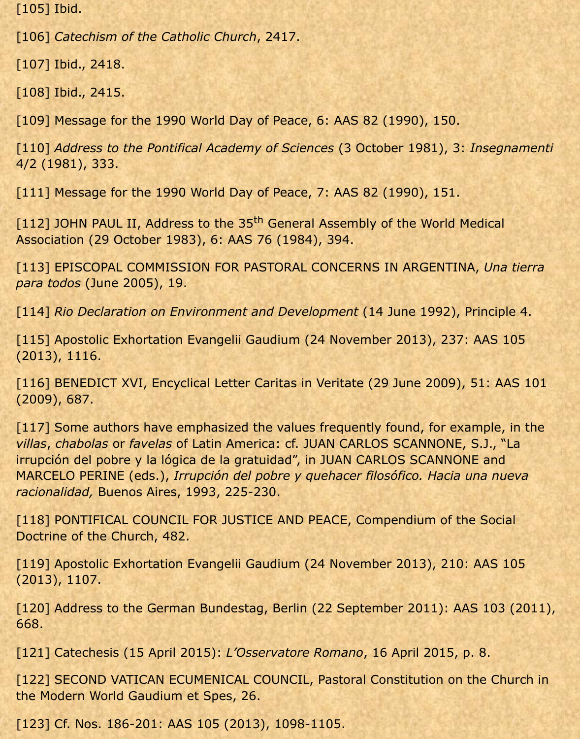[\[109\]](http://w2.vatican.va/content/francesco/en/encyclicals/documents/papa-francesco_20150524_enciclica-laudato-si.html#_ftnref105) Message for the 1990 World Day of Peace, 6: AAS 82 (1990), 150.

[\[110\]](http://w2.vatican.va/content/francesco/en/encyclicals/documents/papa-francesco_20150524_enciclica-laudato-si.html#_ftnref106) *Address to the Pontifical Academy of Sciences* (3 October 1981), 3: *Insegnament* [4/2 \(1](http://w2.vatican.va/content/francesco/en/encyclicals/documents/papa-francesco_20150524_enciclica-laudato-si.html#_ftnref107)981), 333.

[\[111\]](http://w2.vatican.va/content/francesco/en/encyclicals/documents/papa-francesco_20150524_enciclica-laudato-si.html#_ftnref108) Message for the 1990 World Day of Peace, 7: AAS 82 (1990), 151.

[\[112\]](http://w2.vatican.va/content/francesco/en/encyclicals/documents/papa-francesco_20150524_enciclica-laudato-si.html#_ftnref109) JOHN PAUL II, Address to the 35<sup>th</sup> General Assembly of the World Medic [Associ](http://w2.vatican.va/content/francesco/en/encyclicals/documents/papa-francesco_20150524_enciclica-laudato-si.html#_ftnref110)ation (29 October 1983), 6: AAS 76 (1984), 394.

[113] EPISCOPAL COMMISSION FOR PASTORAL CONCERNS IN ARGENTINA, *U [para t](http://w2.vatican.va/content/francesco/en/encyclicals/documents/papa-francesco_20150524_enciclica-laudato-si.html#_ftnref111)odos* [\(June 2005\), 19.](http://w2.vatican.va/content/john-paul-ii/en/messages/peace/documents/hf_jp-ii_mes_19891208_xxiii-world-day-for-peace.html)

[\[114\]](http://w2.vatican.va/content/francesco/en/encyclicals/documents/papa-francesco_20150524_enciclica-laudato-si.html#_ftnref112) Rio Declaration on Environment and Development (14 June 1992), Princ

[115] Apostolic Exhortation Evangelii Gaudium (24 November 2013), 237: AAS [\(2013](http://w2.vatican.va/content/francesco/en/encyclicals/documents/papa-francesco_20150524_enciclica-laudato-si.html#_ftnref113)), 1116.

[116] BENEDICT XVI, Encyclical Letter Caritas in Veritate (29 June 2009), 51: [\(2009](http://w2.vatican.va/content/francesco/en/encyclicals/documents/papa-francesco_20150524_enciclica-laudato-si.html#_ftnref114)), 687.

[117] Some authors have emphasized the values frequently found, for exampl *[villas](http://w2.vatican.va/content/francesco/en/encyclicals/documents/papa-francesco_20150524_enciclica-laudato-si.html#_ftnref115)*, *chabolas* or *favelas* o[f Latin America: cf.](http://w2.vatican.va/content/francesco/en/apost_exhortations/documents/papa-francesco_esortazione-ap_20131124_evangelii-gaudium.html) JUAN CARLOS SCANNONE, S.J. irrupción del pobre y la lógica de la gratuidad", in JUAN CARLOS SCANNONE and [MARC](http://w2.vatican.va/content/francesco/en/encyclicals/documents/papa-francesco_20150524_enciclica-laudato-si.html#_ftnref116)ELO PERINE (eds.), *Irrupción del [pobre y quehacer](http://w2.vatican.va/content/benedict-xvi/en/encyclicals/documents/hf_ben-xvi_enc_20090629_caritas-in-veritate.html) filosófico. Hacia una racionalidad,* Buenos Aires, 1993, 225-230.

[\[118\]](http://w2.vatican.va/content/francesco/en/encyclicals/documents/papa-francesco_20150524_enciclica-laudato-si.html#_ftnref117) PONTIFICAL COUNCIL FOR JUSTICE AND PEACE, Compendium of the Social Doctrine of the Church, 482.

[119] Apostolic Exhortation Evangelii Gaudium (24 November 2013), 210: AAS (2013), 1107.

[120] [Address to the German Bundestag, Berlin \(22 September 2011\): AAS](http://www.vatican.va/roman_curia/pontifical_councils/justpeace/documents/rc_pc_justpeace_doc_20060526_compendio-dott-soc_en.html) 10 [668.](http://w2.vatican.va/content/francesco/en/encyclicals/documents/papa-francesco_20150524_enciclica-laudato-si.html#_ftnref118)

[\[121\]](http://w2.vatican.va/content/francesco/en/encyclicals/documents/papa-francesco_20150524_enciclica-laudato-si.html#_ftnref119) Catechesis (15 April 2015): *[L'Osservator](http://w2.vatican.va/content/francesco/en/apost_exhortations/documents/papa-francesco_esortazione-ap_20131124_evangelii-gaudium.html)e Romano*, 16 April 2015, p. 8.

[122] SECOND VATICAN ECUMENICAL COUNCIL, Pastoral Constitution on the [the M](http://w2.vatican.va/content/francesco/en/encyclicals/documents/papa-francesco_20150524_enciclica-laudato-si.html#_ftnref120)[odern World Gaudium et Spes, 26.](http://w2.vatican.va/content/benedict-xvi/en/speeches/2011/september/documents/hf_ben-xvi_spe_20110922_reichstag-berlin.html)

[123] Cf. Nos. 186-201: AAS 105 (2013), 1098-1105.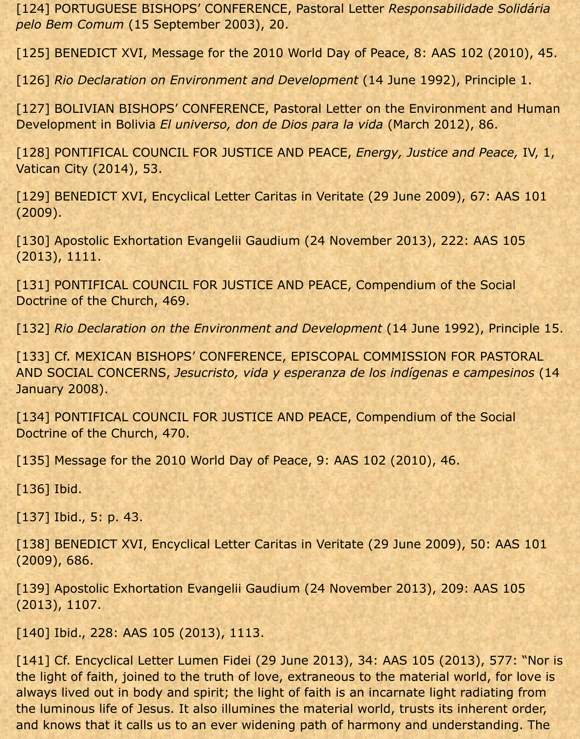[\[127\]](http://w2.vatican.va/content/francesco/en/encyclicals/documents/papa-francesco_20150524_enciclica-laudato-si.html#_ftnref124) BOLIVIAN BISHOPS' CONFERENCE, Pastoral Letter on the Environment and Development in Bolivia *El universo, don de Dios para la vida* (March 2012), 86.

[\[128\]](http://w2.vatican.va/content/francesco/en/encyclicals/documents/papa-francesco_20150524_enciclica-laudato-si.html#_ftnref125) PONTIFICAL CO[UNCIL FOR JUSTICE AND PEACE,](http://w2.vatican.va/content/benedict-xvi/en/messages/peace/documents/hf_ben-xvi_mes_20091208_xliii-world-day-peace.html) *Energy, Justice and Pe* [Vatica](http://w2.vatican.va/content/francesco/en/encyclicals/documents/papa-francesco_20150524_enciclica-laudato-si.html#_ftnref126)n City (2014), 53.

[129] BENEDICT XVI, Encyclical Letter Caritas in Veritate (29 June 2009), 67: [\(2009](http://w2.vatican.va/content/francesco/en/encyclicals/documents/papa-francesco_20150524_enciclica-laudato-si.html#_ftnref127)).

[130] Apostolic Exhortation Evangelii Gaudium (24 November 2013), 222: AA! [\(2013](http://w2.vatican.va/content/francesco/en/encyclicals/documents/papa-francesco_20150524_enciclica-laudato-si.html#_ftnref128)), 1111.

[131] PONTIFICAL COUNCIL FOR JUST[ICE AND PEACE, C](http://w2.vatican.va/content/benedict-xvi/en/encyclicals/documents/hf_ben-xvi_enc_20090629_caritas-in-veritate.html)ompendium of the Social [Doctri](http://w2.vatican.va/content/francesco/en/encyclicals/documents/papa-francesco_20150524_enciclica-laudato-si.html#_ftnref129)ne of the Church, 469.

[\[132\]](http://w2.vatican.va/content/francesco/en/encyclicals/documents/papa-francesco_20150524_enciclica-laudato-si.html#_ftnref130) Rio Declaration on th[e Environment and](http://w2.vatican.va/content/francesco/en/apost_exhortations/documents/papa-francesco_esortazione-ap_20131124_evangelii-gaudium.html) Development (14 June 1992), F

[133] Cf. MEXICAN BISHOPS' CONFERENCE, EPISCOPAL COMMISSION FOR PA AND SOCIAL CONCERNS, Jesucristo, vida y esperanza de los indígenas e camp [January 2008\).](http://www.vatican.va/roman_curia/pontifical_councils/justpeace/documents/rc_pc_justpeace_doc_20060526_compendio-dott-soc_en.html)

[134] PONTIFICAL COUNCIL FOR JUSTICE AND PEACE, Compendium of the Social [Doctri](http://w2.vatican.va/content/francesco/en/encyclicals/documents/papa-francesco_20150524_enciclica-laudato-si.html#_ftnref132)ne of the Church, 470.

[\[135\]](http://w2.vatican.va/content/francesco/en/encyclicals/documents/papa-francesco_20150524_enciclica-laudato-si.html#_ftnref133) Message for the 2010 World Day of Peace, 9: AAS 102 (2010), 46.

[136] Ibid.

[\[137\]](http://w2.vatican.va/content/francesco/en/encyclicals/documents/papa-francesco_20150524_enciclica-laudato-si.html#_ftnref134) [Ibid., 5: p. 43.](http://www.vatican.va/roman_curia/pontifical_councils/justpeace/documents/rc_pc_justpeace_doc_20060526_compendio-dott-soc_en.html)

[138] BENEDICT XVI, Encyclical Letter Caritas in Veritate (29 June 2009), 50: [\(2009](http://w2.vatican.va/content/francesco/en/encyclicals/documents/papa-francesco_20150524_enciclica-laudato-si.html#_ftnref135)[\), 686.](http://w2.vatican.va/content/benedict-xvi/en/messages/peace/documents/hf_ben-xvi_mes_20091208_xliii-world-day-peace.html)

[\[139\]](http://w2.vatican.va/content/francesco/en/encyclicals/documents/papa-francesco_20150524_enciclica-laudato-si.html#_ftnref136) Apostolic Exhortation Evangelii Gaudium (24 November 2013), 209: AA! [\(2013](http://w2.vatican.va/content/francesco/en/encyclicals/documents/papa-francesco_20150524_enciclica-laudato-si.html#_ftnref137)), 1107.

[\[140\]](http://w2.vatican.va/content/francesco/en/encyclicals/documents/papa-francesco_20150524_enciclica-laudato-si.html#_ftnref138) Ibid., 228: AAS 105 (2013), 111[3.](http://w2.vatican.va/content/benedict-xvi/en/encyclicals/documents/hf_ben-xvi_enc_20090629_caritas-in-veritate.html)

[141] Cf. Encyclical Letter Lumen Fidei (29 June 2013), 34: AAS 105 (2013), ! the light of faith, joined to the truth of love, extraneous to the material world, [alway](http://w2.vatican.va/content/francesco/en/encyclicals/documents/papa-francesco_20150524_enciclica-laudato-si.html#_ftnref139)s lived out in body an[d spirit; the light of](http://w2.vatican.va/content/francesco/en/apost_exhortations/documents/papa-francesco_esortazione-ap_20131124_evangelii-gaudium.html) faith is an incarnate light radiat the luminous life of Jesus. It also illumines the material world, trusts its inhere [and k](http://w2.vatican.va/content/francesco/en/encyclicals/documents/papa-francesco_20150524_enciclica-laudato-si.html#_ftnref140)[nows](http://w2.vatican.va/content/francesco/en/apost_exhortations/documents/papa-francesco_esortazione-ap_20131124_evangelii-gaudium.html) that it calls us to an ever widening path of harmony and understan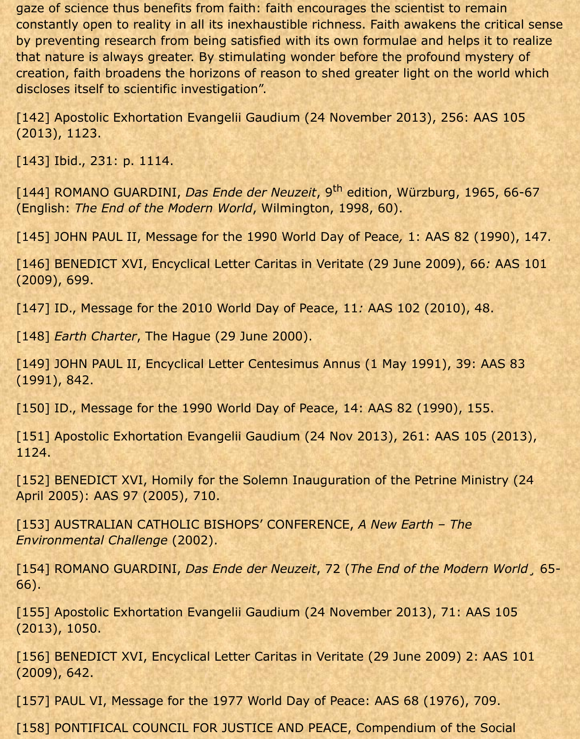[142] Apostolic Exhortation Evangelii Gaudium (24 November 2013), 256: AAS (2013), 1123.

[143] Ibid., 231: p. 1114.

[144] ROMANO GUARDINI, *Das Ende der Neuzeit*, 9<sup>th</sup> edition, Würzburg, 1965 [\(Engli](http://w2.vatican.va/content/francesco/en/encyclicals/documents/papa-francesco_20150524_enciclica-laudato-si.html#_ftnref142)sh: *The End of the Mo[dern World](http://w2.vatican.va/content/francesco/en/apost_exhortations/documents/papa-francesco_esortazione-ap_20131124_evangelii-gaudium.html)*, Wilmington, 1998, 60).

[145] JOHN PAUL II, Message for the 1990 World Day of Peace, 1: AAS 82 (19

[\[146\]](http://w2.vatican.va/content/francesco/en/encyclicals/documents/papa-francesco_20150524_enciclica-laudato-si.html#_ftnref143) [BEN](http://w2.vatican.va/content/francesco/en/apost_exhortations/documents/papa-francesco_esortazione-ap_20131124_evangelii-gaudium.html)EDICT XVI, Encyclical Letter Caritas in Veritate (29 June 2009), 66; [\(2009](http://w2.vatican.va/content/francesco/en/encyclicals/documents/papa-francesco_20150524_enciclica-laudato-si.html#_ftnref144)), 699.

[147] ID., Message for the 2010 World Day of Peace, 11*:* AAS 102 (2010), 48.

[\[148\]](http://w2.vatican.va/content/francesco/en/encyclicals/documents/papa-francesco_20150524_enciclica-laudato-si.html#_ftnref145) *Earth Charter*, [The Hague \(29 June 2000\).](http://w2.vatican.va/content/john-paul-ii/en/messages/peace/documents/hf_jp-ii_mes_19891208_xxiii-world-day-for-peace.html)

[\[149\]](http://w2.vatican.va/content/francesco/en/encyclicals/documents/papa-francesco_20150524_enciclica-laudato-si.html#_ftnref146) JOHN PAUL II, Encyclical Letter [Centesimus Annus](http://w2.vatican.va/content/benedict-xvi/en/encyclicals/documents/hf_ben-xvi_enc_20090629_caritas-in-veritate.html) (1 May 1991), 39: AA (1991), 842.

[\[150\]](http://w2.vatican.va/content/francesco/en/encyclicals/documents/papa-francesco_20150524_enciclica-laudato-si.html#_ftnref147) ID., [Message for the 1990 World Day of Peace,](http://w2.vatican.va/content/benedict-xvi/en/messages/peace/documents/hf_ben-xvi_mes_20091208_xliii-world-day-peace.html) 14: AAS 82 (1990), 155.

[\[151\]](http://w2.vatican.va/content/francesco/en/encyclicals/documents/papa-francesco_20150524_enciclica-laudato-si.html#_ftnref148) Apostolic Exhortation Evangelii Gaudium (24 Nov 2013), 261: AAS 105 (2013), [1124.](http://w2.vatican.va/content/francesco/en/encyclicals/documents/papa-francesco_20150524_enciclica-laudato-si.html#_ftnref149)

[152] BENEDICT XVI, Homily for the Solemn Inauguration of the Petrine Ministry [April 2](http://w2.vatican.va/content/francesco/en/encyclicals/documents/papa-francesco_20150524_enciclica-laudato-si.html#_ftnref150)005[\): AAS 97 \(2005\), 710.](http://w2.vatican.va/content/john-paul-ii/en/messages/peace/documents/hf_jp-ii_mes_19891208_xxiii-world-day-for-peace.html)

[153] AUSTRALIAN CATHOLIC BISHOPS' CONFERENCE, *A New Earth – The [Enviro](http://w2.vatican.va/content/francesco/en/encyclicals/documents/papa-francesco_20150524_enciclica-laudato-si.html#_ftnref151)nmental Challenge* (2[002\).](http://w2.vatican.va/content/francesco/en/apost_exhortations/documents/papa-francesco_esortazione-ap_20131124_evangelii-gaudium.html)

[154] ROMANO GUARDINI, *Das Ende der Neuzeit*, 72 (The End of the Modern [66\).](http://w2.vatican.va/content/francesco/en/encyclicals/documents/papa-francesco_20150524_enciclica-laudato-si.html#_ftnref152)

[155] Apostolic Exhortation Evangelii Gaudium (24 November 2013), 71: AAS [\(2013](http://w2.vatican.va/content/francesco/en/encyclicals/documents/papa-francesco_20150524_enciclica-laudato-si.html#_ftnref153)), 1050.

[156] BENEDICT XVI, Encyclical Letter Caritas in Veritate (29 June 2009) 2: A. [\(2009](http://w2.vatican.va/content/francesco/en/encyclicals/documents/papa-francesco_20150524_enciclica-laudato-si.html#_ftnref154)), 642.

[\[157\]](http://w2.vatican.va/content/francesco/en/encyclicals/documents/papa-francesco_20150524_enciclica-laudato-si.html#_ftnref155) PAUL VI, Message for [the 1977 World Da](http://w2.vatican.va/content/francesco/en/apost_exhortations/documents/papa-francesco_esortazione-ap_20131124_evangelii-gaudium.html)y of Peace: AAS 68 (1976), 709

[158] PONTIFICAL COUNCIL FOR JUSTICE AND PEACE, Compendium of the Social